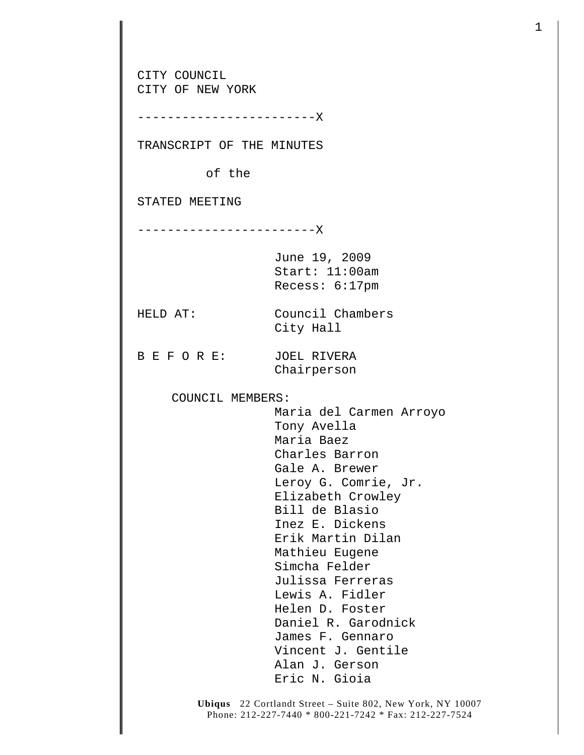CITY COUNCIL CITY OF NEW YORK ------------------------X TRANSCRIPT OF THE MINUTES of the STATED MEETING ------------------------X June 19, 2009 Start: 11:00am Recess: 6:17pm HELD AT: Council Chambers City Hall B E F O R E: JOEL RIVERA Chairperson COUNCIL MEMBERS: Maria del Carmen Arroyo Tony Avella Maria Baez Charles Barron Gale A. Brewer Leroy G. Comrie, Jr. Elizabeth Crowley Bill de Blasio Inez E. Dickens Erik Martin Dilan Mathieu Eugene Simcha Felder Julissa Ferreras Lewis A. Fidler Helen D. Foster Daniel R. Garodnick James F. Gennaro Vincent J. Gentile Alan J. Gerson Eric N. Gioia

1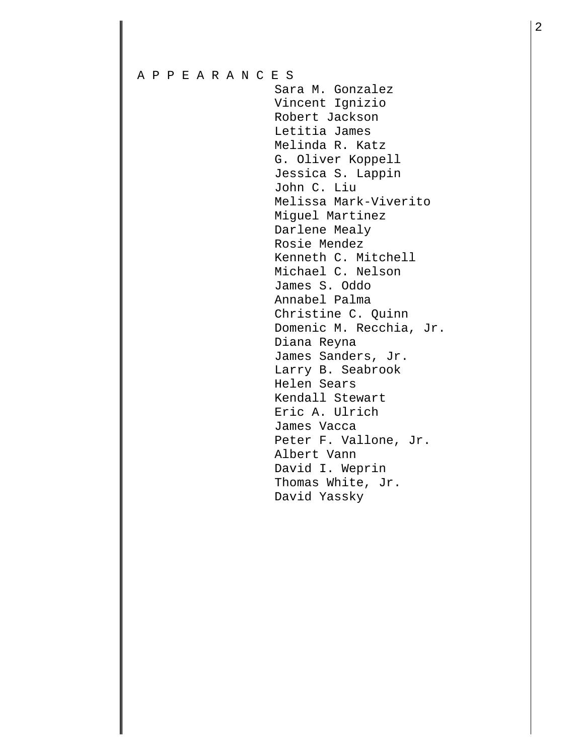## A P P E A R A N C E S Sara M. Gonzalez Vincent Ignizio Robert Jackson Letitia James Melinda R. Katz G. Oliver Koppell Jessica S. Lappin John C. Liu Melissa Mark-Viverito Miguel Martinez Darlene Mealy Rosie Mendez Kenneth C. Mitchell Michael C. Nelson James S. Oddo Annabel Palma Christine C. Quinn Domenic M. Recchia, Jr. Diana Reyna James Sanders, Jr. Larry B. Seabrook Helen Sears Kendall Stewart Eric A. Ulrich James Vacca Peter F. Vallone, Jr. Albert Vann David I. Weprin Thomas White, Jr. David Yassky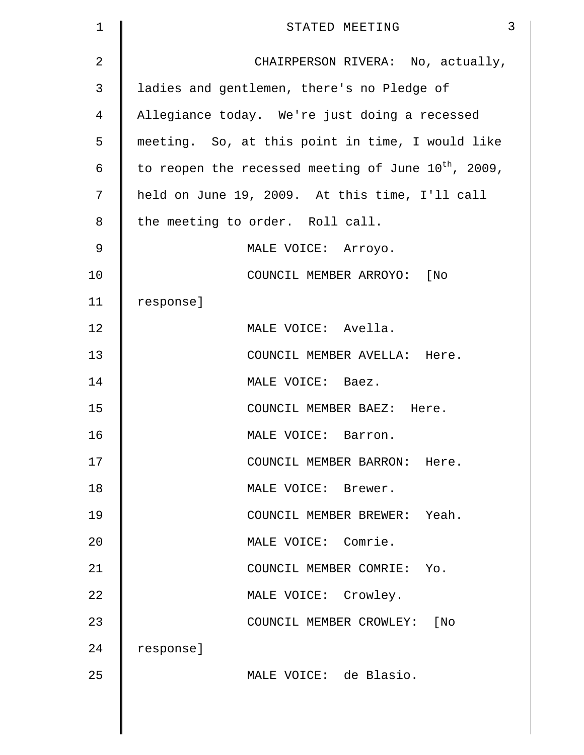| $\mathbf{1}$   | 3<br>STATED MEETING                                      |
|----------------|----------------------------------------------------------|
| $\overline{2}$ | CHAIRPERSON RIVERA: No, actually,                        |
| 3              | ladies and gentlemen, there's no Pledge of               |
| $\overline{4}$ | Allegiance today. We're just doing a recessed            |
| 5              | meeting. So, at this point in time, I would like         |
| 6              | to reopen the recessed meeting of June $10^{th}$ , 2009, |
| 7              | held on June 19, 2009. At this time, I'll call           |
| 8              | the meeting to order. Roll call.                         |
| 9              | MALE VOICE: Arroyo.                                      |
| 10             | COUNCIL MEMBER ARROYO: [No                               |
| 11             | response]                                                |
| 12             | MALE VOICE: Avella.                                      |
| 13             | COUNCIL MEMBER AVELLA: Here.                             |
| 14             | MALE VOICE: Baez.                                        |
| 15             | COUNCIL MEMBER BAEZ: Here.                               |
| 16             | MALE VOICE: Barron.                                      |
| 17             | COUNCIL MEMBER BARRON: Here.                             |
| 18             | MALE VOICE: Brewer.                                      |
| 19             | COUNCIL MEMBER BREWER: Yeah.                             |
| 20             | MALE VOICE: Comrie.                                      |
| 21             | COUNCIL MEMBER COMRIE: Yo.                               |
| 22             | MALE VOICE: Crowley.                                     |
| 23             | COUNCIL MEMBER CROWLEY: [No                              |
| 24             | response]                                                |
| 25             | MALE VOICE: de Blasio.                                   |
|                |                                                          |
|                |                                                          |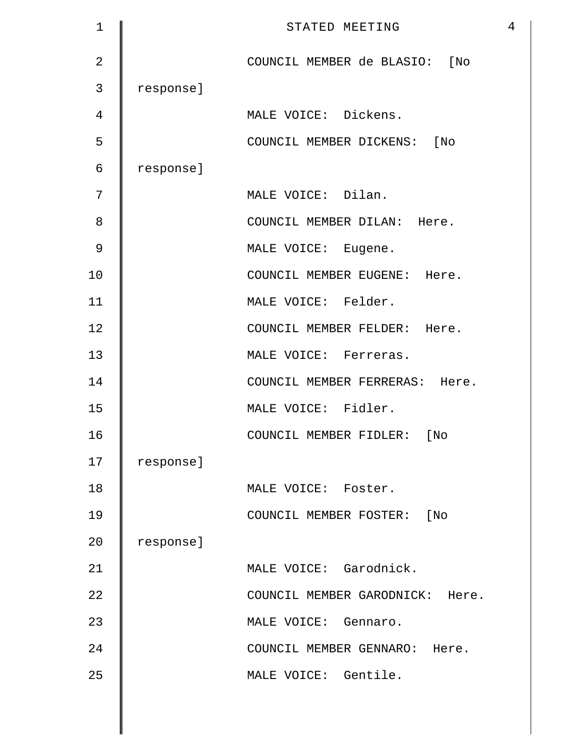| $\mathbf 1$    |           | $\overline{4}$<br>STATED MEETING |
|----------------|-----------|----------------------------------|
| $\overline{2}$ |           | COUNCIL MEMBER de BLASIO: [No    |
| 3              | response] |                                  |
| 4              |           | MALE VOICE: Dickens.             |
| 5              |           | COUNCIL MEMBER DICKENS: [No      |
| 6              | response] |                                  |
| 7              |           | MALE VOICE: Dilan.               |
| 8              |           | COUNCIL MEMBER DILAN: Here.      |
| 9              |           | MALE VOICE: Eugene.              |
| 10             |           | COUNCIL MEMBER EUGENE: Here.     |
| 11             |           | MALE VOICE: Felder.              |
| 12             |           | COUNCIL MEMBER FELDER: Here.     |
| 13             |           | MALE VOICE: Ferreras.            |
| 14             |           | COUNCIL MEMBER FERRERAS: Here.   |
| 15             |           | MALE VOICE: Fidler.              |
| 16             |           | COUNCIL MEMBER FIDLER: [No       |
| 17             | response] |                                  |
| 18             |           | MALE VOICE: Foster.              |
| 19             |           | COUNCIL MEMBER FOSTER: [No       |
| 20             | response] |                                  |
| 21             |           | MALE VOICE: Garodnick.           |
| 22             |           | COUNCIL MEMBER GARODNICK: Here.  |
| 23             |           | MALE VOICE: Gennaro.             |
| 24             |           | COUNCIL MEMBER GENNARO: Here.    |
| 25             |           | MALE VOICE: Gentile.             |
|                |           |                                  |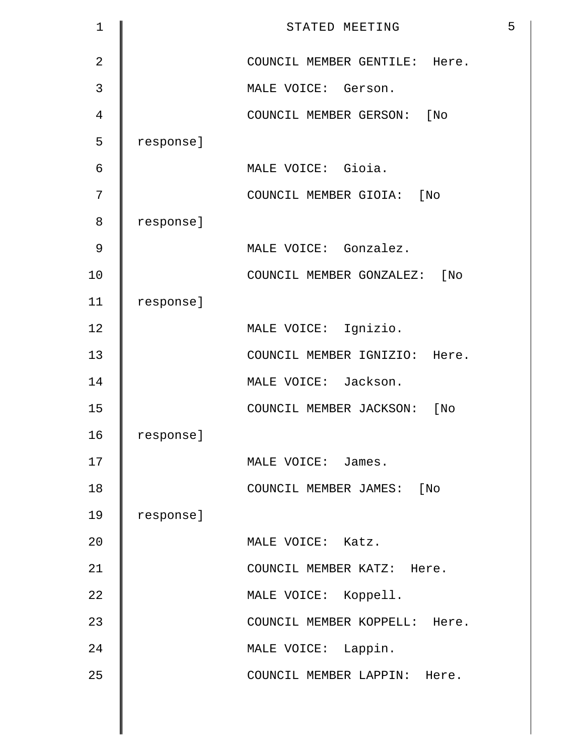| $\mathbf 1$    |           | 5<br>STATED MEETING           |
|----------------|-----------|-------------------------------|
| $\overline{2}$ |           | COUNCIL MEMBER GENTILE: Here. |
| 3              |           | MALE VOICE: Gerson.           |
| $\overline{4}$ |           | COUNCIL MEMBER GERSON: [No    |
| 5              | response] |                               |
| 6              |           | MALE VOICE: Gioia.            |
| 7              |           | COUNCIL MEMBER GIOIA: [No     |
| 8              | response] |                               |
| 9              |           | MALE VOICE: Gonzalez.         |
| 10             |           | COUNCIL MEMBER GONZALEZ: [No  |
| 11             | response] |                               |
| 12             |           | MALE VOICE: Ignizio.          |
| 13             |           | COUNCIL MEMBER IGNIZIO: Here. |
| 14             |           | MALE VOICE: Jackson.          |
| 15             |           | COUNCIL MEMBER JACKSON: [No   |
| 16             | response] |                               |
| 17             |           | MALE VOICE: James.            |
| 18             |           | COUNCIL MEMBER JAMES: [No     |
| 19             | response] |                               |
| 20             |           | MALE VOICE: Katz.             |
| 21             |           | COUNCIL MEMBER KATZ: Here.    |
| 22             |           | MALE VOICE: Koppell.          |
| 23             |           | COUNCIL MEMBER KOPPELL: Here. |
| 24             |           | MALE VOICE: Lappin.           |
| 25             |           | COUNCIL MEMBER LAPPIN: Here.  |
|                |           |                               |
|                |           |                               |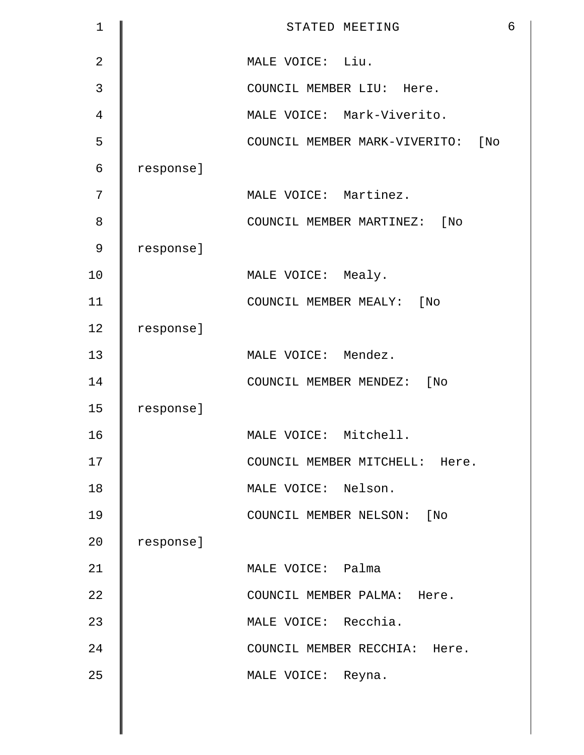| $\mathbf 1$    |           | STATED MEETING                          | 6 |
|----------------|-----------|-----------------------------------------|---|
| $\overline{2}$ |           | MALE VOICE: Liu.                        |   |
| 3              |           | COUNCIL MEMBER LIU: Here.               |   |
| $\overline{4}$ |           | MALE VOICE: Mark-Viverito.              |   |
| 5              |           | $[$ No<br>COUNCIL MEMBER MARK-VIVERITO: |   |
| $\epsilon$     | response] |                                         |   |
| 7              |           | MALE VOICE: Martinez.                   |   |
| 8              |           | COUNCIL MEMBER MARTINEZ: [No            |   |
| 9              | response] |                                         |   |
| 10             |           | MALE VOICE: Mealy.                      |   |
| 11             |           | COUNCIL MEMBER MEALY: [No               |   |
| 12             | response] |                                         |   |
| 13             |           | MALE VOICE: Mendez.                     |   |
| 14             |           | COUNCIL MEMBER MENDEZ: [No              |   |
| 15             | response] |                                         |   |
| 16             |           | MALE VOICE: Mitchell.                   |   |
| 17             |           | COUNCIL MEMBER MITCHELL: Here.          |   |
| 18             |           | MALE VOICE: Nelson.                     |   |
| 19             |           | COUNCIL MEMBER NELSON: [No              |   |
| 20             | response] |                                         |   |
| 21             |           | MALE VOICE: Palma                       |   |
| 22             |           | COUNCIL MEMBER PALMA: Here.             |   |
| 23             |           | MALE VOICE: Recchia.                    |   |
| 24             |           | COUNCIL MEMBER RECCHIA: Here.           |   |
| 25             |           | MALE VOICE: Reyna.                      |   |
|                |           |                                         |   |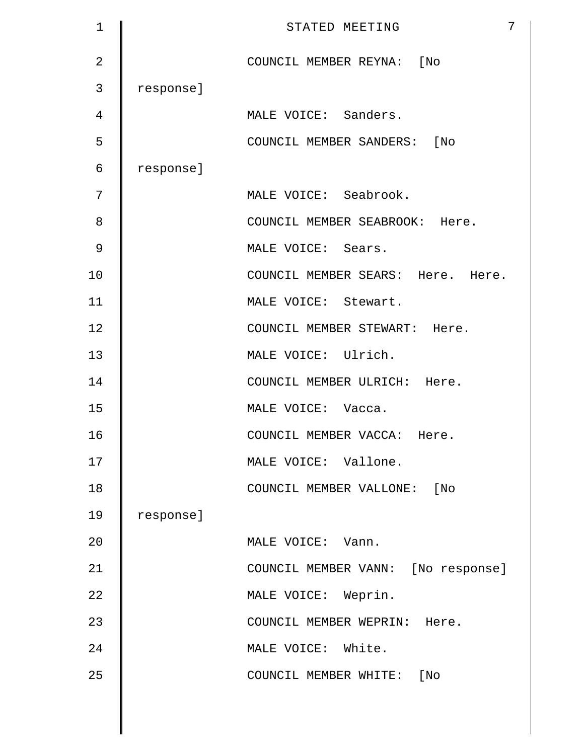| 1              |           | 7<br>STATED MEETING                |
|----------------|-----------|------------------------------------|
| $\overline{2}$ |           | COUNCIL MEMBER REYNA: [No          |
| 3              | response] |                                    |
| 4              |           | MALE VOICE: Sanders.               |
| 5              |           | COUNCIL MEMBER SANDERS: [No        |
| 6              | response] |                                    |
| 7              |           | MALE VOICE: Seabrook.              |
| 8              |           | COUNCIL MEMBER SEABROOK: Here.     |
| 9              |           | MALE VOICE: Sears.                 |
| 10             |           | COUNCIL MEMBER SEARS: Here. Here.  |
| 11             |           | MALE VOICE: Stewart.               |
| 12             |           | COUNCIL MEMBER STEWART: Here.      |
| 13             |           | MALE VOICE: Ulrich.                |
| 14             |           | COUNCIL MEMBER ULRICH: Here.       |
| 15             |           | MALE VOICE: Vacca.                 |
| 16             |           | COUNCIL MEMBER VACCA: Here.        |
| 17             |           | MALE VOICE: Vallone.               |
| 18             |           | COUNCIL MEMBER VALLONE: [No        |
| 19             | response] |                                    |
| 20             |           | MALE VOICE: Vann.                  |
| 21             |           | COUNCIL MEMBER VANN: [No response] |
| 22             |           | MALE VOICE: Weprin.                |
| 23             |           | COUNCIL MEMBER WEPRIN: Here.       |
| 24             |           | MALE VOICE: White.                 |
| 25             |           | COUNCIL MEMBER WHITE:<br>[No       |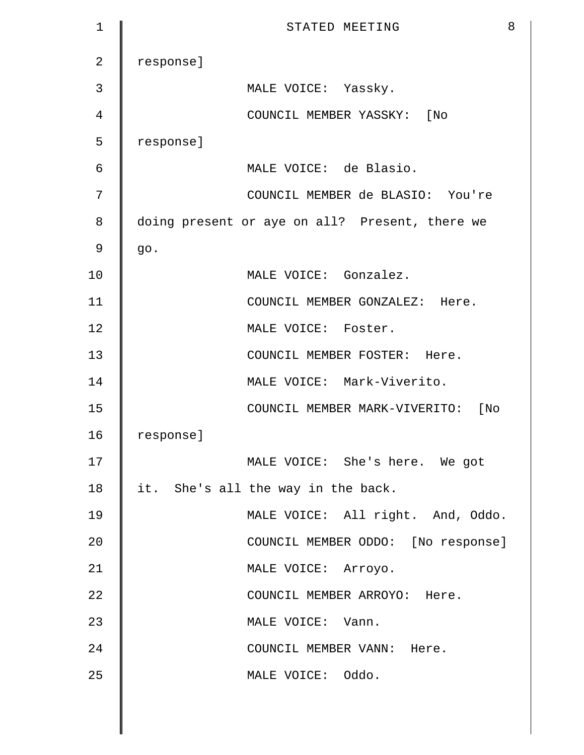| 1              | 8<br>STATED MEETING                            |
|----------------|------------------------------------------------|
| $\overline{2}$ | response]                                      |
| 3              | MALE VOICE: Yassky.                            |
| 4              | COUNCIL MEMBER YASSKY: [No                     |
| 5              | response]                                      |
| 6              | MALE VOICE: de Blasio.                         |
| 7              | COUNCIL MEMBER de BLASIO: You're               |
| 8              | doing present or aye on all? Present, there we |
| 9              | go.                                            |
| 10             | MALE VOICE: Gonzalez.                          |
| 11             | COUNCIL MEMBER GONZALEZ: Here.                 |
| 12             | MALE VOICE: Foster.                            |
| 13             | COUNCIL MEMBER FOSTER: Here.                   |
| 14             | MALE VOICE: Mark-Viverito.                     |
| 15             | COUNCIL MEMBER MARK-VIVERITO: [No              |
| 16             | response]                                      |
| 17             | MALE VOICE: She's here. We got                 |
| 18             | it. She's all the way in the back.             |
| 19             | MALE VOICE: All right. And, Oddo.              |
| 20             | COUNCIL MEMBER ODDO: [No response]             |
| 21             | MALE VOICE: Arroyo.                            |
| 22             | COUNCIL MEMBER ARROYO: Here.                   |
| 23             | MALE VOICE: Vann.                              |
| 24             | COUNCIL MEMBER VANN: Here.                     |
| 25             | MALE VOICE: Oddo.                              |
|                |                                                |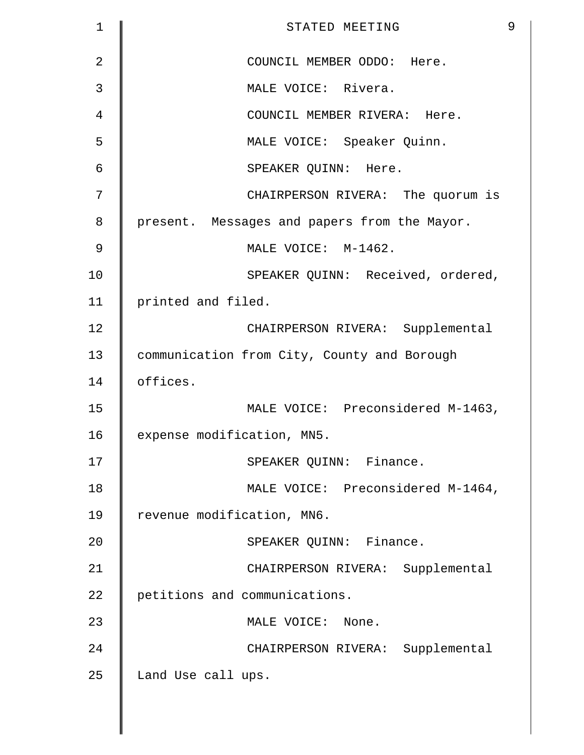| $\mathbf 1$    | 9<br>STATED MEETING                          |
|----------------|----------------------------------------------|
| $\overline{2}$ | COUNCIL MEMBER ODDO: Here.                   |
| 3              | MALE VOICE: Rivera.                          |
| $\overline{4}$ | COUNCIL MEMBER RIVERA: Here.                 |
| 5              | MALE VOICE: Speaker Quinn.                   |
| 6              | SPEAKER QUINN: Here.                         |
| 7              | CHAIRPERSON RIVERA: The quorum is            |
| 8              | present. Messages and papers from the Mayor. |
| 9              | MALE VOICE: M-1462.                          |
| 10             | SPEAKER QUINN: Received, ordered,            |
| 11             | printed and filed.                           |
| 12             | CHAIRPERSON RIVERA: Supplemental             |
| 13             | communication from City, County and Borough  |
| 14             | offices.                                     |
| 15             | MALE VOICE: Preconsidered M-1463,            |
| 16             | expense modification, MN5.                   |
| 17             | SPEAKER QUINN: Finance.                      |
| 18             | MALE VOICE: Preconsidered M-1464,            |
| 19             | revenue modification, MN6.                   |
| 20             | SPEAKER QUINN: Finance.                      |
| 21             | CHAIRPERSON RIVERA: Supplemental             |
| 22             | petitions and communications.                |
| 23             | MALE VOICE: None.                            |
| 24             | CHAIRPERSON RIVERA: Supplemental             |
| 25             | Land Use call ups.                           |
|                |                                              |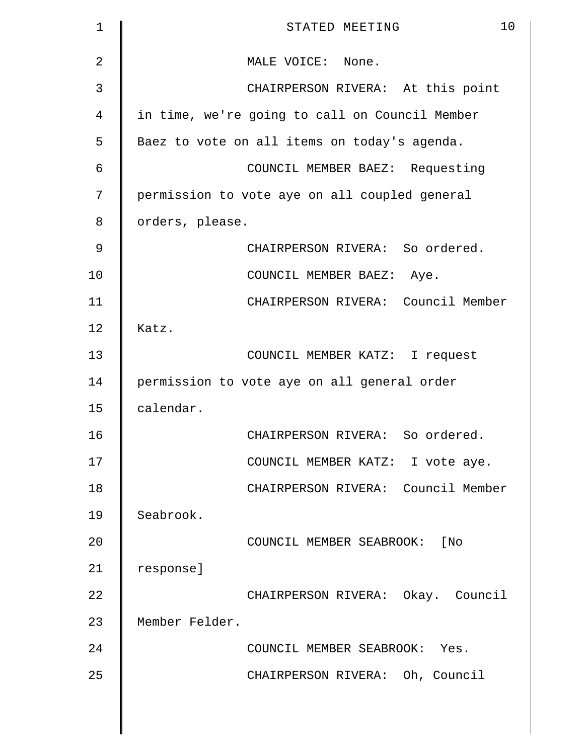| 1  | 10<br>STATED MEETING                           |
|----|------------------------------------------------|
| 2  | MALE VOICE: None.                              |
| 3  | CHAIRPERSON RIVERA: At this point              |
| 4  | in time, we're going to call on Council Member |
| 5  | Baez to vote on all items on today's agenda.   |
| 6  | COUNCIL MEMBER BAEZ: Requesting                |
| 7  | permission to vote aye on all coupled general  |
| 8  | orders, please.                                |
| 9  | CHAIRPERSON RIVERA: So ordered.                |
| 10 | COUNCIL MEMBER BAEZ: Aye.                      |
| 11 | CHAIRPERSON RIVERA: Council Member             |
| 12 | Katz.                                          |
| 13 | COUNCIL MEMBER KATZ: I request                 |
| 14 | permission to vote aye on all general order    |
| 15 | calendar.                                      |
| 16 | CHAIRPERSON RIVERA: So ordered.                |
| 17 | COUNCIL MEMBER KATZ: I vote aye.               |
| 18 | CHAIRPERSON RIVERA: Council Member             |
| 19 | Seabrook.                                      |
| 20 | COUNCIL MEMBER SEABROOK: [No                   |
| 21 | response]                                      |
| 22 | CHAIRPERSON RIVERA: Okay. Council              |
| 23 | Member Felder.                                 |
| 24 | COUNCIL MEMBER SEABROOK: Yes.                  |
| 25 | CHAIRPERSON RIVERA: Oh, Council                |
|    |                                                |
|    |                                                |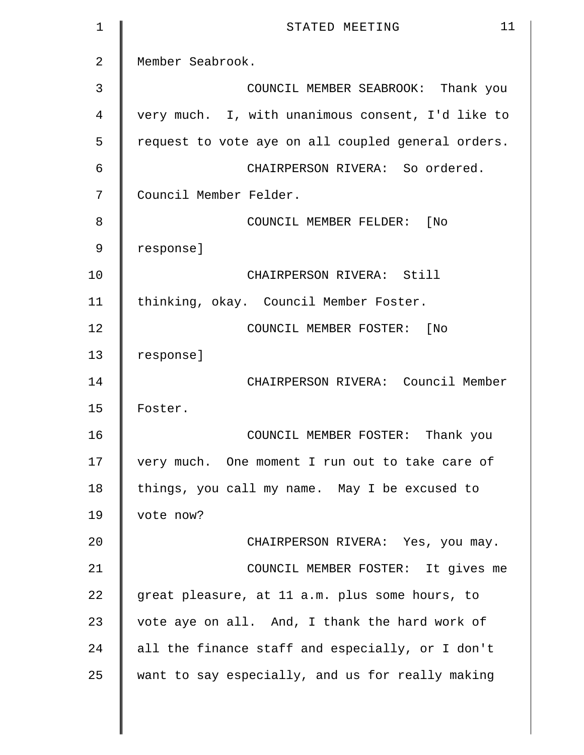| $\mathbf 1$    | 11<br>STATED MEETING                               |
|----------------|----------------------------------------------------|
| $\overline{2}$ | Member Seabrook.                                   |
| 3              | COUNCIL MEMBER SEABROOK: Thank you                 |
| 4              | very much. I, with unanimous consent, I'd like to  |
| 5              | request to vote aye on all coupled general orders. |
| 6              | CHAIRPERSON RIVERA: So ordered.                    |
| 7              | Council Member Felder.                             |
| 8              | COUNCIL MEMBER FELDER: [No                         |
| 9              | response]                                          |
| 10             | CHAIRPERSON RIVERA: Still                          |
| 11             | thinking, okay. Council Member Foster.             |
| 12             | COUNCIL MEMBER FOSTER: [No                         |
| 13             | response]                                          |
| 14             | CHAIRPERSON RIVERA: Council Member                 |
| 15             | Foster.                                            |
| 16             | COUNCIL MEMBER FOSTER: Thank you                   |
| 17             | very much. One moment I run out to take care of    |
| 18             | things, you call my name. May I be excused to      |
| 19             | vote now?                                          |
| 20             | CHAIRPERSON RIVERA: Yes, you may.                  |
| 21             | COUNCIL MEMBER FOSTER: It gives me                 |
| 22             | great pleasure, at 11 a.m. plus some hours, to     |
| 23             | vote aye on all. And, I thank the hard work of     |
| 24             | all the finance staff and especially, or I don't   |
| 25             | want to say especially, and us for really making   |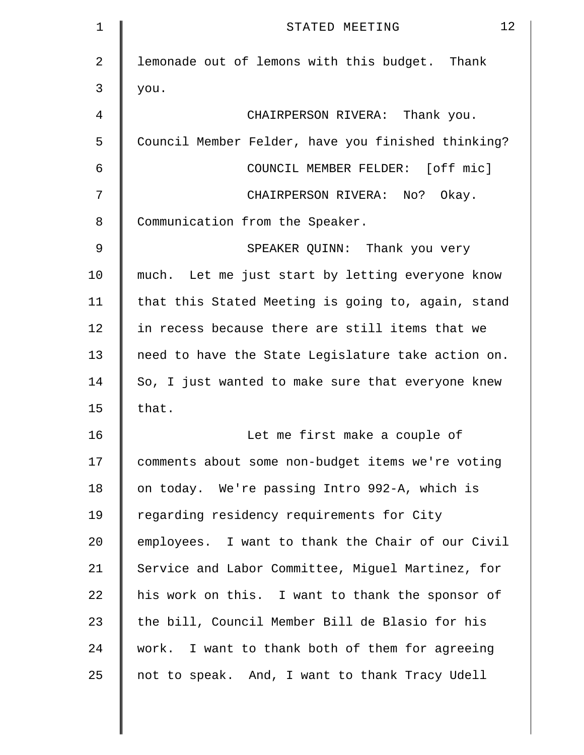| 1              | 12<br>STATED MEETING                               |
|----------------|----------------------------------------------------|
| $\overline{2}$ | lemonade out of lemons with this budget. Thank     |
| 3              | you.                                               |
| 4              | CHAIRPERSON RIVERA: Thank you.                     |
| 5              | Council Member Felder, have you finished thinking? |
| 6              | COUNCIL MEMBER FELDER: [off mic]                   |
| 7              | CHAIRPERSON RIVERA: No? Okay.                      |
| 8              | Communication from the Speaker.                    |
| 9              | SPEAKER QUINN: Thank you very                      |
| 10             | much. Let me just start by letting everyone know   |
| 11             | that this Stated Meeting is going to, again, stand |
| 12             | in recess because there are still items that we    |
| 13             | need to have the State Legislature take action on. |
| 14             | So, I just wanted to make sure that everyone knew  |
| 15             | that.                                              |
| 16             | Let me first make a couple of                      |
| 17             | comments about some non-budget items we're voting  |
| 18             | on today. We're passing Intro 992-A, which is      |
| 19             | regarding residency requirements for City          |
| 20             | employees. I want to thank the Chair of our Civil  |
| 21             | Service and Labor Committee, Miguel Martinez, for  |
| 22             | his work on this. I want to thank the sponsor of   |
| 23             | the bill, Council Member Bill de Blasio for his    |
| 24             | work. I want to thank both of them for agreeing    |
| 25             | not to speak. And, I want to thank Tracy Udell     |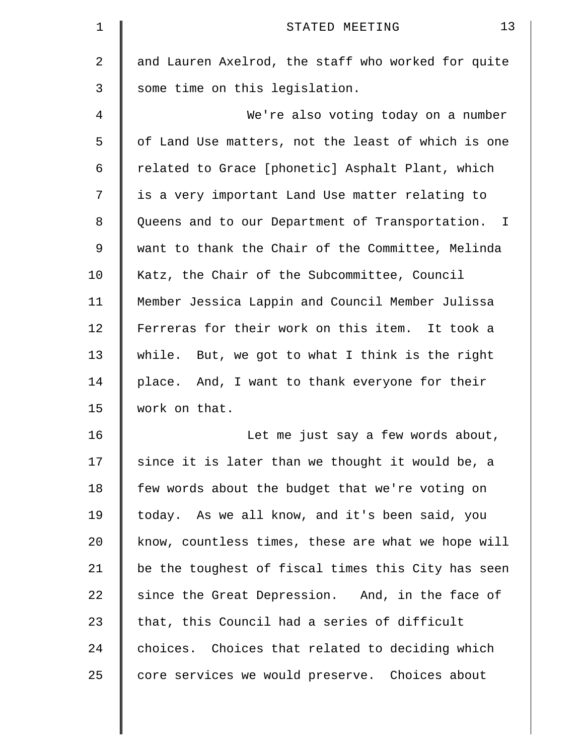| $\mathbf 1$    | 13<br>STATED MEETING                               |
|----------------|----------------------------------------------------|
| $\overline{2}$ | and Lauren Axelrod, the staff who worked for quite |
| 3              | some time on this legislation.                     |
| 4              | We're also voting today on a number                |
| 5              | of Land Use matters, not the least of which is one |
| 6              | related to Grace [phonetic] Asphalt Plant, which   |
| 7              | is a very important Land Use matter relating to    |
| 8              | Queens and to our Department of Transportation. I  |
| $\mathsf 9$    | want to thank the Chair of the Committee, Melinda  |
| 10             | Katz, the Chair of the Subcommittee, Council       |
| 11             | Member Jessica Lappin and Council Member Julissa   |
| 12             | Ferreras for their work on this item. It took a    |
| 13             | while. But, we got to what I think is the right    |
| 14             | place. And, I want to thank everyone for their     |
| 15             | work on that.                                      |
| 16             | Let me just say a few words about,                 |
| 17             | since it is later than we thought it would be, a   |
| 18             | few words about the budget that we're voting on    |
| 19             | today. As we all know, and it's been said, you     |
| 20             | know, countless times, these are what we hope will |
| 21             | be the toughest of fiscal times this City has seen |
| 22             | since the Great Depression. And, in the face of    |
| 23             | that, this Council had a series of difficult       |
| 24             | choices. Choices that related to deciding which    |
| 25             | core services we would preserve. Choices about     |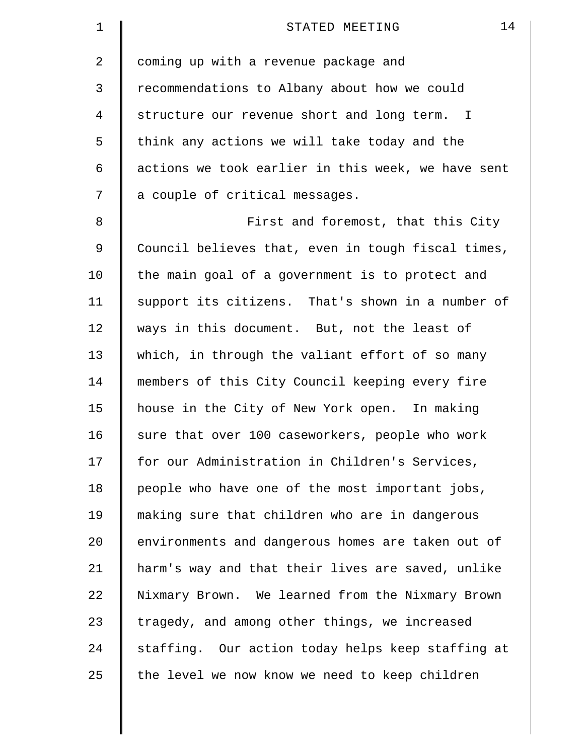| 1              | 14<br>STATED MEETING                               |
|----------------|----------------------------------------------------|
| $\overline{a}$ | coming up with a revenue package and               |
| 3              | recommendations to Albany about how we could       |
| 4              | structure our revenue short and long term. I       |
| 5              | think any actions we will take today and the       |
| 6              | actions we took earlier in this week, we have sent |
| 7              | a couple of critical messages.                     |
| 8              | First and foremost, that this City                 |
| $\mathsf 9$    | Council believes that, even in tough fiscal times, |
| 10             | the main goal of a government is to protect and    |
| 11             | support its citizens. That's shown in a number of  |
| 12             | ways in this document. But, not the least of       |
| 13             | which, in through the valiant effort of so many    |
| 14             | members of this City Council keeping every fire    |
| 15             | house in the City of New York open. In making      |
| 16             | sure that over 100 caseworkers, people who work    |
| 17             | for our Administration in Children's Services,     |
| 18             | people who have one of the most important jobs,    |
| 19             | making sure that children who are in dangerous     |
| 20             | environments and dangerous homes are taken out of  |
| 21             | harm's way and that their lives are saved, unlike  |
| 22             | Nixmary Brown. We learned from the Nixmary Brown   |
| 23             | tragedy, and among other things, we increased      |
| 24             | staffing. Our action today helps keep staffing at  |
| 25             | the level we now know we need to keep children     |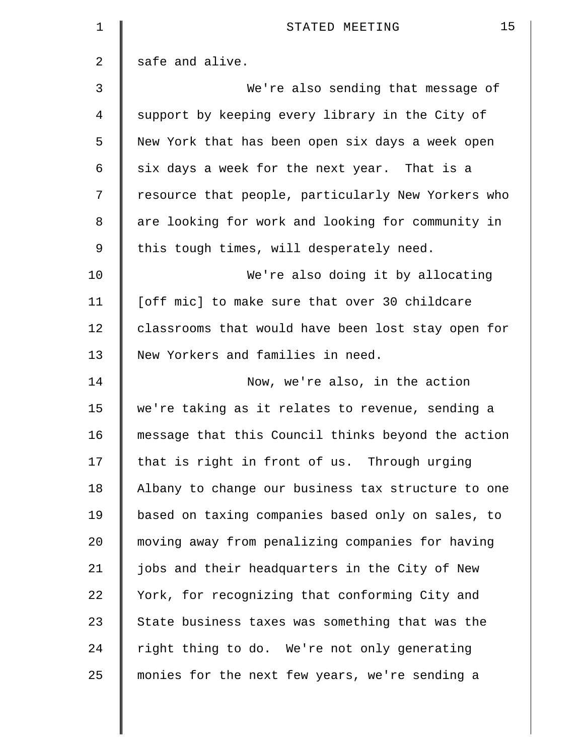| 1              | 15<br>STATED MEETING                               |
|----------------|----------------------------------------------------|
| 2              | safe and alive.                                    |
| 3              | We're also sending that message of                 |
| $\overline{4}$ | support by keeping every library in the City of    |
| 5              | New York that has been open six days a week open   |
| 6              | six days a week for the next year. That is a       |
| 7              | resource that people, particularly New Yorkers who |
| 8              | are looking for work and looking for community in  |
| 9              | this tough times, will desperately need.           |
| 10             | We're also doing it by allocating                  |
| 11             | [off mic] to make sure that over 30 childcare      |
| 12             | classrooms that would have been lost stay open for |
| 13             | New Yorkers and families in need.                  |
| 14             | Now, we're also, in the action                     |
| 15             | we're taking as it relates to revenue, sending a   |
| 16             | message that this Council thinks beyond the action |
| 17             | that is right in front of us. Through urging       |
| 18             | Albany to change our business tax structure to one |
| 19             | based on taxing companies based only on sales, to  |
| 20             | moving away from penalizing companies for having   |
| 21             | jobs and their headquarters in the City of New     |
| 22             | York, for recognizing that conforming City and     |
| 23             | State business taxes was something that was the    |
| 24             | right thing to do. We're not only generating       |
| 25             | monies for the next few years, we're sending a     |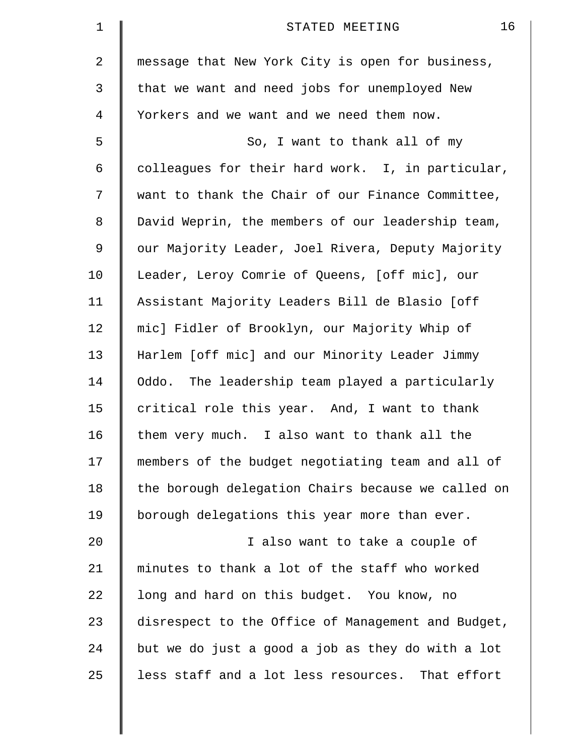| 1              | 16<br>STATED MEETING                               |
|----------------|----------------------------------------------------|
| $\overline{2}$ | message that New York City is open for business,   |
| 3              | that we want and need jobs for unemployed New      |
| 4              | Yorkers and we want and we need them now.          |
| 5              | So, I want to thank all of my                      |
| 6              | colleagues for their hard work. I, in particular,  |
| 7              | want to thank the Chair of our Finance Committee,  |
| 8              | David Weprin, the members of our leadership team,  |
| 9              | our Majority Leader, Joel Rivera, Deputy Majority  |
| 10             | Leader, Leroy Comrie of Queens, [off mic], our     |
| 11             | Assistant Majority Leaders Bill de Blasio [off     |
| 12             | mic] Fidler of Brooklyn, our Majority Whip of      |
| 13             | Harlem [off mic] and our Minority Leader Jimmy     |
| 14             | Oddo. The leadership team played a particularly    |
| 15             | critical role this year. And, I want to thank      |
| 16             | them very much. I also want to thank all the       |
| 17             | members of the budget negotiating team and all of  |
| 18             | the borough delegation Chairs because we called on |
| 19             | borough delegations this year more than ever.      |
| 20             | I also want to take a couple of                    |
| 21             | minutes to thank a lot of the staff who worked     |
| 22             | long and hard on this budget. You know, no         |
| 23             | disrespect to the Office of Management and Budget, |
| 24             | but we do just a good a job as they do with a lot  |
| 25             | less staff and a lot less resources. That effort   |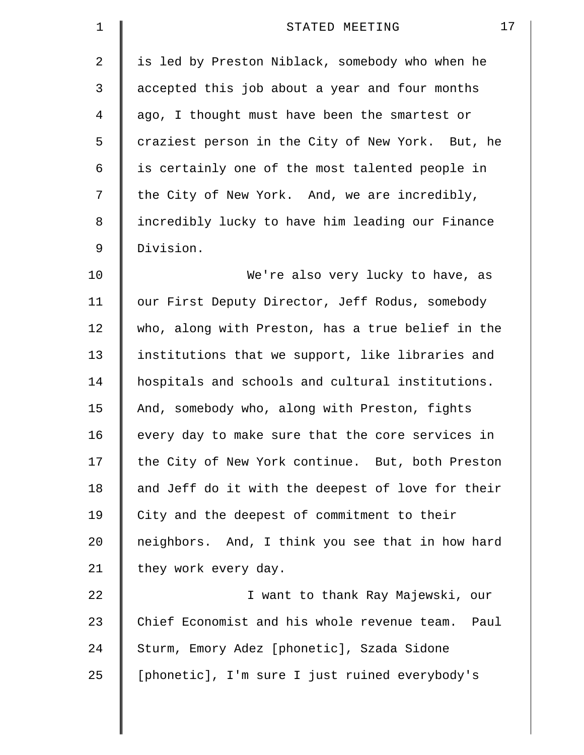| 17<br>STATED MEETING                              |
|---------------------------------------------------|
| is led by Preston Niblack, somebody who when he   |
| accepted this job about a year and four months    |
| ago, I thought must have been the smartest or     |
| craziest person in the City of New York. But, he  |
| is certainly one of the most talented people in   |
| the City of New York. And, we are incredibly,     |
| incredibly lucky to have him leading our Finance  |
| Division.                                         |
| We're also very lucky to have, as                 |
| our First Deputy Director, Jeff Rodus, somebody   |
| who, along with Preston, has a true belief in the |
| institutions that we support, like libraries and  |
| hospitals and schools and cultural institutions.  |
| And, somebody who, along with Preston, fights     |
| every day to make sure that the core services in  |
| the City of New York continue. But, both Preston  |
| and Jeff do it with the deepest of love for their |
| City and the deepest of commitment to their       |
| neighbors. And, I think you see that in how hard  |
| they work every day.                              |
| I want to thank Ray Majewski, our                 |
| Chief Economist and his whole revenue team. Paul  |
| Sturm, Emory Adez [phonetic], Szada Sidone        |
| [phonetic], I'm sure I just ruined everybody's    |
|                                                   |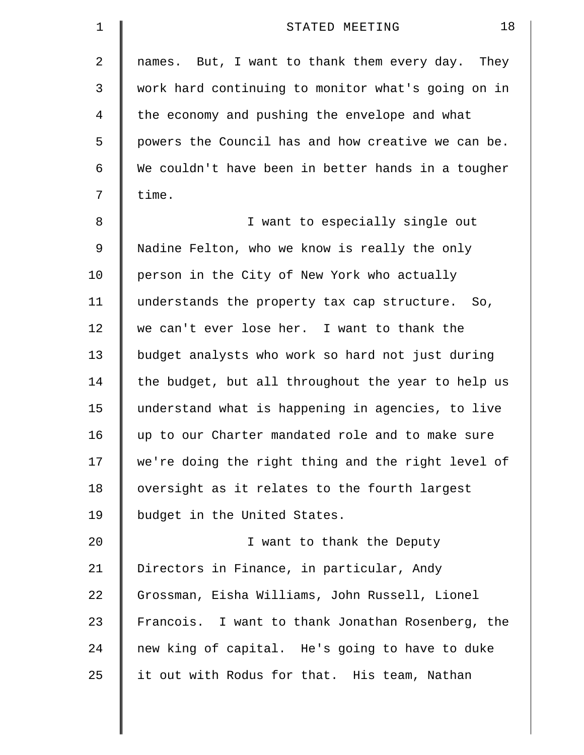| 1  | 18<br>STATED MEETING                               |
|----|----------------------------------------------------|
| 2  | names. But, I want to thank them every day. They   |
| 3  | work hard continuing to monitor what's going on in |
| 4  | the economy and pushing the envelope and what      |
| 5  | powers the Council has and how creative we can be. |
| 6  | We couldn't have been in better hands in a tougher |
| 7  | time.                                              |
| 8  | I want to especially single out                    |
| 9  | Nadine Felton, who we know is really the only      |
| 10 | person in the City of New York who actually        |
| 11 | understands the property tax cap structure. So,    |
| 12 | we can't ever lose her. I want to thank the        |
| 13 | budget analysts who work so hard not just during   |
| 14 | the budget, but all throughout the year to help us |
| 15 | understand what is happening in agencies, to live  |
| 16 | up to our Charter mandated role and to make sure   |
| 17 | we're doing the right thing and the right level of |
| 18 | oversight as it relates to the fourth largest      |
| 19 | budget in the United States.                       |
| 20 | I want to thank the Deputy                         |
| 21 | Directors in Finance, in particular, Andy          |
| 22 | Grossman, Eisha Williams, John Russell, Lionel     |
| 23 | Francois. I want to thank Jonathan Rosenberg, the  |
| 24 | new king of capital. He's going to have to duke    |
| 25 | it out with Rodus for that. His team, Nathan       |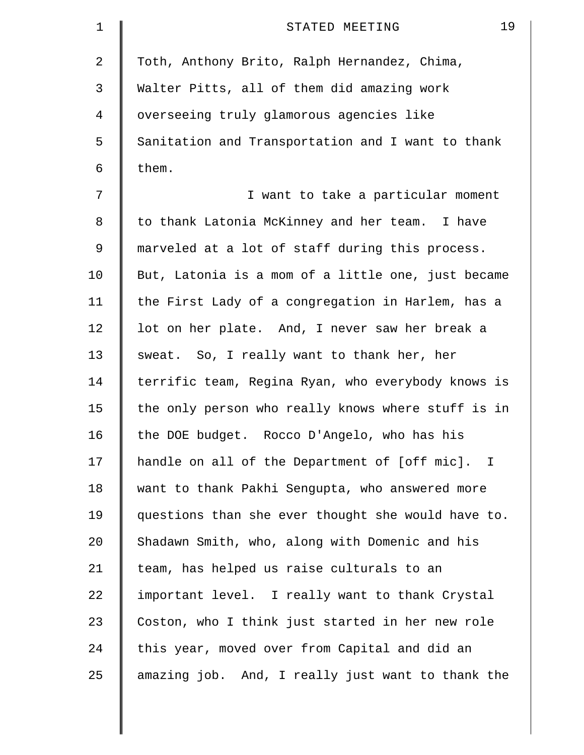| $\mathbf 1$ | 19<br>STATED MEETING                               |
|-------------|----------------------------------------------------|
| 2           | Toth, Anthony Brito, Ralph Hernandez, Chima,       |
| 3           | Walter Pitts, all of them did amazing work         |
| 4           | overseeing truly glamorous agencies like           |
| 5           | Sanitation and Transportation and I want to thank  |
| 6           | them.                                              |
| 7           | I want to take a particular moment                 |
| 8           | to thank Latonia McKinney and her team. I have     |
| 9           | marveled at a lot of staff during this process.    |
| 10          | But, Latonia is a mom of a little one, just became |
| 11          | the First Lady of a congregation in Harlem, has a  |
| 12          | lot on her plate. And, I never saw her break a     |
| 13          | sweat. So, I really want to thank her, her         |
| 14          | terrific team, Regina Ryan, who everybody knows is |
| 15          | the only person who really knows where stuff is in |
| 16          | the DOE budget. Rocco D'Angelo, who has his        |
| 17          | handle on all of the Department of [off mic]. I    |
| 18          | want to thank Pakhi Sengupta, who answered more    |
| 19          | questions than she ever thought she would have to. |
| 20          | Shadawn Smith, who, along with Domenic and his     |
| 21          | team, has helped us raise culturals to an          |
| 22          | important level. I really want to thank Crystal    |
| 23          | Coston, who I think just started in her new role   |
| 24          | this year, moved over from Capital and did an      |
| 25          | amazing job. And, I really just want to thank the  |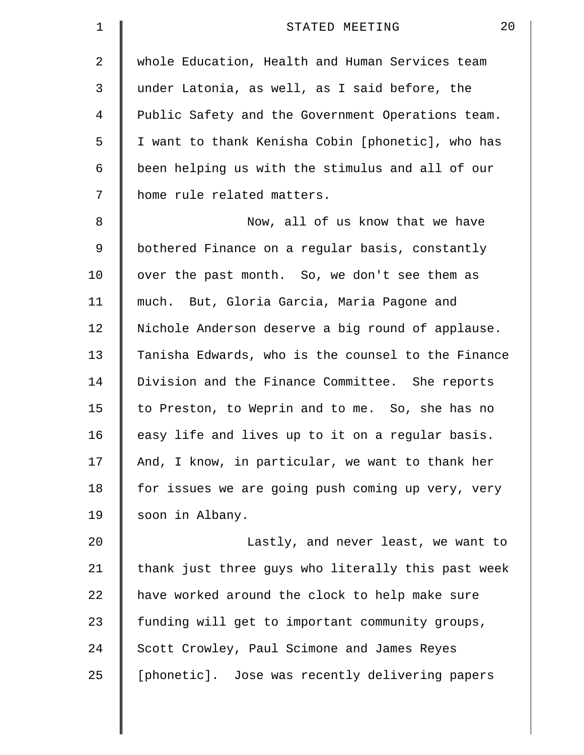| $\mathbf 1$    | 20<br>STATED MEETING                               |
|----------------|----------------------------------------------------|
| $\overline{2}$ | whole Education, Health and Human Services team    |
| 3              | under Latonia, as well, as I said before, the      |
| 4              | Public Safety and the Government Operations team.  |
| 5              | I want to thank Kenisha Cobin [phonetic], who has  |
| 6              | been helping us with the stimulus and all of our   |
| 7              | home rule related matters.                         |
| 8              | Now, all of us know that we have                   |
| 9              | bothered Finance on a regular basis, constantly    |
| 10             | over the past month. So, we don't see them as      |
| 11             | much. But, Gloria Garcia, Maria Pagone and         |
| 12             | Nichole Anderson deserve a big round of applause.  |
| 13             | Tanisha Edwards, who is the counsel to the Finance |
| 14             | Division and the Finance Committee. She reports    |
| 15             | to Preston, to Weprin and to me. So, she has no    |
| 16             | easy life and lives up to it on a regular basis.   |
| 17             | And, I know, in particular, we want to thank her   |
| 18             | for issues we are going push coming up very, very  |
| 19             | soon in Albany.                                    |
| 20             | Lastly, and never least, we want to                |
| 21             | thank just three guys who literally this past week |
| 22             | have worked around the clock to help make sure     |
| 23             | funding will get to important community groups,    |
| 24             | Scott Crowley, Paul Scimone and James Reyes        |
| 25             | [phonetic]. Jose was recently delivering papers    |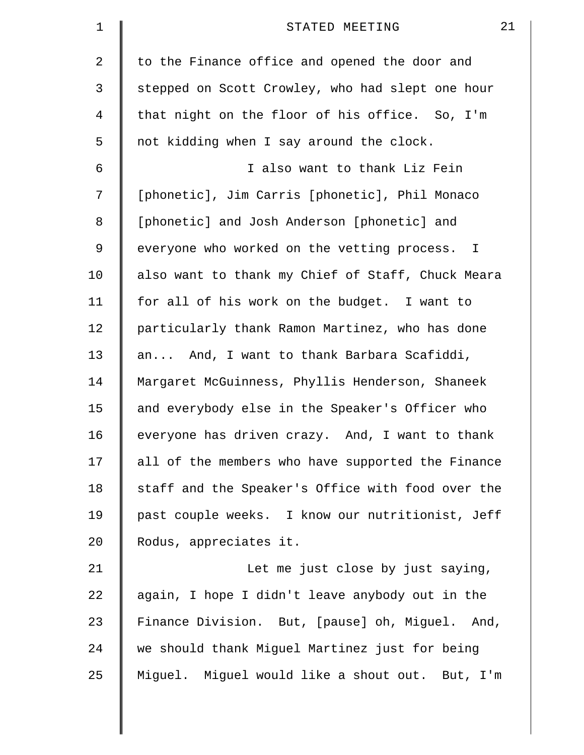| 1              | 21<br>STATED MEETING                              |
|----------------|---------------------------------------------------|
| $\overline{2}$ | to the Finance office and opened the door and     |
| 3              | stepped on Scott Crowley, who had slept one hour  |
| $\overline{4}$ | that night on the floor of his office. So, I'm    |
| 5              | not kidding when I say around the clock.          |
| 6              | I also want to thank Liz Fein                     |
| 7              | [phonetic], Jim Carris [phonetic], Phil Monaco    |
| 8              | [phonetic] and Josh Anderson [phonetic] and       |
| $\mathsf 9$    | everyone who worked on the vetting process. I     |
| 10             | also want to thank my Chief of Staff, Chuck Meara |
| 11             | for all of his work on the budget. I want to      |
| 12             | particularly thank Ramon Martinez, who has done   |
| 13             | an And, I want to thank Barbara Scafiddi,         |
| 14             | Margaret McGuinness, Phyllis Henderson, Shaneek   |
| 15             | and everybody else in the Speaker's Officer who   |
| 16             | everyone has driven crazy. And, I want to thank   |
| 17             | all of the members who have supported the Finance |
| 18             | staff and the Speaker's Office with food over the |
| 19             | past couple weeks. I know our nutritionist, Jeff  |
| 20             | Rodus, appreciates it.                            |
| 21             | Let me just close by just saying,                 |
| 22             | again, I hope I didn't leave anybody out in the   |
| 23             | Finance Division. But, [pause] oh, Miguel. And,   |
| 24             | we should thank Miguel Martinez just for being    |
| 25             | Miguel. Miguel would like a shout out. But, I'm   |
|                |                                                   |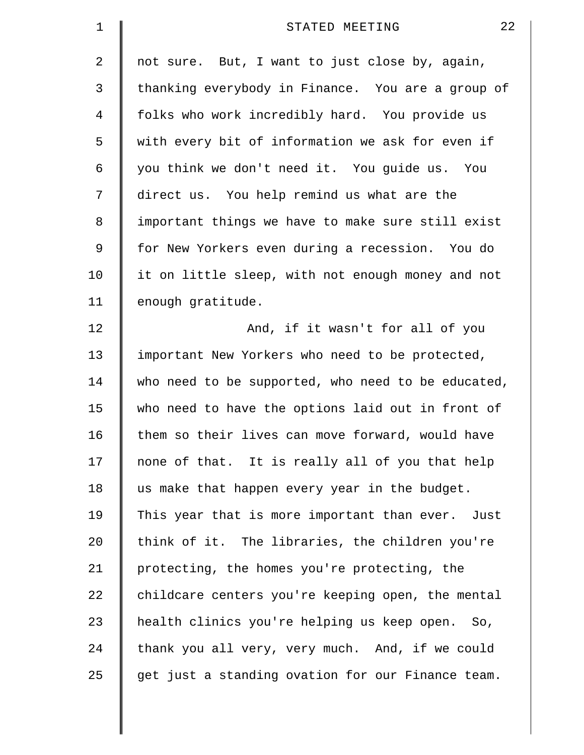| 1  | 22<br>STATED MEETING                               |
|----|----------------------------------------------------|
| 2  | not sure. But, I want to just close by, again,     |
| 3  | thanking everybody in Finance. You are a group of  |
| 4  | folks who work incredibly hard. You provide us     |
| 5  | with every bit of information we ask for even if   |
| 6  | you think we don't need it. You guide us. You      |
| 7  | direct us. You help remind us what are the         |
| 8  | important things we have to make sure still exist  |
| 9  | for New Yorkers even during a recession. You do    |
| 10 | it on little sleep, with not enough money and not  |
| 11 | enough gratitude.                                  |
| 12 | And, if it wasn't for all of you                   |
| 13 | important New Yorkers who need to be protected,    |
| 14 | who need to be supported, who need to be educated, |
| 15 | who need to have the options laid out in front of  |
| 16 | them so their lives can move forward, would have   |
| 17 | none of that. It is really all of you that help    |
| 18 | us make that happen every year in the budget.      |
| 19 | This year that is more important than ever. Just   |
| 20 | think of it. The libraries, the children you're    |
| 21 | protecting, the homes you're protecting, the       |
| 22 | childcare centers you're keeping open, the mental  |
| 23 | health clinics you're helping us keep open. So,    |
| 24 | thank you all very, very much. And, if we could    |
| 25 | get just a standing ovation for our Finance team.  |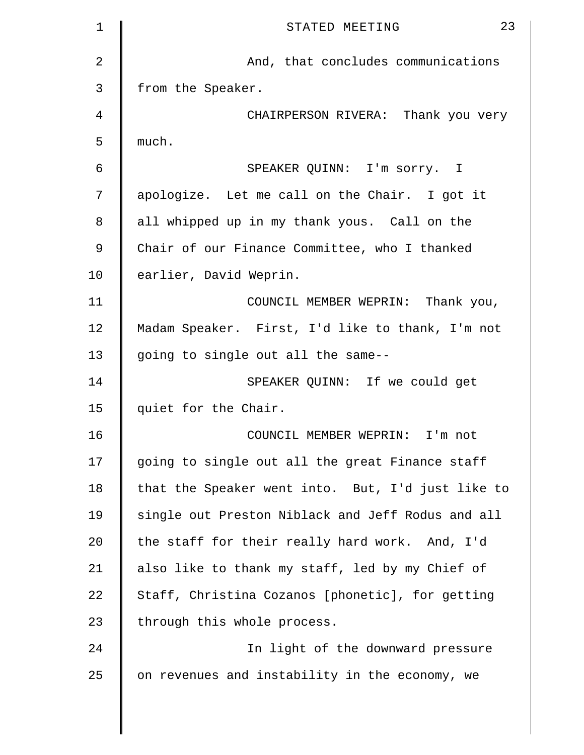| $\mathbf 1$    | 23<br>STATED MEETING                              |
|----------------|---------------------------------------------------|
| $\overline{2}$ | And, that concludes communications                |
| 3              | from the Speaker.                                 |
| 4              | CHAIRPERSON RIVERA: Thank you very                |
| 5              | much.                                             |
| 6              | SPEAKER QUINN: I'm sorry. I                       |
| 7              | apologize. Let me call on the Chair. I got it     |
| 8              | all whipped up in my thank yous. Call on the      |
| 9              | Chair of our Finance Committee, who I thanked     |
| 10             | earlier, David Weprin.                            |
| 11             | COUNCIL MEMBER WEPRIN: Thank you,                 |
| 12             | Madam Speaker. First, I'd like to thank, I'm not  |
| 13             | going to single out all the same--                |
| 14             | SPEAKER QUINN: If we could get                    |
| 15             | quiet for the Chair.                              |
| 16             | COUNCIL MEMBER WEPRIN: I'm not                    |
| 17             | going to single out all the great Finance staff   |
| 18             | that the Speaker went into. But, I'd just like to |
| 19             | single out Preston Niblack and Jeff Rodus and all |
| 20             | the staff for their really hard work. And, I'd    |
| 21             | also like to thank my staff, led by my Chief of   |
| 22             | Staff, Christina Cozanos [phonetic], for getting  |
| 23             | through this whole process.                       |
| 24             | In light of the downward pressure                 |
| 25             | on revenues and instability in the economy, we    |
|                |                                                   |
|                |                                                   |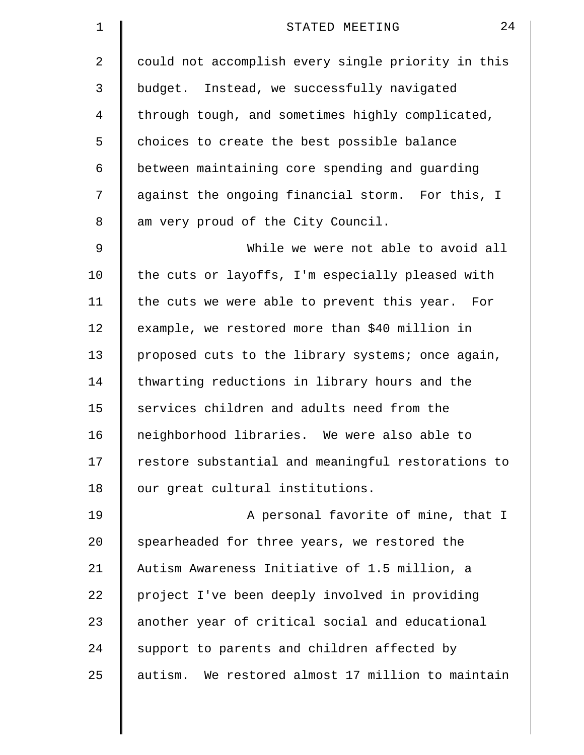| $\mathbf 1$ | 24<br>STATED MEETING                               |
|-------------|----------------------------------------------------|
| 2           | could not accomplish every single priority in this |
| 3           | budget. Instead, we successfully navigated         |
| 4           | through tough, and sometimes highly complicated,   |
| 5           | choices to create the best possible balance        |
| 6           | between maintaining core spending and guarding     |
| 7           | against the ongoing financial storm. For this, I   |
| 8           | am very proud of the City Council.                 |
| 9           | While we were not able to avoid all                |
| 10          | the cuts or layoffs, I'm especially pleased with   |
| 11          | the cuts we were able to prevent this year. For    |
| 12          | example, we restored more than \$40 million in     |
| 13          | proposed cuts to the library systems; once again,  |
| 14          | thwarting reductions in library hours and the      |
| 15          | services children and adults need from the         |
| 16          | neighborhood libraries. We were also able to       |
| 17          | restore substantial and meaningful restorations to |
| 18          | our great cultural institutions.                   |
| 19          | A personal favorite of mine, that I                |
| 20          | spearheaded for three years, we restored the       |
| 21          | Autism Awareness Initiative of 1.5 million, a      |
| 22          | project I've been deeply involved in providing     |
| 23          | another year of critical social and educational    |
| 24          | support to parents and children affected by        |
| 25          | autism. We restored almost 17 million to maintain  |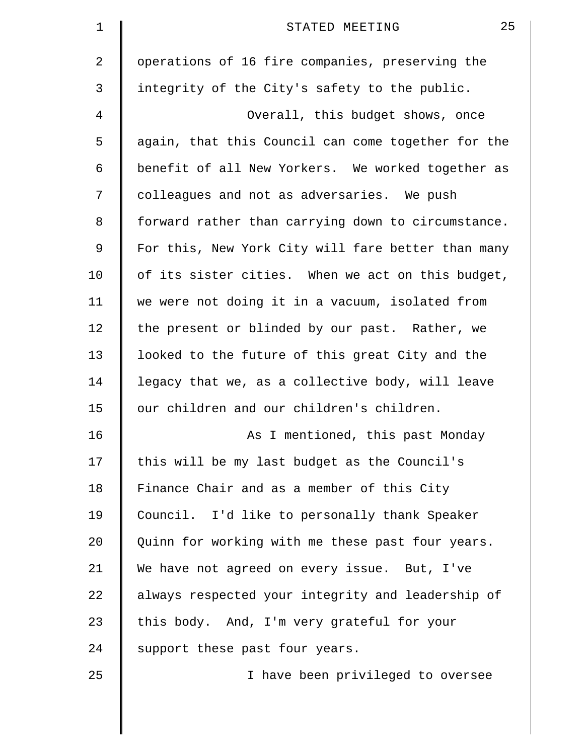| $\mathbf 1$ | 25<br>STATED MEETING                               |
|-------------|----------------------------------------------------|
| 2           | operations of 16 fire companies, preserving the    |
| 3           | integrity of the City's safety to the public.      |
| 4           | Overall, this budget shows, once                   |
| 5           | again, that this Council can come together for the |
| 6           | benefit of all New Yorkers. We worked together as  |
| 7           | colleagues and not as adversaries. We push         |
| 8           | forward rather than carrying down to circumstance. |
| 9           | For this, New York City will fare better than many |
| 10          | of its sister cities. When we act on this budget,  |
| 11          | we were not doing it in a vacuum, isolated from    |
| 12          | the present or blinded by our past. Rather, we     |
| 13          | looked to the future of this great City and the    |
| 14          | legacy that we, as a collective body, will leave   |
| 15          | our children and our children's children.          |
| 16          | As I mentioned, this past Monday                   |
| 17          | this will be my last budget as the Council's       |
| 18          | Finance Chair and as a member of this City         |
| 19          | Council. I'd like to personally thank Speaker      |
| 20          | Quinn for working with me these past four years.   |
| 21          | We have not agreed on every issue. But, I've       |
| 22          | always respected your integrity and leadership of  |
| 23          | this body. And, I'm very grateful for your         |
| 24          | support these past four years.                     |
| 25          | I have been privileged to oversee                  |
|             |                                                    |
|             |                                                    |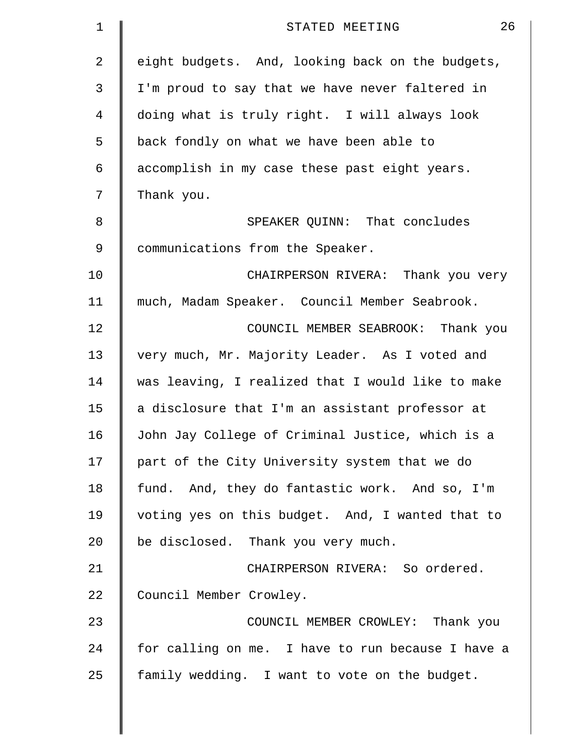| 1  | 26<br>STATED MEETING                              |
|----|---------------------------------------------------|
| 2  | eight budgets. And, looking back on the budgets,  |
| 3  | I'm proud to say that we have never faltered in   |
| 4  | doing what is truly right. I will always look     |
| 5  | back fondly on what we have been able to          |
| 6  | accomplish in my case these past eight years.     |
| 7  | Thank you.                                        |
| 8  | SPEAKER QUINN: That concludes                     |
| 9  | communications from the Speaker.                  |
| 10 | CHAIRPERSON RIVERA: Thank you very                |
| 11 | much, Madam Speaker. Council Member Seabrook.     |
| 12 | COUNCIL MEMBER SEABROOK: Thank you                |
| 13 | very much, Mr. Majority Leader. As I voted and    |
| 14 | was leaving, I realized that I would like to make |
| 15 | a disclosure that I'm an assistant professor at   |
| 16 | John Jay College of Criminal Justice, which is a  |
| 17 | part of the City University system that we do     |
| 18 | fund. And, they do fantastic work. And so, I'm    |
| 19 | voting yes on this budget. And, I wanted that to  |
| 20 | be disclosed. Thank you very much.                |
| 21 | CHAIRPERSON RIVERA: So ordered.                   |
| 22 | Council Member Crowley.                           |
| 23 | COUNCIL MEMBER CROWLEY: Thank you                 |
| 24 | for calling on me. I have to run because I have a |
| 25 | family wedding. I want to vote on the budget.     |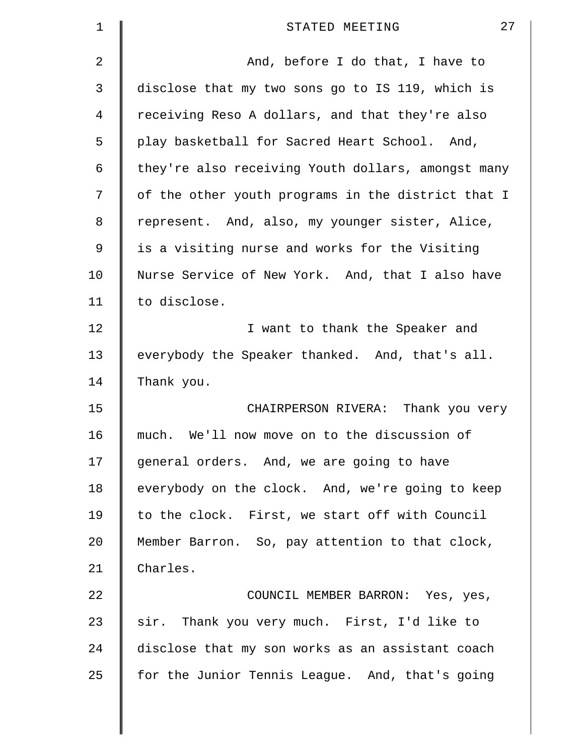| $\mathbf 1$    | 27<br>STATED MEETING                               |
|----------------|----------------------------------------------------|
| $\overline{2}$ | And, before I do that, I have to                   |
| 3              | disclose that my two sons go to IS 119, which is   |
| 4              | receiving Reso A dollars, and that they're also    |
| 5              | play basketball for Sacred Heart School. And,      |
| 6              | they're also receiving Youth dollars, amongst many |
| 7              | of the other youth programs in the district that I |
| 8              | represent. And, also, my younger sister, Alice,    |
| 9              | is a visiting nurse and works for the Visiting     |
| 10             | Nurse Service of New York. And, that I also have   |
| 11             | to disclose.                                       |
| 12             | I want to thank the Speaker and                    |
| 13             | everybody the Speaker thanked. And, that's all.    |
| 14             | Thank you.                                         |
| 15             | CHAIRPERSON RIVERA: Thank you very                 |
| 16             | We'll now move on to the discussion of<br>much.    |
| 17             | general orders. And, we are going to have          |
| 18             | everybody on the clock. And, we're going to keep   |
| 19             | to the clock. First, we start off with Council     |
| 20             | Member Barron. So, pay attention to that clock,    |
| 21             | Charles.                                           |
| 22             | COUNCIL MEMBER BARRON: Yes, yes,                   |
| 23             | sir. Thank you very much. First, I'd like to       |
| 24             | disclose that my son works as an assistant coach   |
| 25             | for the Junior Tennis League. And, that's going    |
|                |                                                    |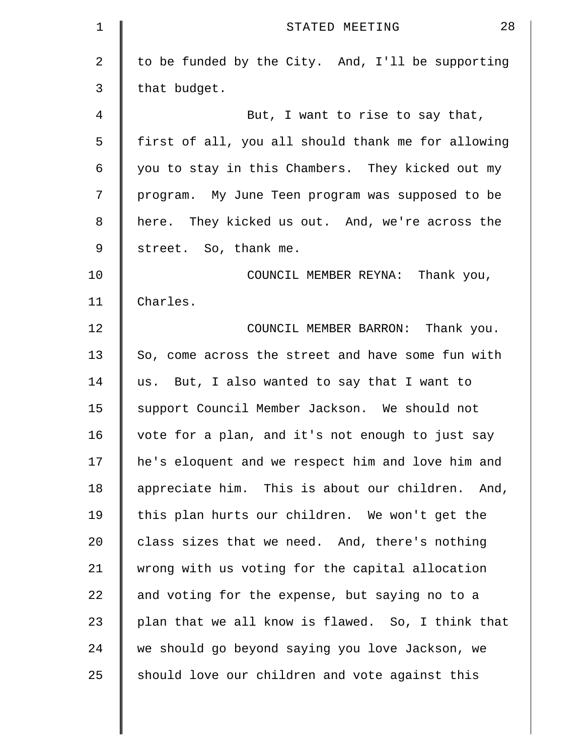| 1           | 28<br>STATED MEETING                               |
|-------------|----------------------------------------------------|
| 2           | to be funded by the City. And, I'll be supporting  |
| 3           | that budget.                                       |
| 4           | But, I want to rise to say that,                   |
| 5           | first of all, you all should thank me for allowing |
| 6           | you to stay in this Chambers. They kicked out my   |
| 7           | program. My June Teen program was supposed to be   |
| 8           | here. They kicked us out. And, we're across the    |
| $\mathsf 9$ | street. So, thank me.                              |
| 10          | COUNCIL MEMBER REYNA: Thank you,                   |
| 11          | Charles.                                           |
| 12          | COUNCIL MEMBER BARRON: Thank you.                  |
| 13          | So, come across the street and have some fun with  |
| 14          | us. But, I also wanted to say that I want to       |
| 15          | support Council Member Jackson. We should not      |
| 16          | vote for a plan, and it's not enough to just say   |
| 17          | he's eloquent and we respect him and love him and  |
| 18          | appreciate him. This is about our children. And,   |
| 19          | this plan hurts our children. We won't get the     |
| 20          | class sizes that we need. And, there's nothing     |
| 21          | wrong with us voting for the capital allocation    |
| 22          | and voting for the expense, but saying no to a     |
| 23          | plan that we all know is flawed. So, I think that  |
| 24          | we should go beyond saying you love Jackson, we    |
| 25          | should love our children and vote against this     |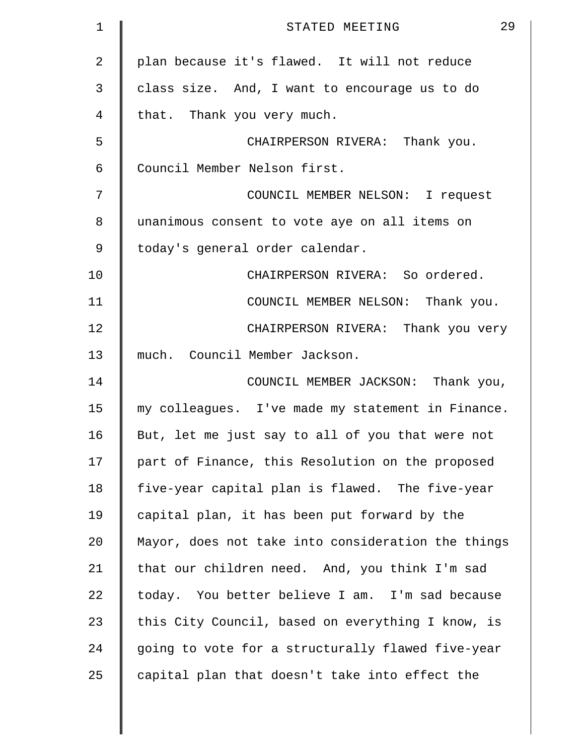| $\mathbf 1$    | 29<br>STATED MEETING                               |
|----------------|----------------------------------------------------|
| $\overline{2}$ | plan because it's flawed. It will not reduce       |
| 3              | class size. And, I want to encourage us to do      |
| 4              | that. Thank you very much.                         |
| 5              | CHAIRPERSON RIVERA: Thank you.                     |
| 6              | Council Member Nelson first.                       |
| 7              | COUNCIL MEMBER NELSON: I request                   |
| 8              | unanimous consent to vote aye on all items on      |
| 9              | today's general order calendar.                    |
| 10             | CHAIRPERSON RIVERA: So ordered.                    |
| 11             | COUNCIL MEMBER NELSON: Thank you.                  |
| 12             | CHAIRPERSON RIVERA: Thank you very                 |
| 13             | much. Council Member Jackson.                      |
| 14             | COUNCIL MEMBER JACKSON: Thank you,                 |
| 15             | my colleagues. I've made my statement in Finance.  |
| 16             | But, let me just say to all of you that were not   |
| 17             | part of Finance, this Resolution on the proposed   |
| 18             | five-year capital plan is flawed. The five-year    |
| 19             | capital plan, it has been put forward by the       |
| 20             | Mayor, does not take into consideration the things |
| 21             | that our children need. And, you think I'm sad     |
| 22             | today. You better believe I am. I'm sad because    |
| 23             | this City Council, based on everything I know, is  |
| 24             | going to vote for a structurally flawed five-year  |
| 25             | capital plan that doesn't take into effect the     |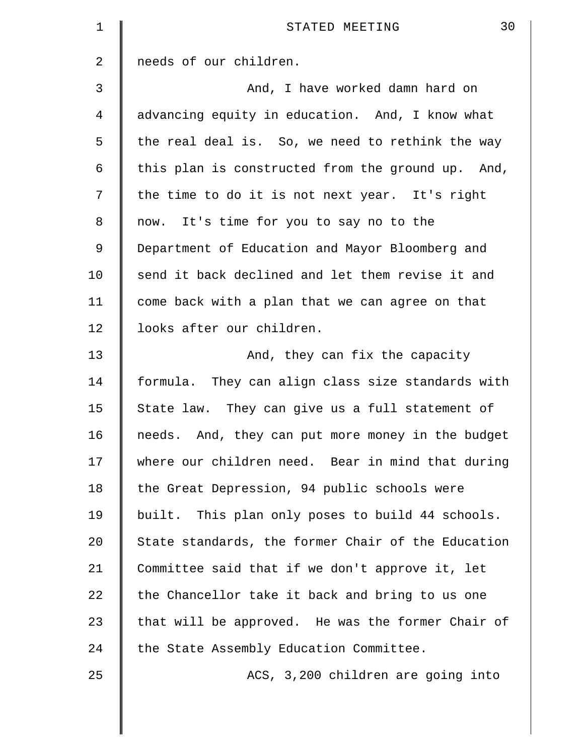| 1              | 30<br>STATED MEETING                               |
|----------------|----------------------------------------------------|
| $\overline{a}$ | needs of our children.                             |
| 3              | And, I have worked damn hard on                    |
| 4              | advancing equity in education. And, I know what    |
| 5              | the real deal is. So, we need to rethink the way   |
| 6              | this plan is constructed from the ground up. And,  |
| 7              | the time to do it is not next year. It's right     |
| 8              | now. It's time for you to say no to the            |
| 9              | Department of Education and Mayor Bloomberg and    |
| 10             | send it back declined and let them revise it and   |
| 11             | come back with a plan that we can agree on that    |
| 12             | looks after our children.                          |
| 13             | And, they can fix the capacity                     |
| 14             | formula. They can align class size standards with  |
| 15             | State law. They can give us a full statement of    |
| 16             | needs. And, they can put more money in the budget  |
| 17             | where our children need. Bear in mind that during  |
| 18             | the Great Depression, 94 public schools were       |
| 19             | built. This plan only poses to build 44 schools.   |
| 20             | State standards, the former Chair of the Education |
| 21             | Committee said that if we don't approve it, let    |
| 22             | the Chancellor take it back and bring to us one    |
| 23             | that will be approved. He was the former Chair of  |
| 24             | the State Assembly Education Committee.            |
| 25             | ACS, 3,200 children are going into                 |
|                |                                                    |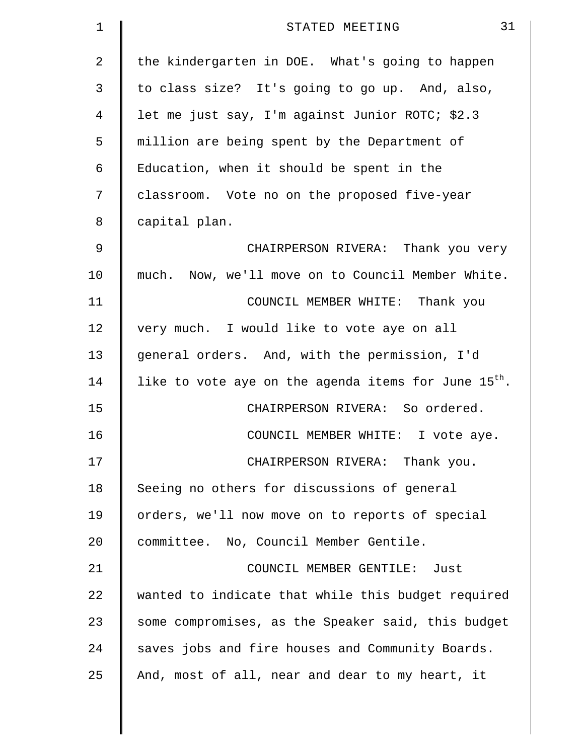| $\mathbf 1$    | 31<br>STATED MEETING                                      |
|----------------|-----------------------------------------------------------|
| $\overline{2}$ | the kindergarten in DOE. What's going to happen           |
| 3              | to class size? It's going to go up. And, also,            |
| 4              | let me just say, I'm against Junior ROTC; \$2.3           |
| 5              | million are being spent by the Department of              |
| 6              | Education, when it should be spent in the                 |
| 7              | classroom. Vote no on the proposed five-year              |
| 8              | capital plan.                                             |
| 9              | CHAIRPERSON RIVERA: Thank you very                        |
| 10             | much. Now, we'll move on to Council Member White.         |
| 11             | COUNCIL MEMBER WHITE: Thank you                           |
| 12             | very much. I would like to vote aye on all                |
| 13             | general orders. And, with the permission, I'd             |
| 14             | like to vote aye on the agenda items for June $15^{th}$ . |
| 15             | CHAIRPERSON RIVERA: So ordered.                           |
| 16             | COUNCIL MEMBER WHITE: I vote aye.                         |
| 17             | CHAIRPERSON RIVERA: Thank you.                            |
| 18             | Seeing no others for discussions of general               |
| 19             | orders, we'll now move on to reports of special           |
| 20             | committee. No, Council Member Gentile.                    |
| 21             | COUNCIL MEMBER GENTILE: Just                              |
| 22             | wanted to indicate that while this budget required        |
| 23             | some compromises, as the Speaker said, this budget        |
| 24             | saves jobs and fire houses and Community Boards.          |
| 25             | And, most of all, near and dear to my heart, it           |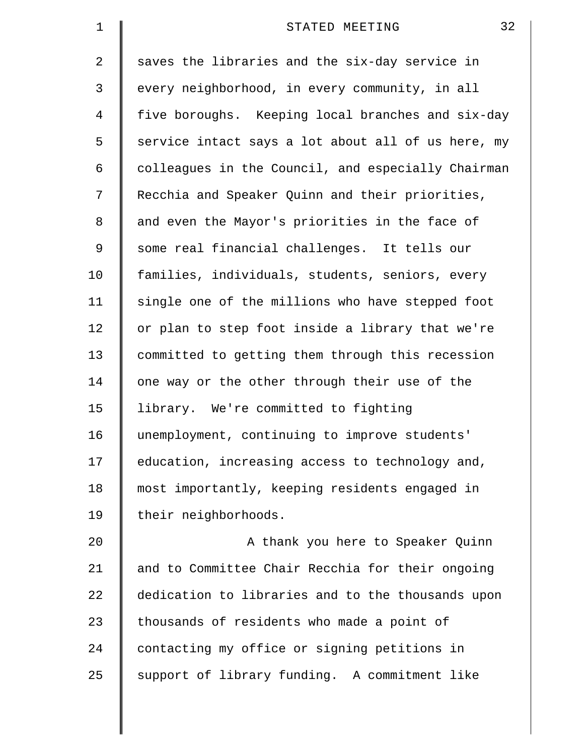| $\mathbf 1$ | 32<br>STATED MEETING                               |
|-------------|----------------------------------------------------|
| 2           | saves the libraries and the six-day service in     |
| 3           | every neighborhood, in every community, in all     |
| 4           | five boroughs. Keeping local branches and six-day  |
| 5           | service intact says a lot about all of us here, my |
| 6           | colleagues in the Council, and especially Chairman |
| 7           | Recchia and Speaker Quinn and their priorities,    |
| 8           | and even the Mayor's priorities in the face of     |
| 9           | some real financial challenges. It tells our       |
| 10          | families, individuals, students, seniors, every    |
| 11          | single one of the millions who have stepped foot   |
| 12          | or plan to step foot inside a library that we're   |
| 13          | committed to getting them through this recession   |
| 14          | one way or the other through their use of the      |
| 15          | library. We're committed to fighting               |
| 16          | unemployment, continuing to improve students'      |
| 17          | education, increasing access to technology and,    |
| 18          | most importantly, keeping residents engaged in     |
| 19          | their neighborhoods.                               |
| 20          | A thank you here to Speaker Quinn                  |
| 21          | and to Committee Chair Recchia for their ongoing   |
| 22          | dedication to libraries and to the thousands upon  |
| 23          | thousands of residents who made a point of         |
| 24          | contacting my office or signing petitions in       |
| 25          | support of library funding. A commitment like      |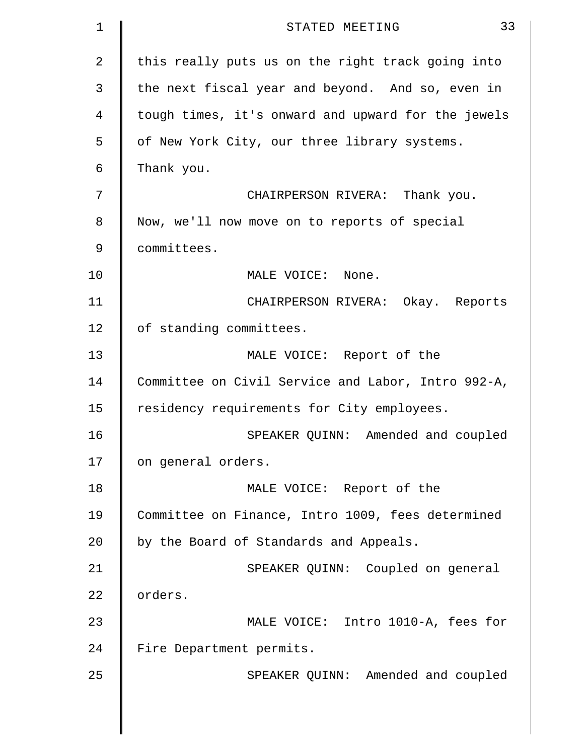| $\mathbf 1$    | 33<br>STATED MEETING                               |
|----------------|----------------------------------------------------|
| $\overline{2}$ | this really puts us on the right track going into  |
| 3              | the next fiscal year and beyond. And so, even in   |
| 4              | tough times, it's onward and upward for the jewels |
| 5              | of New York City, our three library systems.       |
| 6              | Thank you.                                         |
| 7              | CHAIRPERSON RIVERA: Thank you.                     |
| 8              | Now, we'll now move on to reports of special       |
| 9              | committees.                                        |
| 10             | MALE VOICE: None.                                  |
| 11             | CHAIRPERSON RIVERA: Okay. Reports                  |
| 12             | of standing committees.                            |
| 13             | MALE VOICE: Report of the                          |
| 14             | Committee on Civil Service and Labor, Intro 992-A, |
| 15             | residency requirements for City employees.         |
| 16             | SPEAKER QUINN: Amended and coupled                 |
| 17             | on general orders.                                 |
| 18             | MALE VOICE: Report of the                          |
| 19             | Committee on Finance, Intro 1009, fees determined  |
| 20             | by the Board of Standards and Appeals.             |
| 21             | SPEAKER QUINN: Coupled on general                  |
| 22             | orders.                                            |
| 23             | MALE VOICE: Intro 1010-A, fees for                 |
| 24             | Fire Department permits.                           |
| 25             | SPEAKER QUINN: Amended and coupled                 |
|                |                                                    |
|                |                                                    |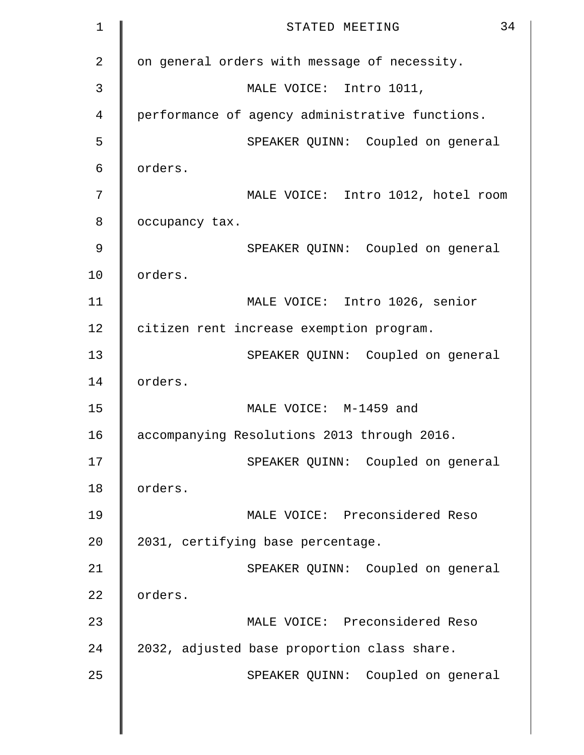| $\mathbf 1$    | 34<br>STATED MEETING                            |
|----------------|-------------------------------------------------|
| $\overline{2}$ | on general orders with message of necessity.    |
| 3              | MALE VOICE: Intro 1011,                         |
| $\overline{4}$ | performance of agency administrative functions. |
| 5              | SPEAKER QUINN: Coupled on general               |
| 6              | orders.                                         |
| 7              | MALE VOICE: Intro 1012, hotel room              |
| 8              | occupancy tax.                                  |
| 9              | SPEAKER QUINN: Coupled on general               |
| 10             | orders.                                         |
| 11             | MALE VOICE: Intro 1026, senior                  |
| 12             | citizen rent increase exemption program.        |
| 13             | SPEAKER QUINN: Coupled on general               |
| 14             | orders.                                         |
| 15             | MALE VOICE: M-1459 and                          |
| 16             | accompanying Resolutions 2013 through 2016.     |
| 17             | SPEAKER QUINN: Coupled on general               |
| 18             | orders.                                         |
| 19             | MALE VOICE: Preconsidered Reso                  |
| 20             | 2031, certifying base percentage.               |
| 21             | SPEAKER QUINN: Coupled on general               |
| 22             | orders.                                         |
| 23             | MALE VOICE: Preconsidered Reso                  |
| 24             | 2032, adjusted base proportion class share.     |
| 25             | SPEAKER QUINN: Coupled on general               |
|                |                                                 |
|                |                                                 |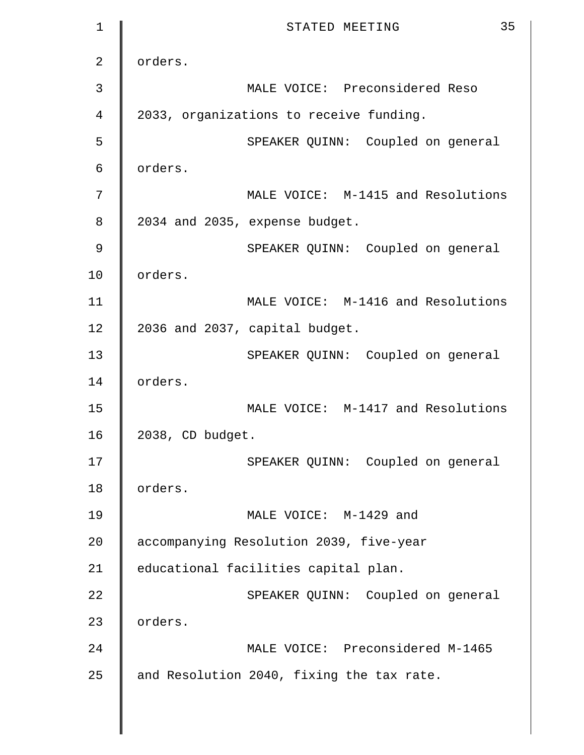| 1              | 35<br>STATED MEETING                      |
|----------------|-------------------------------------------|
| $\overline{2}$ | orders.                                   |
| 3              | MALE VOICE: Preconsidered Reso            |
| 4              | 2033, organizations to receive funding.   |
| 5              | SPEAKER QUINN: Coupled on general         |
| 6              | orders.                                   |
| 7              | MALE VOICE: M-1415 and Resolutions        |
| 8              | 2034 and 2035, expense budget.            |
| 9              | SPEAKER QUINN: Coupled on general         |
| 10             | orders.                                   |
| 11             | MALE VOICE: M-1416 and Resolutions        |
| 12             | 2036 and 2037, capital budget.            |
| 13             | SPEAKER QUINN: Coupled on general         |
| 14             | orders.                                   |
| 15             | MALE VOICE: M-1417 and Resolutions        |
| 16             | 2038, CD budget.                          |
| 17             | SPEAKER QUINN: Coupled on general         |
| 18             | orders.                                   |
| 19             | MALE VOICE: M-1429 and                    |
| 20             | accompanying Resolution 2039, five-year   |
| 21             | educational facilities capital plan.      |
| 22             | SPEAKER QUINN: Coupled on general         |
| 23             | orders.                                   |
| 24             | MALE VOICE: Preconsidered M-1465          |
| 25             | and Resolution 2040, fixing the tax rate. |
|                |                                           |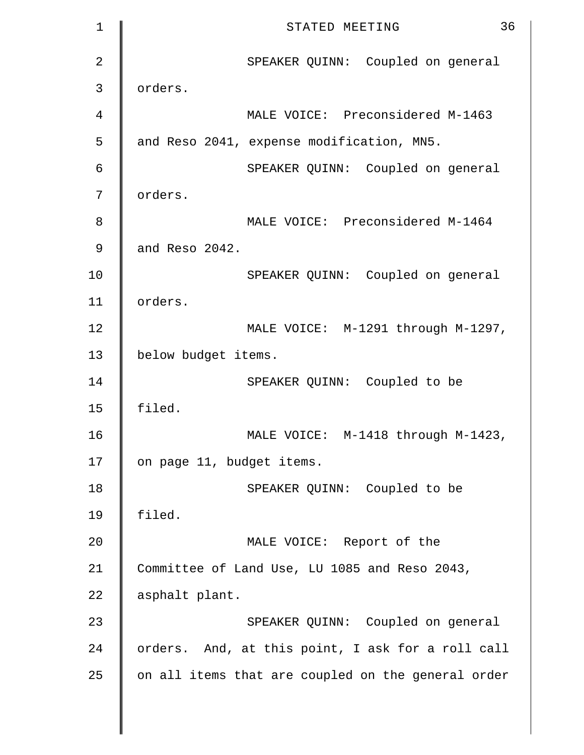| $\mathbf 1$    | 36<br>STATED MEETING                               |
|----------------|----------------------------------------------------|
| $\overline{2}$ | SPEAKER QUINN: Coupled on general                  |
| 3              | orders.                                            |
| $\overline{4}$ | MALE VOICE: Preconsidered M-1463                   |
| 5              | and Reso 2041, expense modification, MN5.          |
| 6              | SPEAKER QUINN: Coupled on general                  |
| 7              | orders.                                            |
| 8              | MALE VOICE: Preconsidered M-1464                   |
| 9              | and Reso 2042.                                     |
| 10             | SPEAKER QUINN: Coupled on general                  |
| 11             | orders.                                            |
| 12             | MALE VOICE: M-1291 through M-1297,                 |
| 13             | below budget items.                                |
| 14             | SPEAKER QUINN: Coupled to be                       |
| 15             | filed.                                             |
| 16             | MALE VOICE: M-1418 through M-1423,                 |
| 17             | on page 11, budget items.                          |
| 18             | SPEAKER QUINN: Coupled to be                       |
| 19             | filed.                                             |
| 20             | MALE VOICE: Report of the                          |
| 21             | Committee of Land Use, LU 1085 and Reso 2043,      |
| 22             | asphalt plant.                                     |
| 23             | SPEAKER QUINN: Coupled on general                  |
| 24             | orders. And, at this point, I ask for a roll call  |
| 25             | on all items that are coupled on the general order |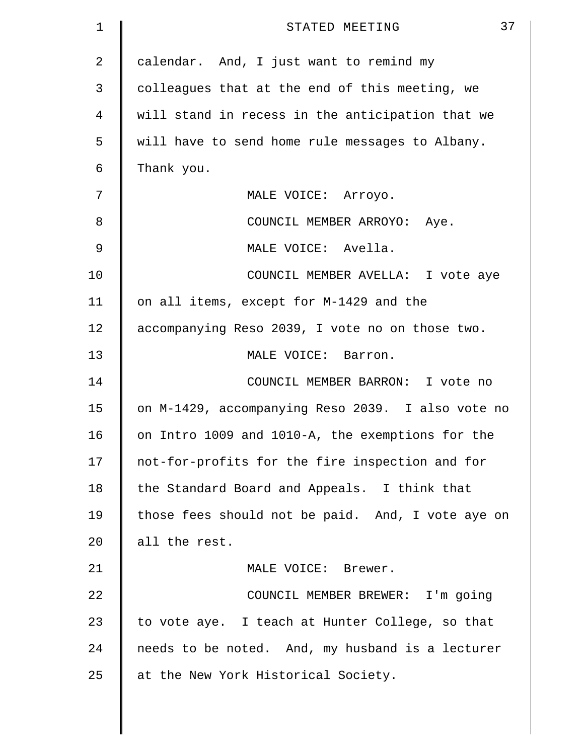| $\mathbf 1$ | 37<br>STATED MEETING                              |
|-------------|---------------------------------------------------|
| 2           | calendar. And, I just want to remind my           |
| 3           | colleagues that at the end of this meeting, we    |
| 4           | will stand in recess in the anticipation that we  |
| 5           | will have to send home rule messages to Albany.   |
| 6           | Thank you.                                        |
| 7           | MALE VOICE: Arroyo.                               |
| 8           | COUNCIL MEMBER ARROYO: Aye.                       |
| 9           | MALE VOICE: Avella.                               |
| 10          | COUNCIL MEMBER AVELLA: I vote aye                 |
| 11          | on all items, except for M-1429 and the           |
| 12          | accompanying Reso 2039, I vote no on those two.   |
| 13          | MALE VOICE: Barron.                               |
| 14          | COUNCIL MEMBER BARRON: I vote no                  |
| 15          | on M-1429, accompanying Reso 2039. I also vote no |
| 16          | on Intro 1009 and 1010-A, the exemptions for the  |
| 17          | not-for-profits for the fire inspection and for   |
| 18          | the Standard Board and Appeals. I think that      |
| 19          | those fees should not be paid. And, I vote aye on |
| 20          | all the rest.                                     |
| 21          | MALE VOICE: Brewer.                               |
| 22          | COUNCIL MEMBER BREWER: I'm going                  |
| 23          | to vote aye. I teach at Hunter College, so that   |
| 24          | needs to be noted. And, my husband is a lecturer  |
| 25          | at the New York Historical Society.               |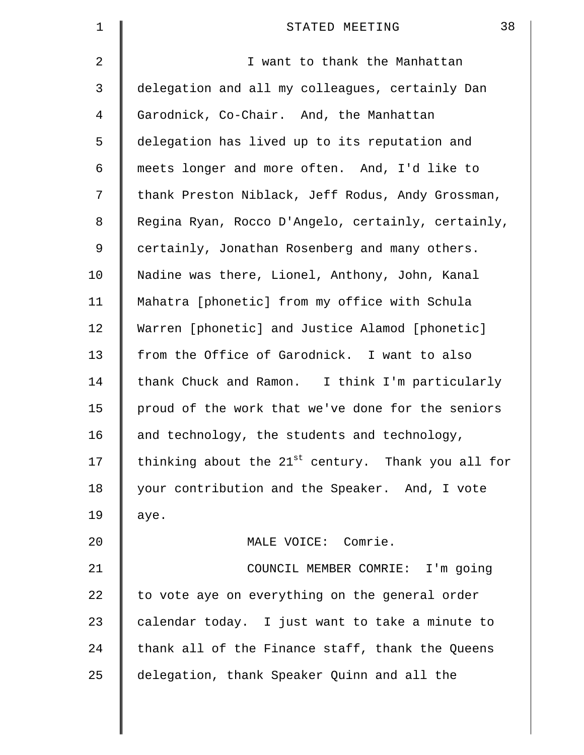| $\mathbf 1$ | 38<br>STATED MEETING                                           |
|-------------|----------------------------------------------------------------|
| 2           | I want to thank the Manhattan                                  |
| 3           | delegation and all my colleagues, certainly Dan                |
| 4           | Garodnick, Co-Chair. And, the Manhattan                        |
| 5           | delegation has lived up to its reputation and                  |
| 6           | meets longer and more often. And, I'd like to                  |
| 7           | thank Preston Niblack, Jeff Rodus, Andy Grossman,              |
| 8           | Regina Ryan, Rocco D'Angelo, certainly, certainly,             |
| 9           | certainly, Jonathan Rosenberg and many others.                 |
| 10          | Nadine was there, Lionel, Anthony, John, Kanal                 |
| 11          | Mahatra [phonetic] from my office with Schula                  |
| 12          | Warren [phonetic] and Justice Alamod [phonetic]                |
| 13          | from the Office of Garodnick. I want to also                   |
| 14          | thank Chuck and Ramon. I think I'm particularly                |
| 15          | proud of the work that we've done for the seniors              |
| 16          | and technology, the students and technology,                   |
| 17          | thinking about the 21 <sup>st</sup> century. Thank you all for |
| 18          | your contribution and the Speaker. And, I vote                 |
| 19          | aye.                                                           |
| 20          | MALE VOICE: Comrie.                                            |
| 21          | COUNCIL MEMBER COMRIE: I'm going                               |
| 22          | to vote aye on everything on the general order                 |
| 23          | calendar today. I just want to take a minute to                |
| 24          | thank all of the Finance staff, thank the Queens               |
| 25          | delegation, thank Speaker Quinn and all the                    |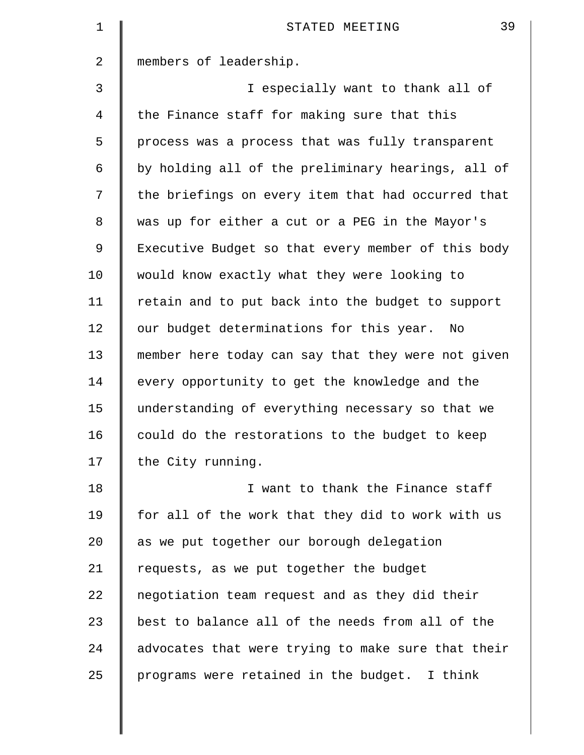| $\mathbf 1$ | 39<br>STATED MEETING                               |
|-------------|----------------------------------------------------|
| 2           | members of leadership.                             |
| 3           | I especially want to thank all of                  |
| 4           | the Finance staff for making sure that this        |
| 5           | process was a process that was fully transparent   |
| 6           | by holding all of the preliminary hearings, all of |
| 7           | the briefings on every item that had occurred that |
| 8           | was up for either a cut or a PEG in the Mayor's    |
| 9           | Executive Budget so that every member of this body |
| 10          | would know exactly what they were looking to       |
| 11          | retain and to put back into the budget to support  |
| 12          | our budget determinations for this year.<br>No     |
| 13          | member here today can say that they were not given |
| 14          | every opportunity to get the knowledge and the     |
| 15          | understanding of everything necessary so that we   |
| 16          | could do the restorations to the budget to keep    |
| 17          | the City running.                                  |
| 18          | I want to thank the Finance staff                  |
| 19          | for all of the work that they did to work with us  |
| 20          | as we put together our borough delegation          |
| 21          | requests, as we put together the budget            |
| 22          | negotiation team request and as they did their     |
| 23          | best to balance all of the needs from all of the   |
| 24          | advocates that were trying to make sure that their |
| 25          | programs were retained in the budget. I think      |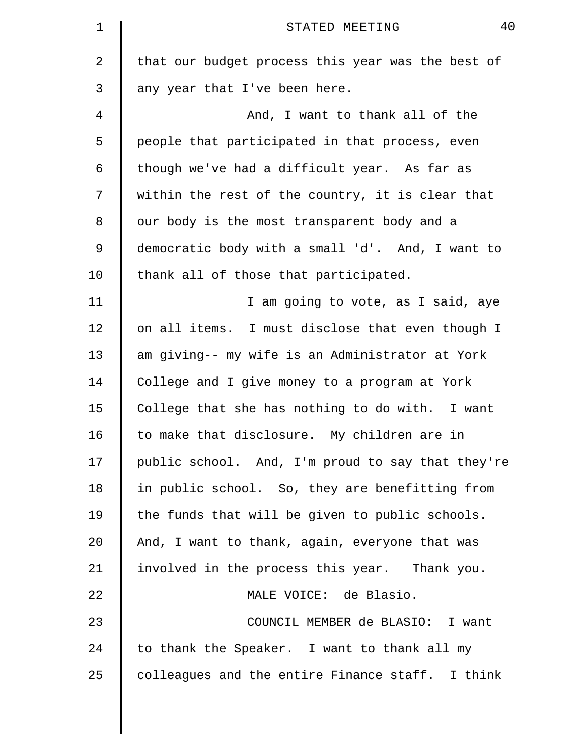| $\mathbf 1$    | 40<br>STATED MEETING                              |
|----------------|---------------------------------------------------|
| $\overline{a}$ | that our budget process this year was the best of |
| 3              | any year that I've been here.                     |
| 4              | And, I want to thank all of the                   |
| 5              | people that participated in that process, even    |
| 6              | though we've had a difficult year. As far as      |
| 7              | within the rest of the country, it is clear that  |
| 8              | our body is the most transparent body and a       |
| 9              | democratic body with a small 'd'. And, I want to  |
| 10             | thank all of those that participated.             |
| 11             | I am going to vote, as I said, aye                |
| 12             | on all items. I must disclose that even though I  |
| 13             | am giving-- my wife is an Administrator at York   |
| 14             | College and I give money to a program at York     |
| 15             | College that she has nothing to do with. I want   |
| 16             | to make that disclosure. My children are in       |
| 17             | public school. And, I'm proud to say that they're |
| 18             | in public school. So, they are benefitting from   |
| 19             | the funds that will be given to public schools.   |
| 20             | And, I want to thank, again, everyone that was    |
| 21             | involved in the process this year. Thank you.     |
| 22             | MALE VOICE: de Blasio.                            |
| 23             | COUNCIL MEMBER de BLASIO: I want                  |
| 24             | to thank the Speaker. I want to thank all my      |
| 25             | colleagues and the entire Finance staff. I think  |
|                |                                                   |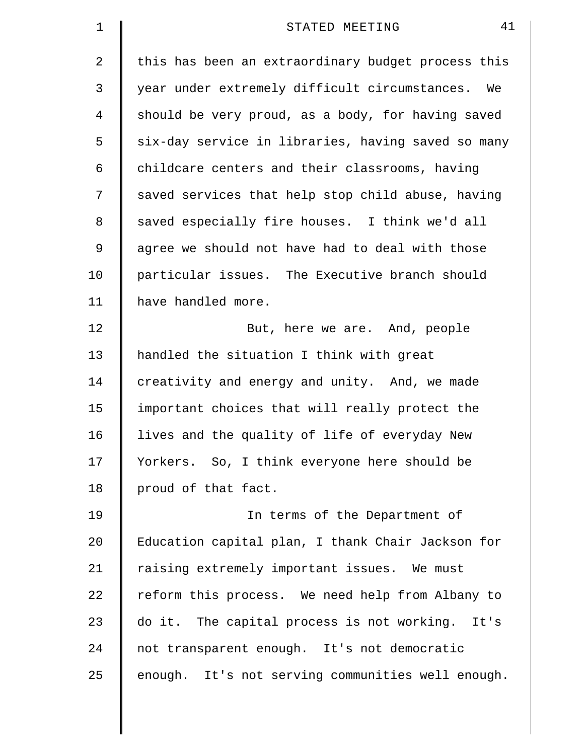| $\mathbf 1$ | 41<br>STATED MEETING                               |
|-------------|----------------------------------------------------|
| 2           | this has been an extraordinary budget process this |
| 3           | year under extremely difficult circumstances. We   |
| 4           | should be very proud, as a body, for having saved  |
| 5           | six-day service in libraries, having saved so many |
| 6           | childcare centers and their classrooms, having     |
| 7           | saved services that help stop child abuse, having  |
| 8           | saved especially fire houses. I think we'd all     |
| 9           | agree we should not have had to deal with those    |
| 10          | particular issues. The Executive branch should     |
| 11          | have handled more.                                 |
| 12          | But, here we are. And, people                      |
| 13          | handled the situation I think with great           |
| 14          | creativity and energy and unity. And, we made      |
| 15          | important choices that will really protect the     |
| 16          | lives and the quality of life of everyday New      |
| 17          | Yorkers. So, I think everyone here should be       |
| 18          | proud of that fact.                                |
| 19          | In terms of the Department of                      |
| 20          | Education capital plan, I thank Chair Jackson for  |
| 21          | raising extremely important issues. We must        |
| 22          | reform this process. We need help from Albany to   |
| 23          | do it. The capital process is not working. It's    |
| 24          | not transparent enough. It's not democratic        |
| 25          | enough. It's not serving communities well enough.  |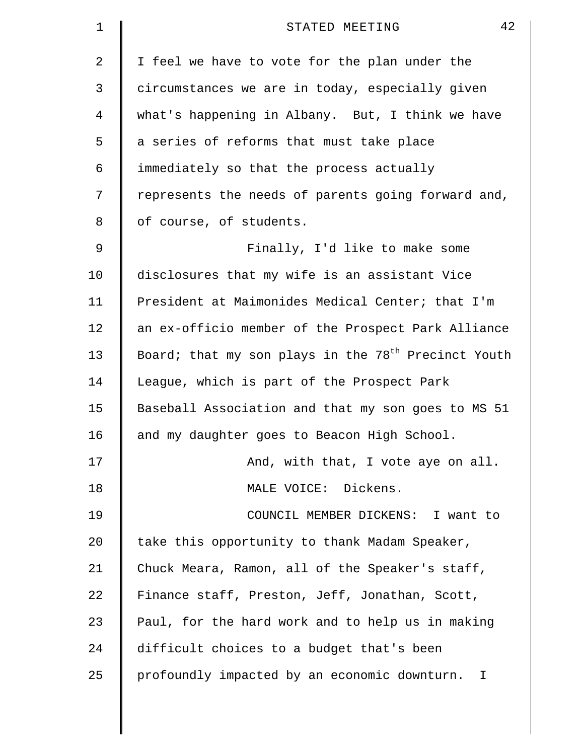| $\mathbf 1$ | 42<br>STATED MEETING                                  |
|-------------|-------------------------------------------------------|
| 2           | I feel we have to vote for the plan under the         |
| 3           | circumstances we are in today, especially given       |
| 4           | what's happening in Albany. But, I think we have      |
| 5           | a series of reforms that must take place              |
| 6           | immediately so that the process actually              |
| 7           | represents the needs of parents going forward and,    |
| 8           | of course, of students.                               |
| 9           | Finally, I'd like to make some                        |
| 10          | disclosures that my wife is an assistant Vice         |
| 11          | President at Maimonides Medical Center; that I'm      |
| 12          | an ex-officio member of the Prospect Park Alliance    |
| 13          | Board; that my son plays in the $78th$ Precinct Youth |
| 14          | League, which is part of the Prospect Park            |
| 15          | Baseball Association and that my son goes to MS 51    |
| 16          | and my daughter goes to Beacon High School.           |
| 17          | And, with that, I vote aye on all.                    |
| 18          | MALE VOICE: Dickens.                                  |
| 19          | COUNCIL MEMBER DICKENS: I want to                     |
| $20 \,$     | take this opportunity to thank Madam Speaker,         |
| 21          | Chuck Meara, Ramon, all of the Speaker's staff,       |
| 22          | Finance staff, Preston, Jeff, Jonathan, Scott,        |
| 23          | Paul, for the hard work and to help us in making      |
| 24          | difficult choices to a budget that's been             |
| 25          | profoundly impacted by an economic downturn. I        |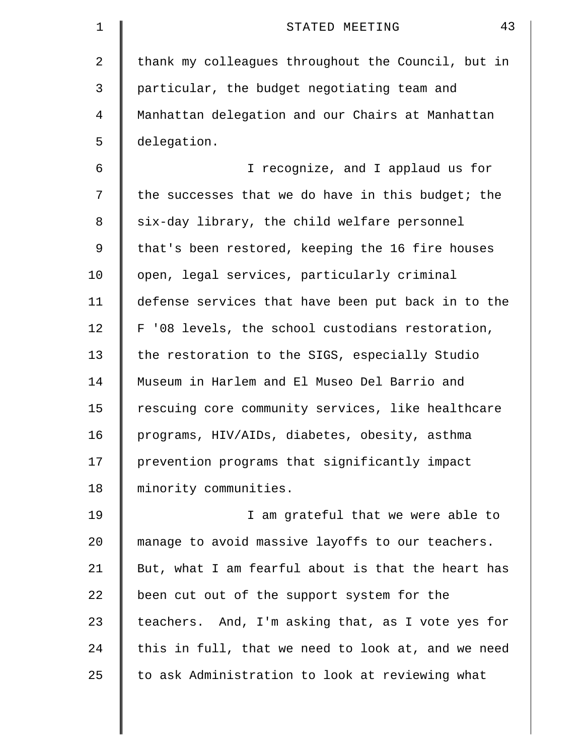| 1  | 43<br>STATED MEETING                               |
|----|----------------------------------------------------|
| 2  | thank my colleagues throughout the Council, but in |
| 3  | particular, the budget negotiating team and        |
| 4  | Manhattan delegation and our Chairs at Manhattan   |
| 5  | delegation.                                        |
| 6  | I recognize, and I applaud us for                  |
| 7  | the successes that we do have in this budget; the  |
| 8  | six-day library, the child welfare personnel       |
| 9  | that's been restored, keeping the 16 fire houses   |
| 10 | open, legal services, particularly criminal        |
| 11 | defense services that have been put back in to the |
| 12 | F '08 levels, the school custodians restoration,   |
| 13 | the restoration to the SIGS, especially Studio     |
| 14 | Museum in Harlem and El Museo Del Barrio and       |
| 15 | rescuing core community services, like healthcare  |
| 16 | programs, HIV/AIDs, diabetes, obesity, asthma      |
| 17 | prevention programs that significantly impact      |
| 18 | minority communities.                              |
| 19 | I am grateful that we were able to                 |
| 20 | manage to avoid massive layoffs to our teachers.   |
| 21 | But, what I am fearful about is that the heart has |
| 22 | been cut out of the support system for the         |
| 23 | teachers. And, I'm asking that, as I vote yes for  |
| 24 | this in full, that we need to look at, and we need |
| 25 | to ask Administration to look at reviewing what    |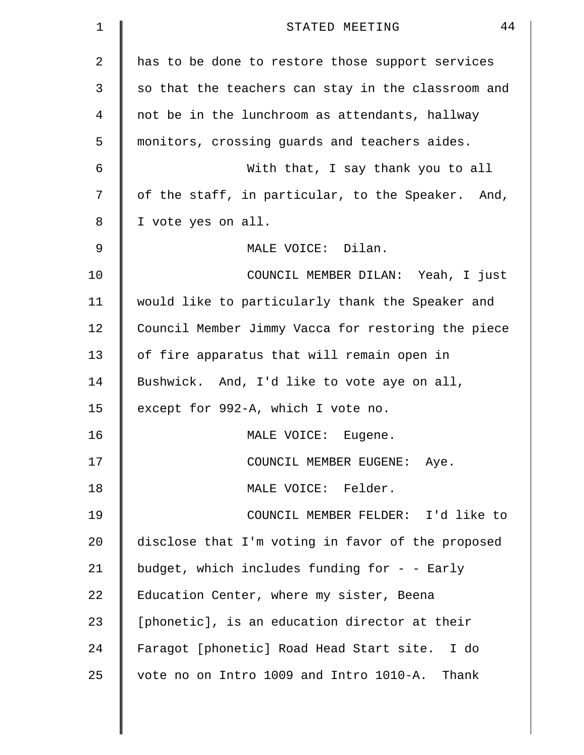| 1  | 44<br>STATED MEETING                               |
|----|----------------------------------------------------|
| 2  | has to be done to restore those support services   |
| 3  | so that the teachers can stay in the classroom and |
| 4  | not be in the lunchroom as attendants, hallway     |
| 5  | monitors, crossing guards and teachers aides.      |
| 6  | With that, I say thank you to all                  |
| 7  | of the staff, in particular, to the Speaker. And,  |
| 8  | I vote yes on all.                                 |
| 9  | MALE VOICE: Dilan.                                 |
| 10 | COUNCIL MEMBER DILAN: Yeah, I just                 |
| 11 | would like to particularly thank the Speaker and   |
| 12 | Council Member Jimmy Vacca for restoring the piece |
| 13 | of fire apparatus that will remain open in         |
| 14 | Bushwick. And, I'd like to vote aye on all,        |
| 15 | except for 992-A, which I vote no.                 |
| 16 | MALE VOICE:<br>Eugene.                             |
| 17 | COUNCIL MEMBER EUGENE: Aye.                        |
| 18 | MALE VOICE: Felder.                                |
| 19 | COUNCIL MEMBER FELDER: I'd like to                 |
| 20 | disclose that I'm voting in favor of the proposed  |
| 21 | budget, which includes funding for - - Early       |
| 22 | Education Center, where my sister, Beena           |
| 23 | [phonetic], is an education director at their      |
| 24 | Faragot [phonetic] Road Head Start site. I do      |
| 25 | vote no on Intro 1009 and Intro 1010-A. Thank      |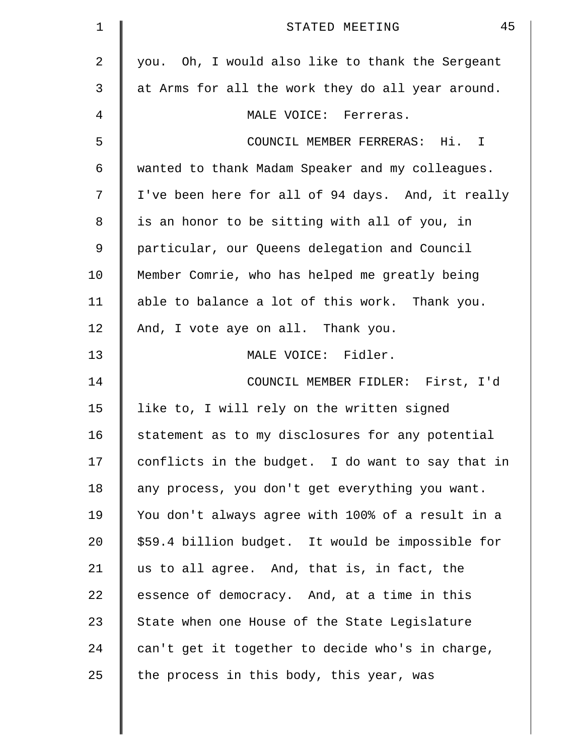| 1              | 45<br>STATED MEETING                              |
|----------------|---------------------------------------------------|
| 2              | you. Oh, I would also like to thank the Sergeant  |
| 3              | at Arms for all the work they do all year around. |
| $\overline{4}$ | MALE VOICE: Ferreras.                             |
| 5              | COUNCIL MEMBER FERRERAS: Hi. I                    |
| 6              | wanted to thank Madam Speaker and my colleagues.  |
| 7              | I've been here for all of 94 days. And, it really |
| 8              | is an honor to be sitting with all of you, in     |
| 9              | particular, our Queens delegation and Council     |
| 10             | Member Comrie, who has helped me greatly being    |
| 11             | able to balance a lot of this work. Thank you.    |
| 12             | And, I vote aye on all. Thank you.                |
| 13             | MALE VOICE: Fidler.                               |
| 14             | COUNCIL MEMBER FIDLER: First, I'd                 |
| 15             | like to, I will rely on the written signed        |
| 16             | statement as to my disclosures for any potential  |
| 17             | conflicts in the budget. I do want to say that in |
| 18             | any process, you don't get everything you want.   |
| 19             | You don't always agree with 100% of a result in a |
| 20             | \$59.4 billion budget. It would be impossible for |
| 21             | us to all agree. And, that is, in fact, the       |
| 22             | essence of democracy. And, at a time in this      |
| 23             | State when one House of the State Legislature     |
| 24             | can't get it together to decide who's in charge,  |
| 25             | the process in this body, this year, was          |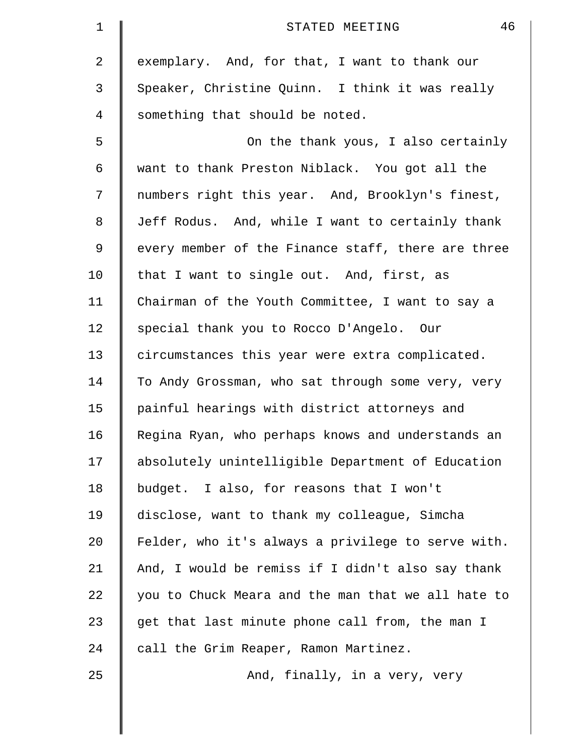| $\mathbf 1$ | 46<br>STATED MEETING                               |
|-------------|----------------------------------------------------|
| 2           | exemplary. And, for that, I want to thank our      |
| 3           | Speaker, Christine Quinn. I think it was really    |
| 4           | something that should be noted.                    |
| 5           | On the thank yous, I also certainly                |
| 6           | want to thank Preston Niblack. You got all the     |
| 7           | numbers right this year. And, Brooklyn's finest,   |
| 8           | Jeff Rodus. And, while I want to certainly thank   |
| 9           | every member of the Finance staff, there are three |
| 10          | that I want to single out. And, first, as          |
| 11          | Chairman of the Youth Committee, I want to say a   |
| 12          | special thank you to Rocco D'Angelo. Our           |
| 13          | circumstances this year were extra complicated.    |
| 14          | To Andy Grossman, who sat through some very, very  |
| 15          | painful hearings with district attorneys and       |
| 16          | Regina Ryan, who perhaps knows and understands an  |
| 17          | absolutely unintelligible Department of Education  |
| 18          | budget. I also, for reasons that I won't           |
| 19          | disclose, want to thank my colleague, Simcha       |
| 20          | Felder, who it's always a privilege to serve with. |
| 21          | And, I would be remiss if I didn't also say thank  |
| 22          | you to Chuck Meara and the man that we all hate to |
| 23          | get that last minute phone call from, the man I    |
| 24          | call the Grim Reaper, Ramon Martinez.              |
| 25          | And, finally, in a very, very                      |
|             |                                                    |
|             |                                                    |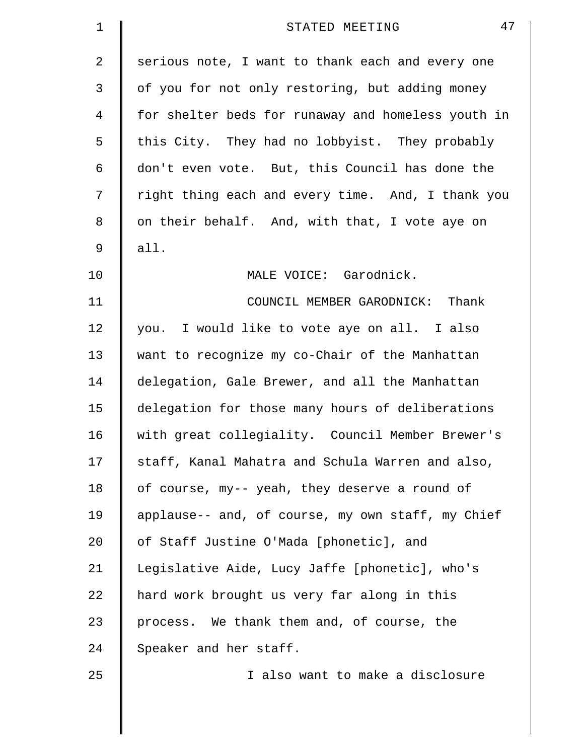| 1  | 47<br>STATED MEETING                               |
|----|----------------------------------------------------|
| 2  | serious note, I want to thank each and every one   |
| 3  | of you for not only restoring, but adding money    |
| 4  | for shelter beds for runaway and homeless youth in |
| 5  | this City. They had no lobbyist. They probably     |
| 6  | don't even vote. But, this Council has done the    |
| 7  | right thing each and every time. And, I thank you  |
| 8  | on their behalf. And, with that, I vote aye on     |
| 9  | all.                                               |
| 10 | MALE VOICE: Garodnick.                             |
| 11 | COUNCIL MEMBER GARODNICK: Thank                    |
| 12 | you. I would like to vote aye on all. I also       |
| 13 | want to recognize my co-Chair of the Manhattan     |
| 14 | delegation, Gale Brewer, and all the Manhattan     |
| 15 | delegation for those many hours of deliberations   |
| 16 | with great collegiality. Council Member Brewer's   |
| 17 | staff, Kanal Mahatra and Schula Warren and also,   |
| 18 | of course, my-- yeah, they deserve a round of      |
| 19 | applause-- and, of course, my own staff, my Chief  |
| 20 | of Staff Justine O'Mada [phonetic], and            |
| 21 | Legislative Aide, Lucy Jaffe [phonetic], who's     |
| 22 | hard work brought us very far along in this        |
| 23 | process. We thank them and, of course, the         |
| 24 | Speaker and her staff.                             |
| 25 | I also want to make a disclosure                   |
|    |                                                    |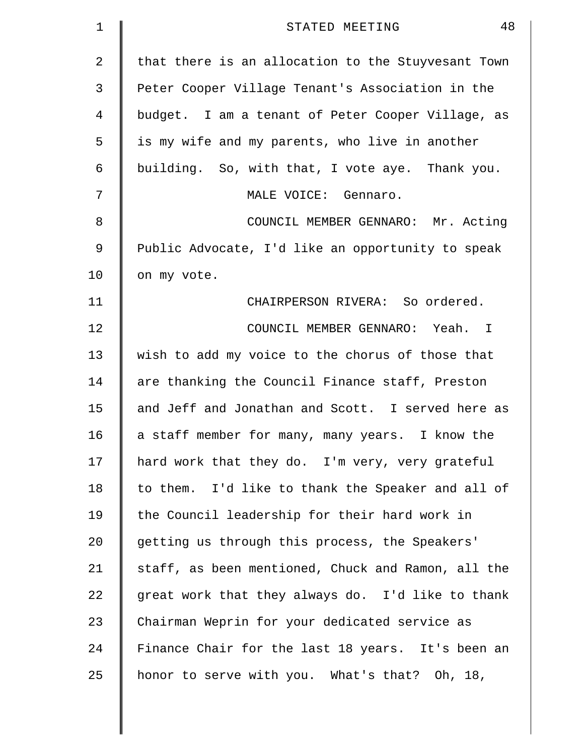| 1              | 48<br>STATED MEETING                               |
|----------------|----------------------------------------------------|
| 2              | that there is an allocation to the Stuyvesant Town |
| 3              | Peter Cooper Village Tenant's Association in the   |
| $\overline{4}$ | budget. I am a tenant of Peter Cooper Village, as  |
| 5              | is my wife and my parents, who live in another     |
| 6              | building. So, with that, I vote aye. Thank you.    |
| 7              | MALE VOICE: Gennaro.                               |
| 8              | COUNCIL MEMBER GENNARO: Mr. Acting                 |
| 9              | Public Advocate, I'd like an opportunity to speak  |
| 10             | on my vote.                                        |
| 11             | CHAIRPERSON RIVERA: So ordered.                    |
| 12             | COUNCIL MEMBER GENNARO: Yeah. I                    |
| 13             | wish to add my voice to the chorus of those that   |
| 14             | are thanking the Council Finance staff, Preston    |
| 15             | and Jeff and Jonathan and Scott. I served here as  |
| 16             | a staff member for many, many years.<br>I know the |
| 17             | hard work that they do. I'm very, very grateful    |
| 18             | to them. I'd like to thank the Speaker and all of  |
| 19             | the Council leadership for their hard work in      |
| 20             | getting us through this process, the Speakers'     |
| 21             | staff, as been mentioned, Chuck and Ramon, all the |
| 22             | great work that they always do. I'd like to thank  |
| 23             | Chairman Weprin for your dedicated service as      |
| 24             | Finance Chair for the last 18 years. It's been an  |
| 25             | honor to serve with you. What's that? Oh, 18,      |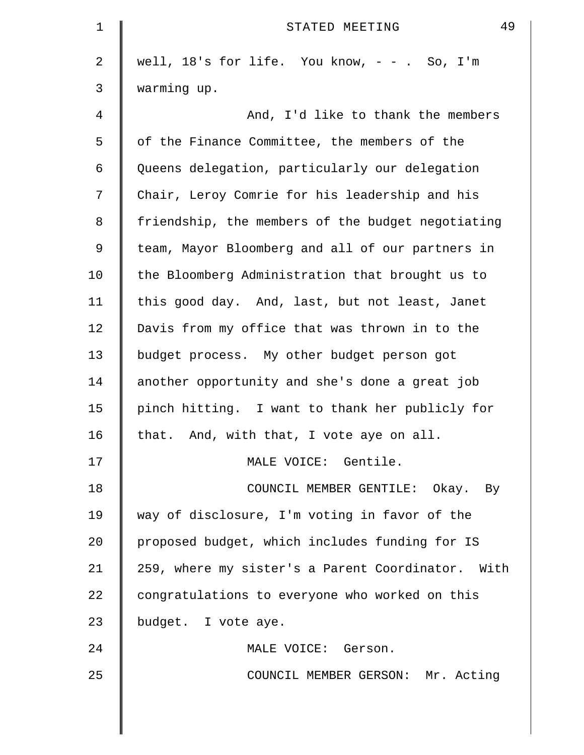| 1              | 49<br>STATED MEETING                              |
|----------------|---------------------------------------------------|
| $\overline{2}$ | well, $18$ 's for life. You know, $- -$ . So, I'm |
| 3              | warming up.                                       |
| 4              | And, I'd like to thank the members                |
| 5              | of the Finance Committee, the members of the      |
| 6              | Queens delegation, particularly our delegation    |
| 7              | Chair, Leroy Comrie for his leadership and his    |
| 8              | friendship, the members of the budget negotiating |
| 9              | team, Mayor Bloomberg and all of our partners in  |
| 10             | the Bloomberg Administration that brought us to   |
| 11             | this good day. And, last, but not least, Janet    |
| 12             | Davis from my office that was thrown in to the    |
| 13             | budget process. My other budget person got        |
| 14             | another opportunity and she's done a great job    |
| 15             | pinch hitting. I want to thank her publicly for   |
| 16             | that. And, with that, I vote aye on all.          |
| 17             | MALE VOICE: Gentile.                              |
| 18             | COUNCIL MEMBER GENTILE: Okay. By                  |
| 19             | way of disclosure, I'm voting in favor of the     |
| 20             | proposed budget, which includes funding for IS    |
| 21             | 259, where my sister's a Parent Coordinator. With |
| 22             | congratulations to everyone who worked on this    |
| 23             | budget. I vote aye.                               |
| 24             | MALE VOICE: Gerson.                               |
| 25             | COUNCIL MEMBER GERSON: Mr. Acting                 |
|                |                                                   |
|                |                                                   |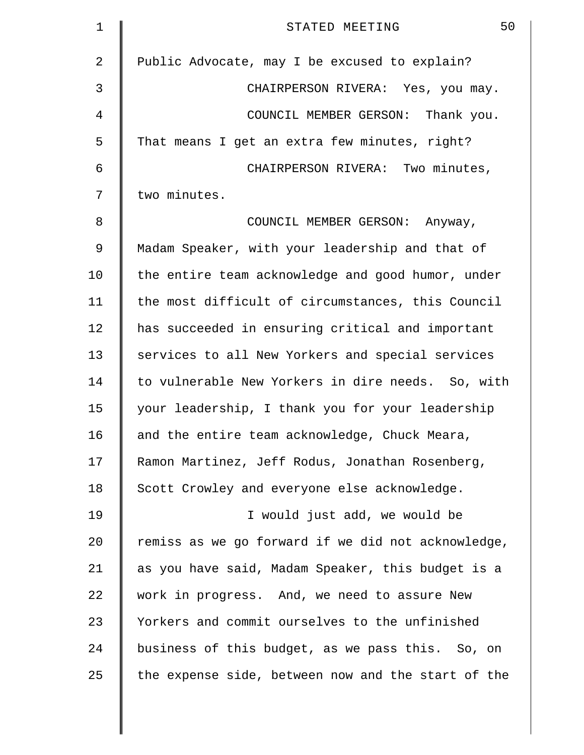| $\mathbf 1$    | 50<br>STATED MEETING                               |
|----------------|----------------------------------------------------|
| $\overline{2}$ | Public Advocate, may I be excused to explain?      |
| 3              | CHAIRPERSON RIVERA: Yes, you may.                  |
| 4              | COUNCIL MEMBER GERSON: Thank you.                  |
| 5              | That means I get an extra few minutes, right?      |
| 6              | CHAIRPERSON RIVERA: Two minutes,                   |
| 7              | two minutes.                                       |
| 8              | COUNCIL MEMBER GERSON: Anyway,                     |
| 9              | Madam Speaker, with your leadership and that of    |
| 10             | the entire team acknowledge and good humor, under  |
| 11             | the most difficult of circumstances, this Council  |
| 12             | has succeeded in ensuring critical and important   |
| 13             | services to all New Yorkers and special services   |
| 14             | to vulnerable New Yorkers in dire needs. So, with  |
| 15             | your leadership, I thank you for your leadership   |
| 16             | and the entire team acknowledge, Chuck Meara,      |
| 17             | Ramon Martinez, Jeff Rodus, Jonathan Rosenberg,    |
| 18             | Scott Crowley and everyone else acknowledge.       |
| 19             | I would just add, we would be                      |
| 20             | remiss as we go forward if we did not acknowledge, |
| 21             | as you have said, Madam Speaker, this budget is a  |
| 22             | work in progress. And, we need to assure New       |
| 23             | Yorkers and commit ourselves to the unfinished     |
| 24             | business of this budget, as we pass this. So, on   |
| 25             | the expense side, between now and the start of the |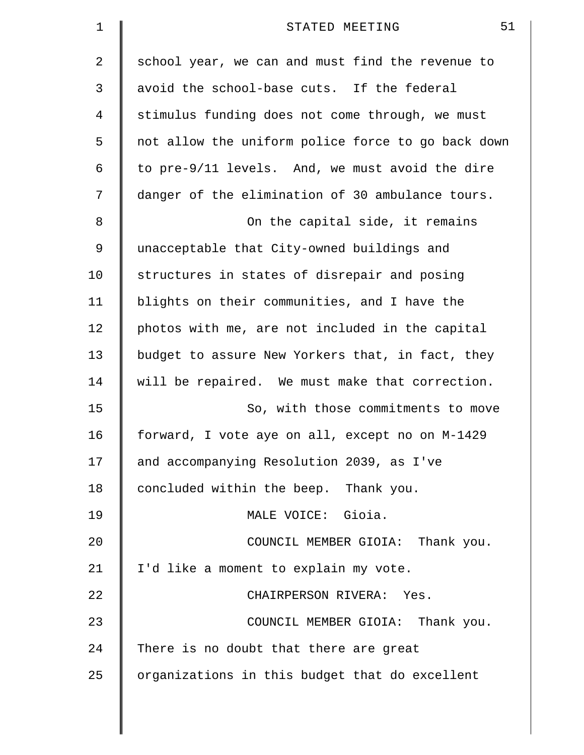| $\mathbf 1$ | 51<br>STATED MEETING                               |
|-------------|----------------------------------------------------|
| 2           | school year, we can and must find the revenue to   |
| 3           | avoid the school-base cuts. If the federal         |
| 4           | stimulus funding does not come through, we must    |
| 5           | not allow the uniform police force to go back down |
| 6           | to pre-9/11 levels. And, we must avoid the dire    |
| 7           | danger of the elimination of 30 ambulance tours.   |
| 8           | On the capital side, it remains                    |
| 9           | unacceptable that City-owned buildings and         |
| 10          | structures in states of disrepair and posing       |
| 11          | blights on their communities, and I have the       |
| 12          | photos with me, are not included in the capital    |
| 13          | budget to assure New Yorkers that, in fact, they   |
| 14          | will be repaired. We must make that correction.    |
| 15          | So, with those commitments to move                 |
| 16          | forward, I vote aye on all, except no on M-1429    |
| 17          | and accompanying Resolution 2039, as I've          |
| 18          | concluded within the beep. Thank you.              |
| 19          | MALE VOICE: Gioia.                                 |
| 20          | COUNCIL MEMBER GIOIA: Thank you.                   |
| 21          | I'd like a moment to explain my vote.              |
| 22          | CHAIRPERSON RIVERA: Yes.                           |
| 23          | COUNCIL MEMBER GIOIA: Thank you.                   |
| 24          | There is no doubt that there are great             |
| 25          | organizations in this budget that do excellent     |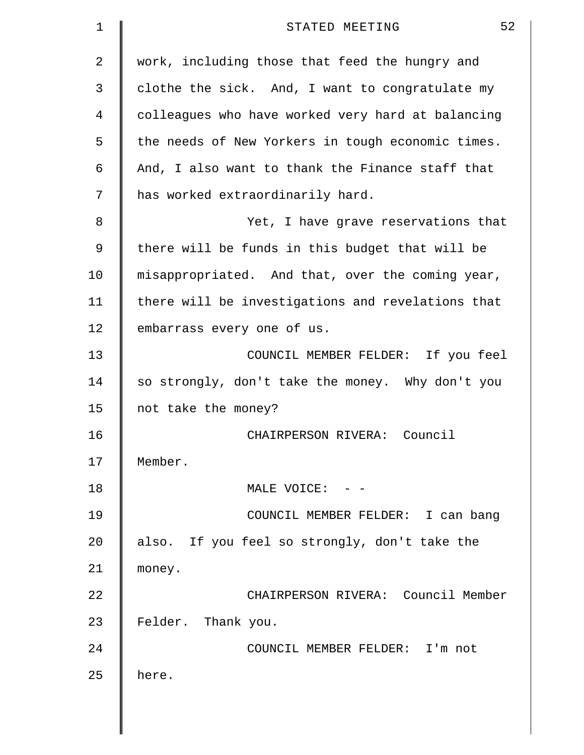| $\mathbf 1$ | 52<br>STATED MEETING                              |
|-------------|---------------------------------------------------|
| 2           | work, including those that feed the hungry and    |
| 3           | clothe the sick. And, I want to congratulate my   |
| 4           | colleagues who have worked very hard at balancing |
| 5           | the needs of New Yorkers in tough economic times. |
| 6           | And, I also want to thank the Finance staff that  |
| 7           | has worked extraordinarily hard.                  |
| 8           | Yet, I have grave reservations that               |
| 9           | there will be funds in this budget that will be   |
| 10          | misappropriated. And that, over the coming year,  |
| 11          | there will be investigations and revelations that |
| 12          | embarrass every one of us.                        |
| 13          | COUNCIL MEMBER FELDER: If you feel                |
| 14          | so strongly, don't take the money. Why don't you  |
| 15          | not take the money?                               |
| 16          | CHAIRPERSON RIVERA: Council                       |
| 17          | Member.                                           |
| 18          | MALE VOICE: - -                                   |
| 19          | COUNCIL MEMBER FELDER: I can bang                 |
| 20          | also. If you feel so strongly, don't take the     |
| 21          | money.                                            |
| 22          | CHAIRPERSON RIVERA: Council Member                |
| 23          | Felder. Thank you.                                |
| 24          | COUNCIL MEMBER FELDER: I'm not                    |
| 25          | here.                                             |
|             |                                                   |
|             |                                                   |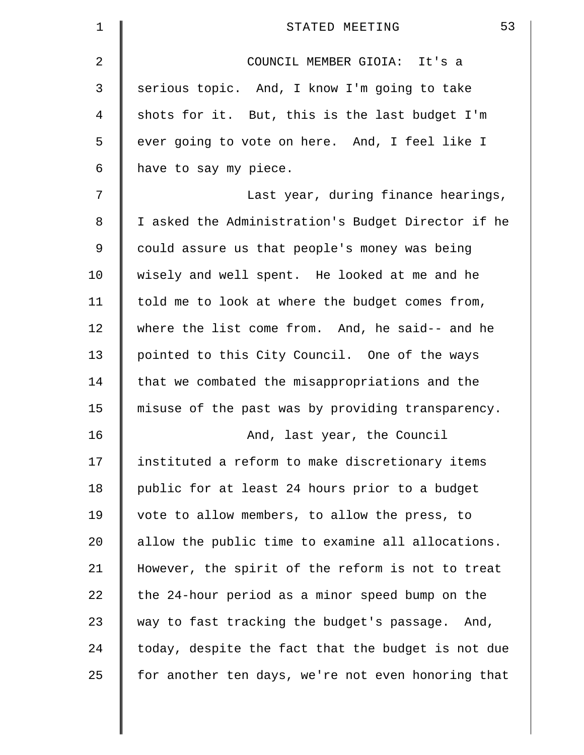| $\mathbf 1$ | 53<br>STATED MEETING                               |
|-------------|----------------------------------------------------|
| 2           | COUNCIL MEMBER GIOIA: It's a                       |
| 3           | serious topic. And, I know I'm going to take       |
| 4           | shots for it. But, this is the last budget I'm     |
| 5           | ever going to vote on here. And, I feel like I     |
| 6           | have to say my piece.                              |
| 7           | Last year, during finance hearings,                |
| $\,8\,$     | I asked the Administration's Budget Director if he |
| 9           | could assure us that people's money was being      |
| 10          | wisely and well spent. He looked at me and he      |
| 11          | told me to look at where the budget comes from,    |
| 12          | where the list come from. And, he said-- and he    |
| 13          | pointed to this City Council. One of the ways      |
| 14          | that we combated the misappropriations and the     |
| 15          | misuse of the past was by providing transparency.  |
| 16          | And, last year, the Council                        |
| 17          | instituted a reform to make discretionary items    |
| 18          | public for at least 24 hours prior to a budget     |
| 19          | vote to allow members, to allow the press, to      |
| $20 \,$     | allow the public time to examine all allocations.  |
| 21          | However, the spirit of the reform is not to treat  |
| 22          | the 24-hour period as a minor speed bump on the    |
| 23          | way to fast tracking the budget's passage. And,    |
| 24          | today, despite the fact that the budget is not due |
| 25          | for another ten days, we're not even honoring that |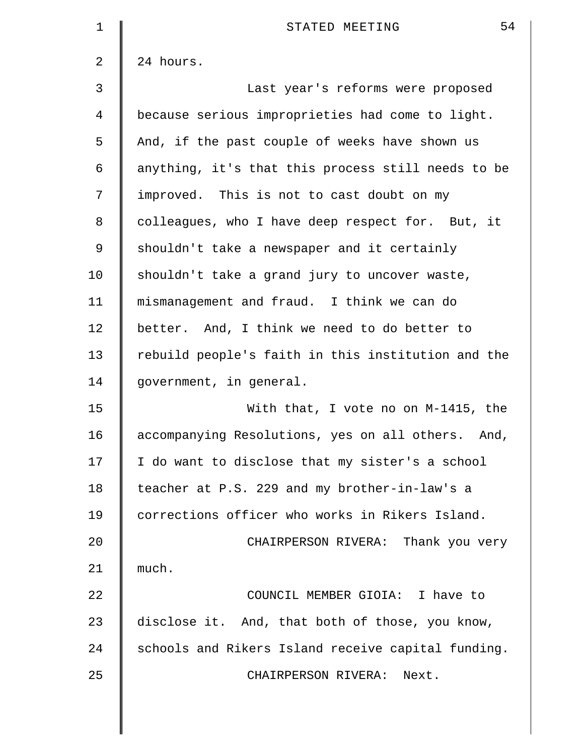| $\mathbf 1$    | 54<br>STATED MEETING                                 |
|----------------|------------------------------------------------------|
| $\overline{2}$ | 24 hours.                                            |
| 3              | Last year's reforms were proposed                    |
| 4              | because serious improprieties had come to light.     |
| 5              | And, if the past couple of weeks have shown us       |
| 6              | anything, it's that this process still needs to be   |
| 7              | improved. This is not to cast doubt on my            |
| 8              | colleagues, who I have deep respect for. But, it     |
| 9              | shouldn't take a newspaper and it certainly          |
| 10             | shouldn't take a grand jury to uncover waste,        |
| 11             | mismanagement and fraud. I think we can do           |
| 12             | better. And, I think we need to do better to         |
| 13             | rebuild people's faith in this institution and the   |
| 14             | government, in general.                              |
| 15             | With that, I vote no on M-1415, the                  |
| 16             | accompanying Resolutions, yes on all others.<br>And, |
| 17             | I do want to disclose that my sister's a school      |
| 18             | teacher at P.S. 229 and my brother-in-law's a        |
| 19             | corrections officer who works in Rikers Island.      |
| 20             | CHAIRPERSON RIVERA: Thank you very                   |
| 21             | much.                                                |
| 22             | COUNCIL MEMBER GIOIA: I have to                      |
| 23             | disclose it. And, that both of those, you know,      |
| 24             | schools and Rikers Island receive capital funding.   |
| 25             | CHAIRPERSON RIVERA:<br>Next.                         |
|                |                                                      |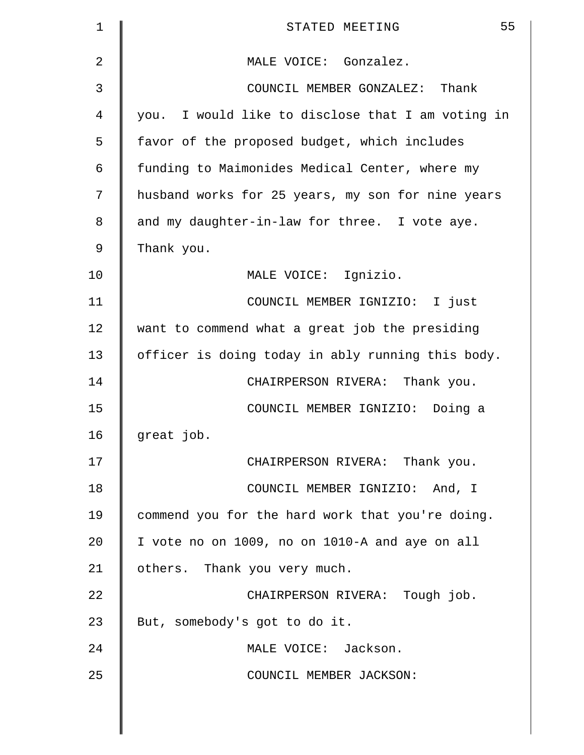| 1              | 55<br>STATED MEETING                              |
|----------------|---------------------------------------------------|
| $\overline{2}$ | MALE VOICE: Gonzalez.                             |
| 3              | COUNCIL MEMBER GONZALEZ: Thank                    |
| 4              | you. I would like to disclose that I am voting in |
| 5              | favor of the proposed budget, which includes      |
| 6              | funding to Maimonides Medical Center, where my    |
| 7              | husband works for 25 years, my son for nine years |
| 8              | and my daughter-in-law for three. I vote aye.     |
| 9              | Thank you.                                        |
| 10             | MALE VOICE: Ignizio.                              |
| 11             | COUNCIL MEMBER IGNIZIO: I just                    |
| 12             | want to commend what a great job the presiding    |
| 13             | officer is doing today in ably running this body. |
| 14             | CHAIRPERSON RIVERA: Thank you.                    |
| 15             | COUNCIL MEMBER IGNIZIO: Doing a                   |
| 16             | great job.                                        |
| 17             | CHAIRPERSON RIVERA: Thank you.                    |
| 18             | COUNCIL MEMBER IGNIZIO: And, I                    |
| 19             | commend you for the hard work that you're doing.  |
| 20             | I vote no on 1009, no on 1010-A and aye on all    |
| 21             | others. Thank you very much.                      |
| 22             | CHAIRPERSON RIVERA: Tough job.                    |
| 23             | But, somebody's got to do it.                     |
| 24             | MALE VOICE: Jackson.                              |
| 25             | COUNCIL MEMBER JACKSON:                           |
|                |                                                   |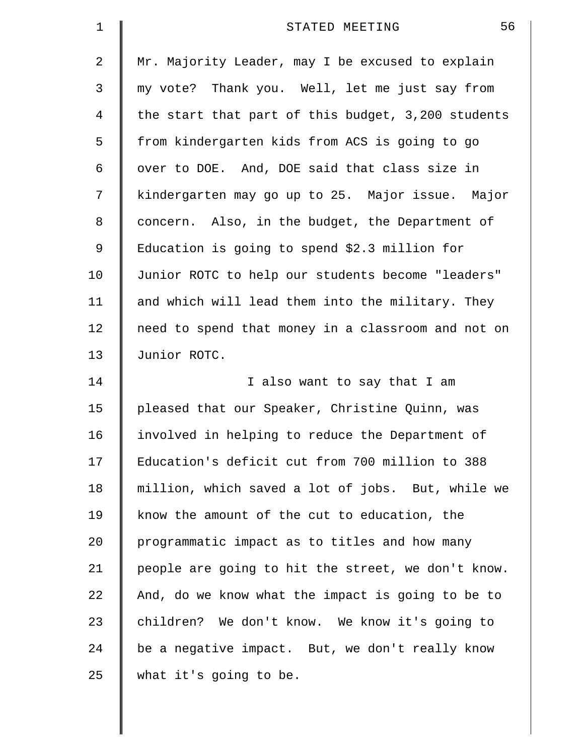| $\mathbf 1$ | 56<br>STATED MEETING                               |
|-------------|----------------------------------------------------|
| 2           | Mr. Majority Leader, may I be excused to explain   |
| 3           | my vote? Thank you. Well, let me just say from     |
| 4           | the start that part of this budget, 3,200 students |
| 5           | from kindergarten kids from ACS is going to go     |
| 6           | over to DOE. And, DOE said that class size in      |
| 7           | kindergarten may go up to 25. Major issue. Major   |
| 8           | concern. Also, in the budget, the Department of    |
| 9           | Education is going to spend \$2.3 million for      |
| 10          | Junior ROTC to help our students become "leaders"  |
| 11          | and which will lead them into the military. They   |
| 12          | need to spend that money in a classroom and not on |
| 13          | Junior ROTC.                                       |
| 14          | I also want to say that I am                       |
| 15          | pleased that our Speaker, Christine Quinn, was     |
| 16          | involved in helping to reduce the Department of    |
| 17          | Education's deficit cut from 700 million to 388    |
| 18          | million, which saved a lot of jobs. But, while we  |
| 19          | know the amount of the cut to education, the       |
| 20          | programmatic impact as to titles and how many      |
| 21          | people are going to hit the street, we don't know. |
| 22          | And, do we know what the impact is going to be to  |
| 23          | children? We don't know. We know it's going to     |
| 24          | be a negative impact. But, we don't really know    |
| 25          | what it's going to be.                             |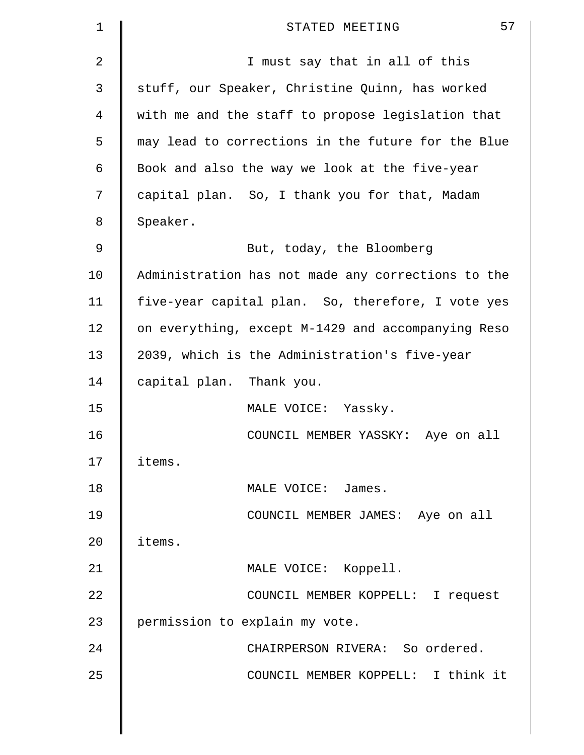| 1  | 57<br>STATED MEETING                               |
|----|----------------------------------------------------|
| 2  | I must say that in all of this                     |
| 3  | stuff, our Speaker, Christine Quinn, has worked    |
| 4  | with me and the staff to propose legislation that  |
| 5  | may lead to corrections in the future for the Blue |
| 6  | Book and also the way we look at the five-year     |
| 7  | capital plan. So, I thank you for that, Madam      |
| 8  | Speaker.                                           |
| 9  | But, today, the Bloomberg                          |
| 10 | Administration has not made any corrections to the |
| 11 | five-year capital plan. So, therefore, I vote yes  |
| 12 | on everything, except M-1429 and accompanying Reso |
| 13 | 2039, which is the Administration's five-year      |
| 14 | capital plan. Thank you.                           |
| 15 | MALE VOICE: Yassky.                                |
| 16 | COUNCIL MEMBER YASSKY: Aye on all                  |
| 17 | items.                                             |
| 18 | MALE VOICE: James.                                 |
| 19 | COUNCIL MEMBER JAMES: Aye on all                   |
| 20 | items.                                             |
| 21 | MALE VOICE: Koppell.                               |
| 22 | COUNCIL MEMBER KOPPELL: I request                  |
| 23 | permission to explain my vote.                     |
| 24 | CHAIRPERSON RIVERA: So ordered.                    |
| 25 | COUNCIL MEMBER KOPPELL: I think it                 |
|    |                                                    |
|    |                                                    |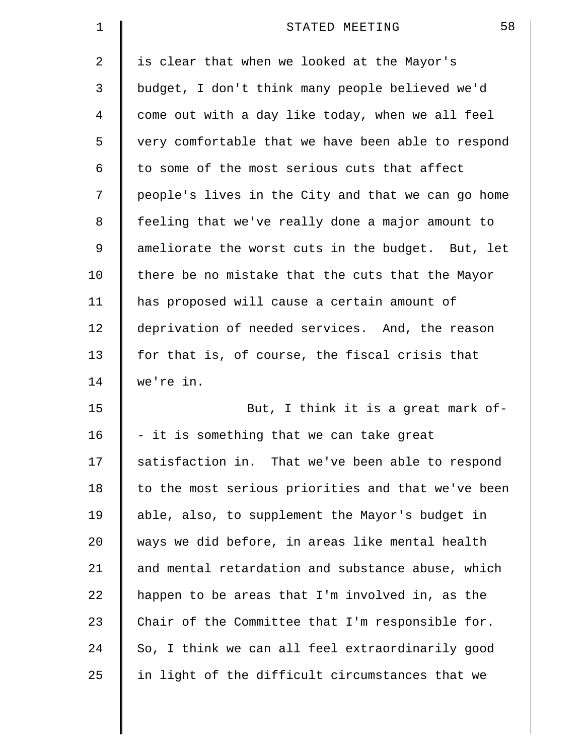| 1           | 58<br>STATED MEETING                               |
|-------------|----------------------------------------------------|
| 2           | is clear that when we looked at the Mayor's        |
| 3           | budget, I don't think many people believed we'd    |
| 4           | come out with a day like today, when we all feel   |
| 5           | very comfortable that we have been able to respond |
| 6           | to some of the most serious cuts that affect       |
| 7           | people's lives in the City and that we can go home |
| 8           | feeling that we've really done a major amount to   |
| $\mathsf 9$ | ameliorate the worst cuts in the budget. But, let  |
| 10          | there be no mistake that the cuts that the Mayor   |
| 11          | has proposed will cause a certain amount of        |
| 12          | deprivation of needed services. And, the reason    |
| 13          | for that is, of course, the fiscal crisis that     |
| 14          | we're in.                                          |
| 15          | But, I think it is a great mark of-                |
| 16          | - it is something that we can take great           |
| 17          | satisfaction in. That we've been able to respond   |
| 18          | to the most serious priorities and that we've been |
| 19          | able, also, to supplement the Mayor's budget in    |
| 20          | ways we did before, in areas like mental health    |
| 21          | and mental retardation and substance abuse, which  |
| 22          | happen to be areas that I'm involved in, as the    |
| 23          | Chair of the Committee that I'm responsible for.   |
| 24          | So, I think we can all feel extraordinarily good   |
| 25          | in light of the difficult circumstances that we    |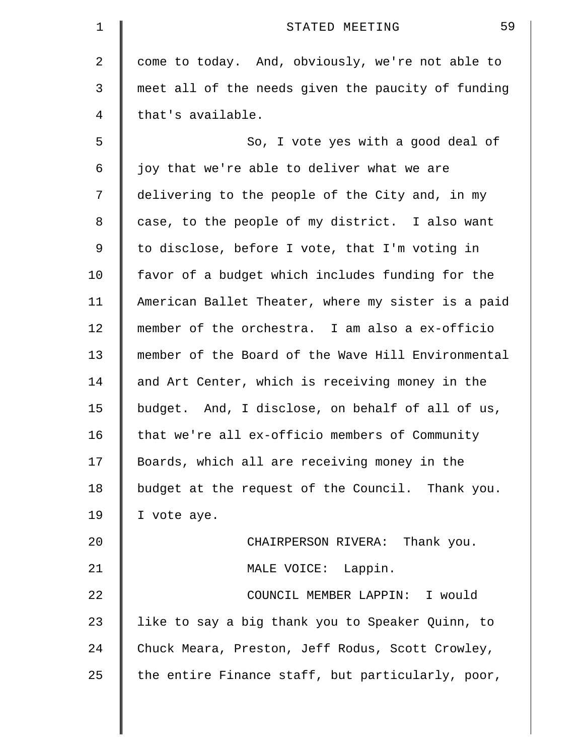| 1  | 59<br>STATED MEETING                               |
|----|----------------------------------------------------|
| 2  | come to today. And, obviously, we're not able to   |
| 3  | meet all of the needs given the paucity of funding |
| 4  | that's available.                                  |
| 5  | So, I vote yes with a good deal of                 |
| 6  | joy that we're able to deliver what we are         |
| 7  | delivering to the people of the City and, in my    |
| 8  | case, to the people of my district. I also want    |
| 9  | to disclose, before I vote, that I'm voting in     |
| 10 | favor of a budget which includes funding for the   |
| 11 | American Ballet Theater, where my sister is a paid |
| 12 | member of the orchestra. I am also a ex-officio    |
| 13 | member of the Board of the Wave Hill Environmental |
| 14 | and Art Center, which is receiving money in the    |
| 15 | budget. And, I disclose, on behalf of all of us,   |
| 16 | that we're all ex-officio members of Community     |
| 17 | Boards, which all are receiving money in the       |
| 18 | budget at the request of the Council. Thank you.   |
| 19 | I vote aye.                                        |
| 20 | CHAIRPERSON RIVERA: Thank you.                     |
| 21 | MALE VOICE: Lappin.                                |
| 22 | COUNCIL MEMBER LAPPIN: I would                     |
| 23 | like to say a big thank you to Speaker Quinn, to   |
| 24 | Chuck Meara, Preston, Jeff Rodus, Scott Crowley,   |
| 25 | the entire Finance staff, but particularly, poor,  |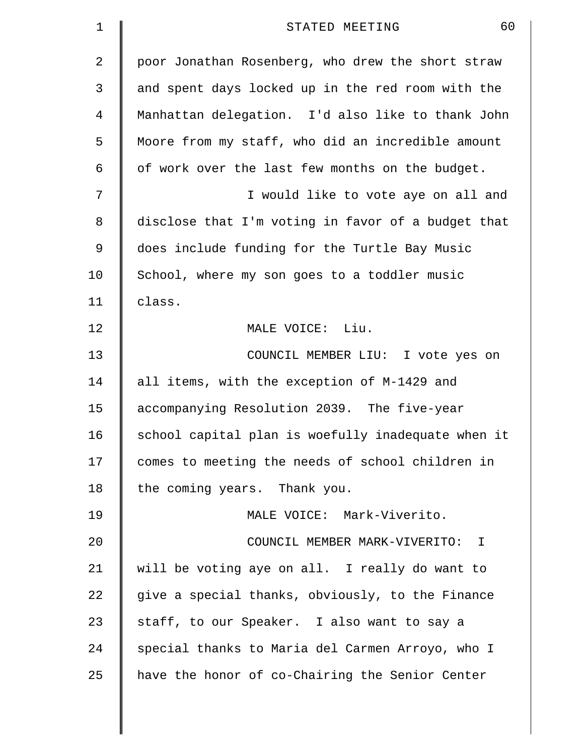| $\mathbf 1$ | 60<br>STATED MEETING                               |
|-------------|----------------------------------------------------|
| 2           | poor Jonathan Rosenberg, who drew the short straw  |
| 3           | and spent days locked up in the red room with the  |
| 4           | Manhattan delegation. I'd also like to thank John  |
| 5           | Moore from my staff, who did an incredible amount  |
| 6           | of work over the last few months on the budget.    |
| 7           | I would like to vote aye on all and                |
| 8           | disclose that I'm voting in favor of a budget that |
| 9           | does include funding for the Turtle Bay Music      |
| 10          | School, where my son goes to a toddler music       |
| 11          | class.                                             |
| 12          | MALE VOICE: Liu.                                   |
| 13          | COUNCIL MEMBER LIU: I vote yes on                  |
| 14          | all items, with the exception of M-1429 and        |
| 15          | accompanying Resolution 2039. The five-year        |
| 16          | school capital plan is woefully inadequate when it |
| 17          | comes to meeting the needs of school children in   |
| 18          | the coming years. Thank you.                       |
| 19          | MALE VOICE: Mark-Viverito.                         |
| 20          | COUNCIL MEMBER MARK-VIVERITO:<br>$\mathbb{I}$      |
| 21          | will be voting aye on all. I really do want to     |
| 22          | give a special thanks, obviously, to the Finance   |
| 23          | staff, to our Speaker. I also want to say a        |
| 24          | special thanks to Maria del Carmen Arroyo, who I   |
| 25          | have the honor of co-Chairing the Senior Center    |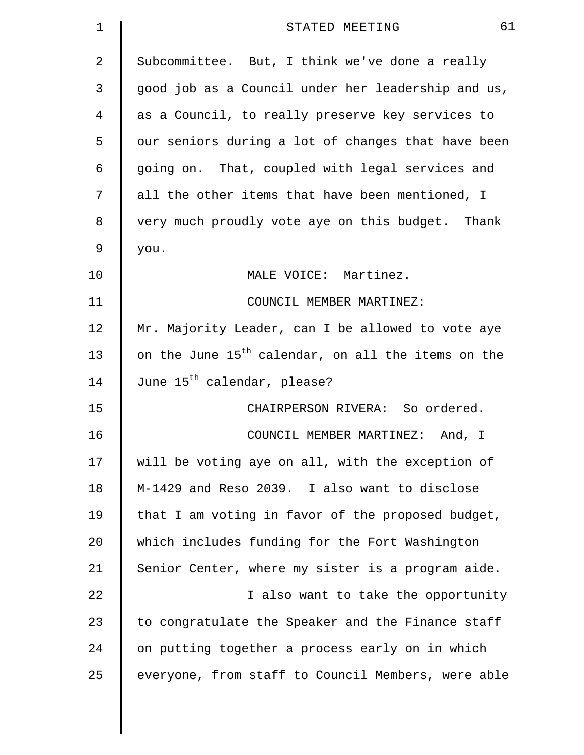| 1  | 61<br>STATED MEETING                                           |
|----|----------------------------------------------------------------|
| 2  | Subcommittee. But, I think we've done a really                 |
| 3  | good job as a Council under her leadership and us,             |
| 4  | as a Council, to really preserve key services to               |
| 5  | our seniors during a lot of changes that have been             |
| 6  | going on. That, coupled with legal services and                |
| 7  | all the other items that have been mentioned, I                |
| 8  | very much proudly vote aye on this budget. Thank               |
| 9  | you.                                                           |
| 10 | MALE VOICE: Martinez.                                          |
| 11 | COUNCIL MEMBER MARTINEZ:                                       |
| 12 | Mr. Majority Leader, can I be allowed to vote aye              |
| 13 | on the June 15 <sup>th</sup> calendar, on all the items on the |
| 14 | June 15 <sup>th</sup> calendar, please?                        |
| 15 | CHAIRPERSON RIVERA: So ordered.                                |
| 16 | COUNCIL MEMBER MARTINEZ:<br>And, I                             |
| 17 | will be voting aye on all, with the exception of               |
| 18 | M-1429 and Reso 2039. I also want to disclose                  |
| 19 | that I am voting in favor of the proposed budget,              |
| 20 | which includes funding for the Fort Washington                 |
| 21 | Senior Center, where my sister is a program aide.              |
| 22 | I also want to take the opportunity                            |
| 23 | to congratulate the Speaker and the Finance staff              |
| 24 | on putting together a process early on in which                |
| 25 | everyone, from staff to Council Members, were able             |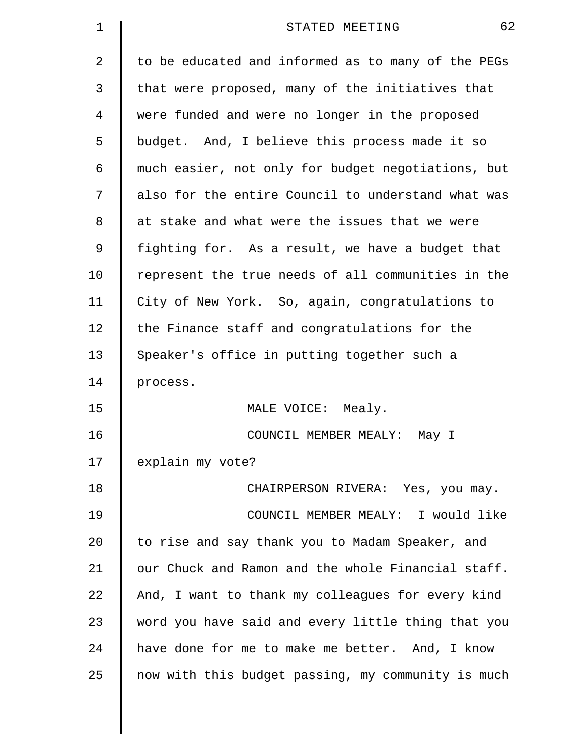| $\mathbf 1$    | 62<br>STATED MEETING                               |
|----------------|----------------------------------------------------|
| $\overline{a}$ | to be educated and informed as to many of the PEGs |
| 3              | that were proposed, many of the initiatives that   |
| $\overline{4}$ | were funded and were no longer in the proposed     |
| 5              | budget. And, I believe this process made it so     |
| 6              | much easier, not only for budget negotiations, but |
| 7              | also for the entire Council to understand what was |
| 8              | at stake and what were the issues that we were     |
| 9              | fighting for. As a result, we have a budget that   |
| 10             | represent the true needs of all communities in the |
| 11             | City of New York. So, again, congratulations to    |
| 12             | the Finance staff and congratulations for the      |
| 13             | Speaker's office in putting together such a        |
| 14             | process.                                           |
| 15             | MALE VOICE: Mealy.                                 |
| 16             | COUNCIL MEMBER MEALY:<br>May I                     |
| 17             | explain my vote?                                   |
| 18             | CHAIRPERSON RIVERA: Yes, you may.                  |
| 19             | COUNCIL MEMBER MEALY: I would like                 |
| 20             | to rise and say thank you to Madam Speaker, and    |
| 21             | our Chuck and Ramon and the whole Financial staff. |
| 22             | And, I want to thank my colleagues for every kind  |
| 23             | word you have said and every little thing that you |
| 24             | have done for me to make me better. And, I know    |
| 25             | now with this budget passing, my community is much |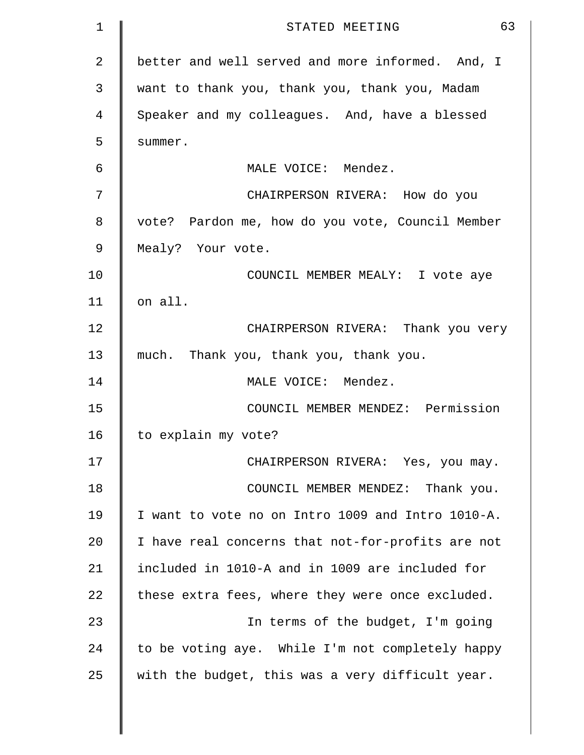| 1  | 63<br>STATED MEETING                              |
|----|---------------------------------------------------|
| 2  | better and well served and more informed. And, I  |
| 3  | want to thank you, thank you, thank you, Madam    |
| 4  | Speaker and my colleagues. And, have a blessed    |
| 5  | summer.                                           |
| 6  | MALE VOICE: Mendez.                               |
| 7  | CHAIRPERSON RIVERA: How do you                    |
| 8  | vote? Pardon me, how do you vote, Council Member  |
| 9  | Mealy? Your vote.                                 |
| 10 | COUNCIL MEMBER MEALY: I vote aye                  |
| 11 | on all.                                           |
| 12 | CHAIRPERSON RIVERA: Thank you very                |
| 13 | much. Thank you, thank you, thank you.            |
| 14 | MALE VOICE: Mendez.                               |
| 15 | COUNCIL MEMBER MENDEZ: Permission                 |
| 16 | to explain my vote?                               |
| 17 | CHAIRPERSON RIVERA: Yes, you may.                 |
| 18 | COUNCIL MEMBER MENDEZ: Thank you.                 |
| 19 | I want to vote no on Intro 1009 and Intro 1010-A. |
| 20 | I have real concerns that not-for-profits are not |
| 21 | included in 1010-A and in 1009 are included for   |
| 22 | these extra fees, where they were once excluded.  |
| 23 | In terms of the budget, I'm going                 |
| 24 | to be voting aye. While I'm not completely happy  |
| 25 | with the budget, this was a very difficult year.  |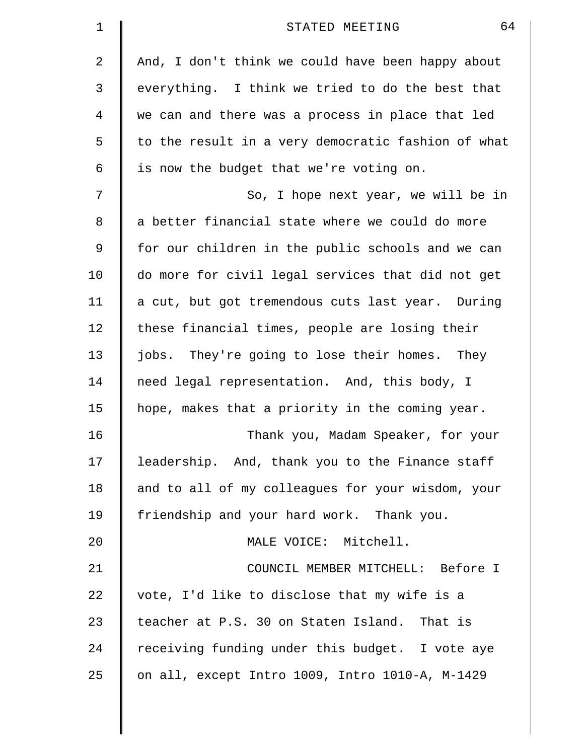| 1  | 64<br>STATED MEETING                               |
|----|----------------------------------------------------|
| 2  | And, I don't think we could have been happy about  |
| 3  | everything. I think we tried to do the best that   |
| 4  | we can and there was a process in place that led   |
| 5  | to the result in a very democratic fashion of what |
| 6  | is now the budget that we're voting on.            |
| 7  | So, I hope next year, we will be in                |
| 8  | a better financial state where we could do more    |
| 9  | for our children in the public schools and we can  |
| 10 | do more for civil legal services that did not get  |
| 11 | a cut, but got tremendous cuts last year. During   |
| 12 | these financial times, people are losing their     |
| 13 | jobs. They're going to lose their homes. They      |
| 14 | need legal representation. And, this body, I       |
| 15 | hope, makes that a priority in the coming year.    |
| 16 | Thank you, Madam Speaker, for your                 |
| 17 | leadership. And, thank you to the Finance staff    |
| 18 | and to all of my colleagues for your wisdom, your  |
| 19 | friendship and your hard work. Thank you.          |
| 20 | MALE VOICE: Mitchell.                              |
| 21 | COUNCIL MEMBER MITCHELL: Before I                  |
| 22 | vote, I'd like to disclose that my wife is a       |
| 23 | teacher at P.S. 30 on Staten Island. That is       |
| 24 | receiving funding under this budget. I vote aye    |
| 25 | on all, except Intro 1009, Intro 1010-A, M-1429    |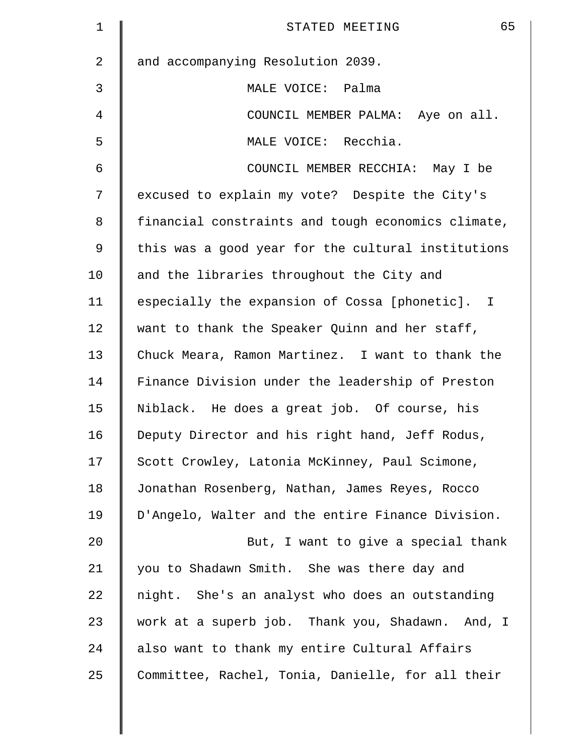| $\mathbf{1}$   | 65<br>STATED MEETING                               |
|----------------|----------------------------------------------------|
| $\overline{a}$ | and accompanying Resolution 2039.                  |
| 3              | MALE VOICE: Palma                                  |
| 4              | COUNCIL MEMBER PALMA: Aye on all.                  |
| 5              | MALE VOICE: Recchia.                               |
| 6              | COUNCIL MEMBER RECCHIA: May I be                   |
| 7              | excused to explain my vote? Despite the City's     |
| 8              | financial constraints and tough economics climate, |
| 9              | this was a good year for the cultural institutions |
| 10             | and the libraries throughout the City and          |
| 11             | especially the expansion of Cossa [phonetic]. I    |
| 12             | want to thank the Speaker Quinn and her staff,     |
| 13             | Chuck Meara, Ramon Martinez. I want to thank the   |
| 14             | Finance Division under the leadership of Preston   |
| 15             | Niblack. He does a great job. Of course, his       |
| 16             | Deputy Director and his right hand, Jeff Rodus,    |
| 17             | Scott Crowley, Latonia McKinney, Paul Scimone,     |
| 18             | Jonathan Rosenberg, Nathan, James Reyes, Rocco     |
| 19             | D'Angelo, Walter and the entire Finance Division.  |
| 20             | But, I want to give a special thank                |
| 21             | you to Shadawn Smith. She was there day and        |
| 22             | night. She's an analyst who does an outstanding    |
| 23             | work at a superb job. Thank you, Shadawn. And, I   |
| 24             | also want to thank my entire Cultural Affairs      |
| 25             | Committee, Rachel, Tonia, Danielle, for all their  |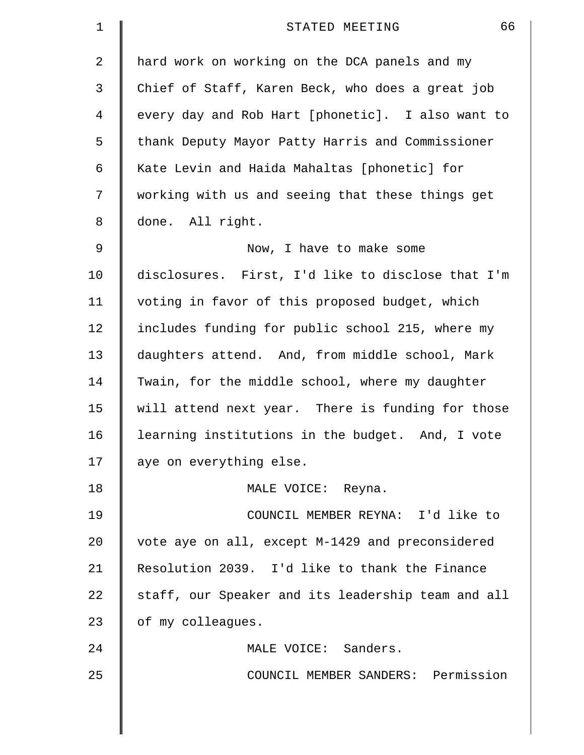| 1              | 66<br>STATED MEETING                               |
|----------------|----------------------------------------------------|
| $\overline{2}$ | hard work on working on the DCA panels and my      |
| 3              | Chief of Staff, Karen Beck, who does a great job   |
| 4              | every day and Rob Hart [phonetic]. I also want to  |
| 5              | thank Deputy Mayor Patty Harris and Commissioner   |
| 6              | Kate Levin and Haida Mahaltas [phonetic] for       |
| 7              | working with us and seeing that these things get   |
| 8              | done. All right.                                   |
| $\mathsf 9$    | Now, I have to make some                           |
| 10             | disclosures. First, I'd like to disclose that I'm  |
| 11             | voting in favor of this proposed budget, which     |
| 12             | includes funding for public school 215, where my   |
| 13             | daughters attend. And, from middle school, Mark    |
| 14             | Twain, for the middle school, where my daughter    |
| 15             | will attend next year. There is funding for those  |
| 16             | learning institutions in the budget. And, I vote   |
| 17             | aye on everything else.                            |
| 18             | MALE VOICE: Reyna.                                 |
| 19             | COUNCIL MEMBER REYNA: I'd like to                  |
| 20             | vote aye on all, except M-1429 and preconsidered   |
| 21             | Resolution 2039. I'd like to thank the Finance     |
| 22             | staff, our Speaker and its leadership team and all |
| 23             | of my colleagues.                                  |
| 24             | MALE VOICE: Sanders.                               |
| 25             | COUNCIL MEMBER SANDERS: Permission                 |
|                |                                                    |
|                |                                                    |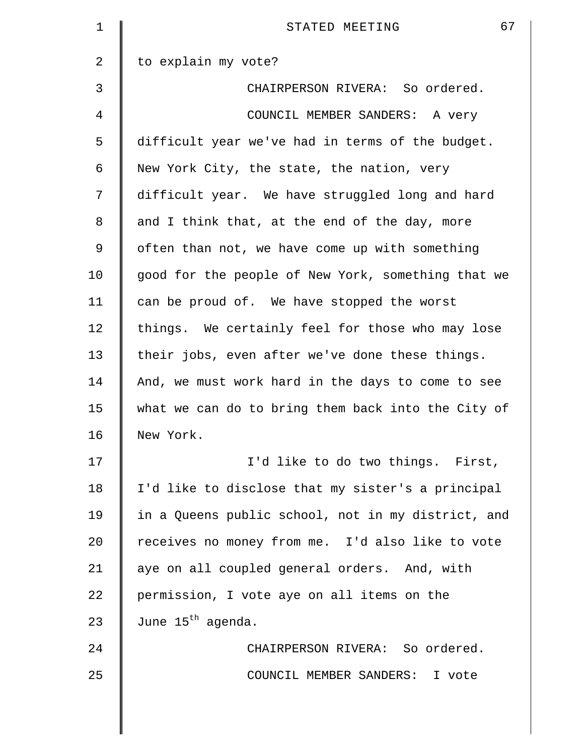| $\mathbf 1$ | 67<br>STATED MEETING                               |
|-------------|----------------------------------------------------|
| 2           | to explain my vote?                                |
| 3           | CHAIRPERSON RIVERA: So ordered.                    |
| 4           | COUNCIL MEMBER SANDERS: A very                     |
| 5           | difficult year we've had in terms of the budget.   |
| 6           | New York City, the state, the nation, very         |
| 7           | difficult year. We have struggled long and hard    |
| 8           | and I think that, at the end of the day, more      |
| 9           | often than not, we have come up with something     |
| 10          | good for the people of New York, something that we |
| 11          | can be proud of. We have stopped the worst         |
| 12          | things. We certainly feel for those who may lose   |
| 13          | their jobs, even after we've done these things.    |
| 14          | And, we must work hard in the days to come to see  |
| 15          | what we can do to bring them back into the City of |
| 16          | New York.                                          |
| 17          | I'd like to do two things. First,                  |
| 18          | I'd like to disclose that my sister's a principal  |
| 19          | in a Queens public school, not in my district, and |
| 20          | receives no money from me. I'd also like to vote   |
| 21          | aye on all coupled general orders. And, with       |
| 22          | permission, I vote aye on all items on the         |
| 23          | June 15 <sup>th</sup> agenda.                      |
| 24          | CHAIRPERSON RIVERA: So ordered.                    |
| 25          | COUNCIL MEMBER SANDERS: I vote                     |
|             |                                                    |
|             |                                                    |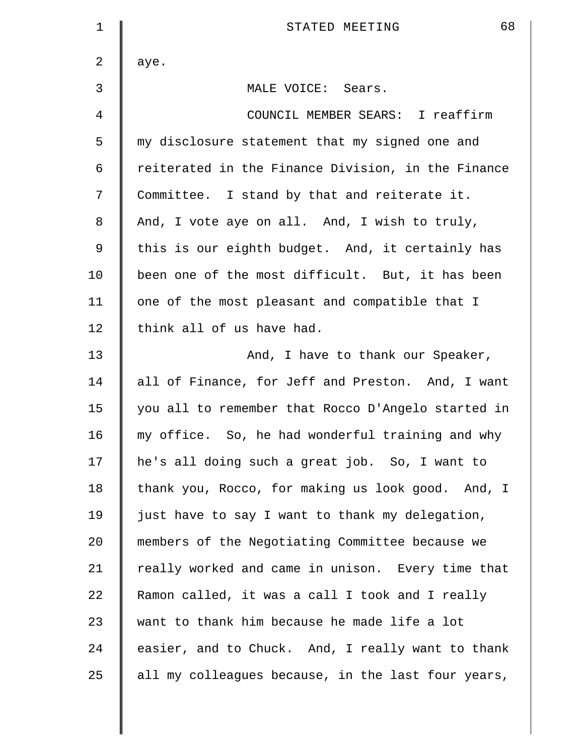| 1  | 68<br>STATED MEETING                               |
|----|----------------------------------------------------|
| 2  | aye.                                               |
| 3  | MALE VOICE: Sears.                                 |
| 4  | COUNCIL MEMBER SEARS: I reaffirm                   |
| 5  | my disclosure statement that my signed one and     |
| 6  | reiterated in the Finance Division, in the Finance |
| 7  | Committee. I stand by that and reiterate it.       |
| 8  | And, I vote aye on all. And, I wish to truly,      |
| 9  | this is our eighth budget. And, it certainly has   |
| 10 | been one of the most difficult. But, it has been   |
| 11 | one of the most pleasant and compatible that I     |
| 12 | think all of us have had.                          |
| 13 | And, I have to thank our Speaker,                  |
| 14 | all of Finance, for Jeff and Preston. And, I want  |
| 15 | you all to remember that Rocco D'Angelo started in |
| 16 | my office. So, he had wonderful training and why   |
| 17 | he's all doing such a great job. So, I want to     |
| 18 | thank you, Rocco, for making us look good. And, I  |
| 19 | just have to say I want to thank my delegation,    |
| 20 | members of the Negotiating Committee because we    |
| 21 | really worked and came in unison. Every time that  |
| 22 | Ramon called, it was a call I took and I really    |
| 23 | want to thank him because he made life a lot       |
| 24 | easier, and to Chuck. And, I really want to thank  |
| 25 | all my colleagues because, in the last four years, |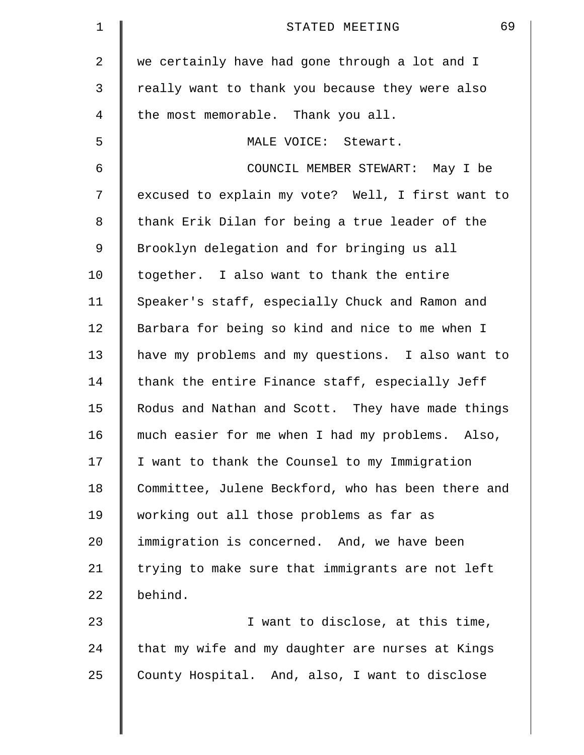| $\mathbf 1$ | 69<br>STATED MEETING                                |
|-------------|-----------------------------------------------------|
| 2           | we certainly have had gone through a lot and I      |
| 3           | really want to thank you because they were also     |
| 4           | the most memorable. Thank you all.                  |
| 5           | MALE VOICE: Stewart.                                |
| 6           | COUNCIL MEMBER STEWART: May I be                    |
| 7           | excused to explain my vote? Well, I first want to   |
| 8           | thank Erik Dilan for being a true leader of the     |
| 9           | Brooklyn delegation and for bringing us all         |
| 10          | together. I also want to thank the entire           |
| 11          | Speaker's staff, especially Chuck and Ramon and     |
| 12          | Barbara for being so kind and nice to me when I     |
| 13          | have my problems and my questions. I also want to   |
| 14          | thank the entire Finance staff, especially Jeff     |
| 15          | Rodus and Nathan and Scott. They have made things   |
| 16          | much easier for me when I had my problems.<br>Also, |
| 17          | I want to thank the Counsel to my Immigration       |
| 18          | Committee, Julene Beckford, who has been there and  |
| 19          | working out all those problems as far as            |
| 20          | immigration is concerned. And, we have been         |
| 21          | trying to make sure that immigrants are not left    |
| 22          | behind.                                             |
| 23          | I want to disclose, at this time,                   |
| 24          | that my wife and my daughter are nurses at Kings    |
| 25          | County Hospital. And, also, I want to disclose      |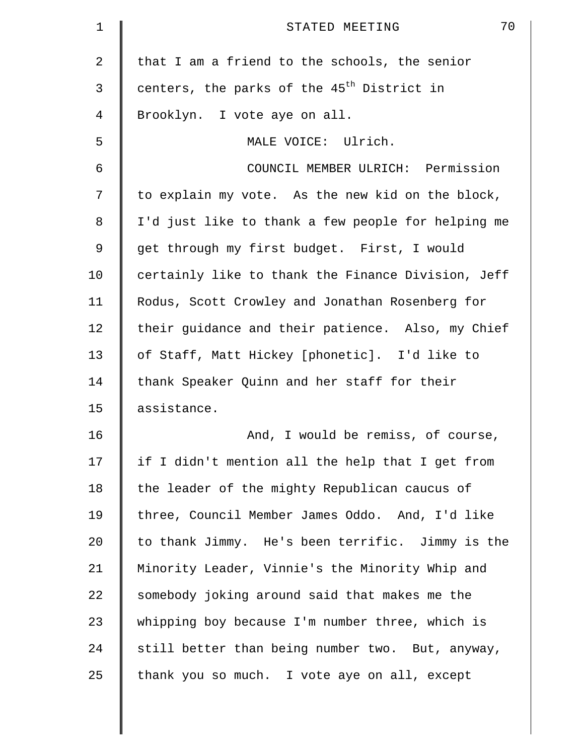| $\mathbf 1$    | 70<br>STATED MEETING                                   |
|----------------|--------------------------------------------------------|
| $\overline{2}$ | that I am a friend to the schools, the senior          |
| 3              | centers, the parks of the 45 <sup>th</sup> District in |
| $\overline{4}$ | Brooklyn. I vote aye on all.                           |
| 5              | MALE VOICE: Ulrich.                                    |
| 6              | COUNCIL MEMBER ULRICH: Permission                      |
| 7              | to explain my vote. As the new kid on the block,       |
| 8              | I'd just like to thank a few people for helping me     |
| 9              | get through my first budget. First, I would            |
| 10             | certainly like to thank the Finance Division, Jeff     |
| 11             | Rodus, Scott Crowley and Jonathan Rosenberg for        |
| 12             | their guidance and their patience. Also, my Chief      |
| 13             | of Staff, Matt Hickey [phonetic]. I'd like to          |
| 14             | thank Speaker Quinn and her staff for their            |
| 15             | assistance.                                            |
| 16             | And, I would be remiss, of course,                     |
| 17             | if I didn't mention all the help that I get from       |
| 18             | the leader of the mighty Republican caucus of          |
| 19             | three, Council Member James Oddo. And, I'd like        |
| 20             | to thank Jimmy. He's been terrific. Jimmy is the       |
| 21             | Minority Leader, Vinnie's the Minority Whip and        |
| 22             | somebody joking around said that makes me the          |
| 23             | whipping boy because I'm number three, which is        |
| 24             | still better than being number two. But, anyway,       |
| 25             | thank you so much. I vote aye on all, except           |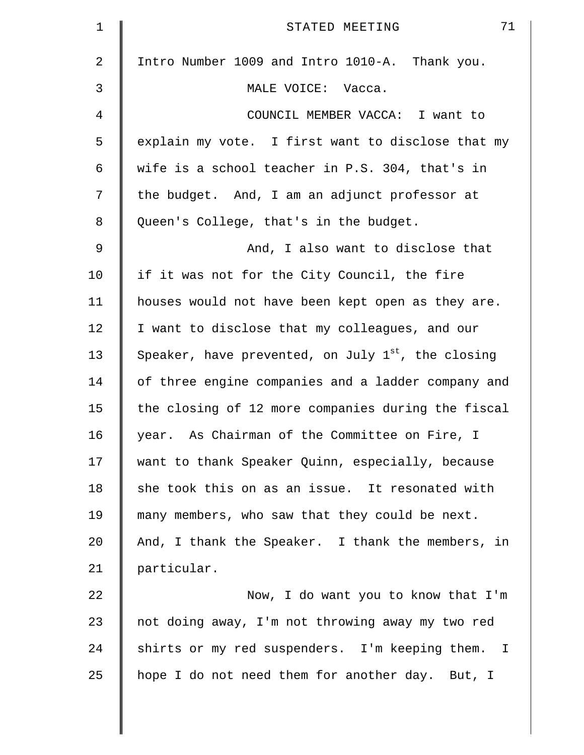| $\mathbf 1$    | 71<br>STATED MEETING                                    |
|----------------|---------------------------------------------------------|
| $\overline{2}$ | Intro Number 1009 and Intro 1010-A. Thank you.          |
| 3              | MALE VOICE: Vacca.                                      |
| 4              | COUNCIL MEMBER VACCA: I want to                         |
| 5              | explain my vote. I first want to disclose that my       |
| 6              | wife is a school teacher in P.S. 304, that's in         |
| 7              | the budget. And, I am an adjunct professor at           |
| 8              | Queen's College, that's in the budget.                  |
| $\mathsf 9$    | And, I also want to disclose that                       |
| 10             | if it was not for the City Council, the fire            |
| 11             | houses would not have been kept open as they are.       |
| 12             | I want to disclose that my colleagues, and our          |
| 13             | Speaker, have prevented, on July $1^{st}$ , the closing |
| 14             | of three engine companies and a ladder company and      |
| 15             | the closing of 12 more companies during the fiscal      |
| 16             | year. As Chairman of the Committee on Fire, I           |
| 17             | want to thank Speaker Quinn, especially, because        |
| 18             | she took this on as an issue. It resonated with         |
| 19             | many members, who saw that they could be next.          |
| 20             | And, I thank the Speaker. I thank the members, in       |
| 21             | particular.                                             |
| 22             | Now, I do want you to know that I'm                     |
| 23             | not doing away, I'm not throwing away my two red        |
| 24             | shirts or my red suspenders. I'm keeping them. I        |
| 25             | hope I do not need them for another day. But, I         |
|                |                                                         |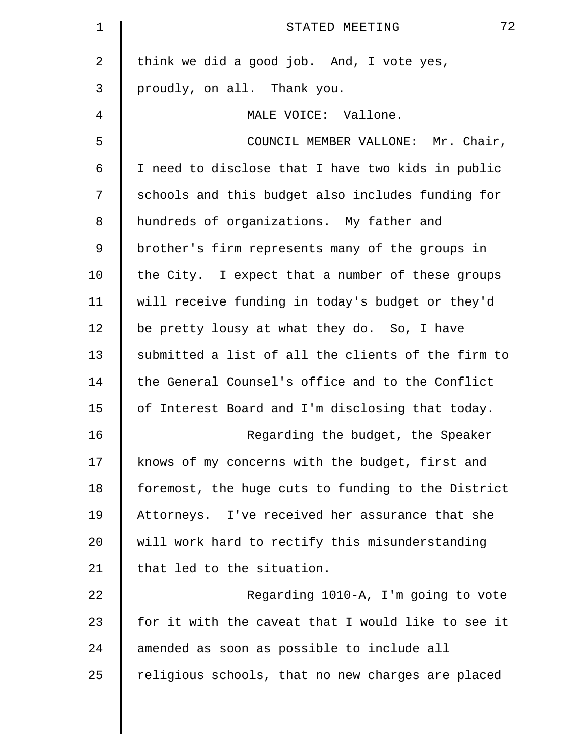| $\mathbf 1$    | 72<br>STATED MEETING                               |
|----------------|----------------------------------------------------|
| $\overline{2}$ | think we did a good job. And, I vote yes,          |
| 3              | proudly, on all. Thank you.                        |
| 4              | MALE VOICE: Vallone.                               |
| 5              | COUNCIL MEMBER VALLONE: Mr. Chair,                 |
| 6              | I need to disclose that I have two kids in public  |
| 7              | schools and this budget also includes funding for  |
| 8              | hundreds of organizations. My father and           |
| $\mathsf 9$    | brother's firm represents many of the groups in    |
| 10             | the City. I expect that a number of these groups   |
| 11             | will receive funding in today's budget or they'd   |
| 12             | be pretty lousy at what they do. So, I have        |
| 13             | submitted a list of all the clients of the firm to |
| 14             | the General Counsel's office and to the Conflict   |
| 15             | of Interest Board and I'm disclosing that today.   |
| 16             | Regarding the budget, the Speaker                  |
| 17             | knows of my concerns with the budget, first and    |
| 18             | foremost, the huge cuts to funding to the District |
| 19             | Attorneys. I've received her assurance that she    |
| 20             | will work hard to rectify this misunderstanding    |
| 21             | that led to the situation.                         |
| 22             | Regarding 1010-A, I'm going to vote                |
| 23             | for it with the caveat that I would like to see it |
| 24             | amended as soon as possible to include all         |
| 25             | religious schools, that no new charges are placed  |
|                |                                                    |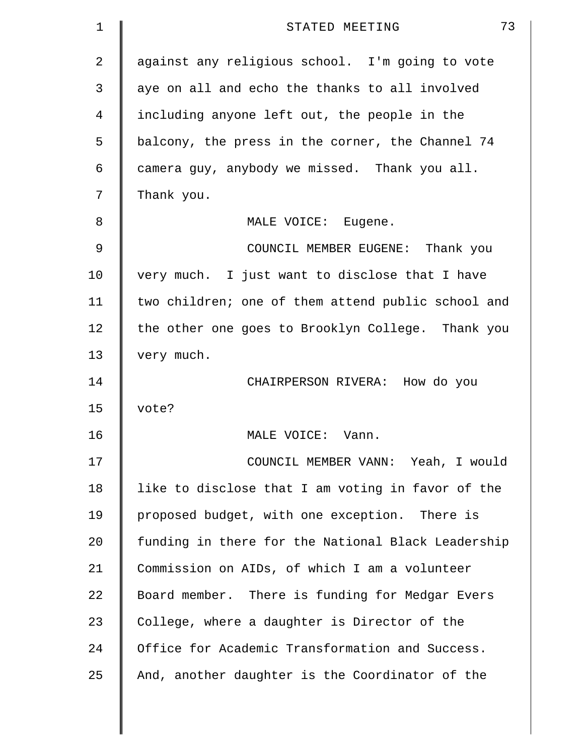| $\mathbf 1$ | 73<br>STATED MEETING                               |
|-------------|----------------------------------------------------|
| 2           | against any religious school. I'm going to vote    |
| 3           | aye on all and echo the thanks to all involved     |
| 4           | including anyone left out, the people in the       |
| 5           | balcony, the press in the corner, the Channel 74   |
| 6           | camera guy, anybody we missed. Thank you all.      |
| 7           | Thank you.                                         |
| 8           | MALE VOICE: Eugene.                                |
| 9           | COUNCIL MEMBER EUGENE: Thank you                   |
| 10          | very much. I just want to disclose that I have     |
| 11          | two children; one of them attend public school and |
| 12          | the other one goes to Brooklyn College. Thank you  |
| 13          | very much.                                         |
| 14          | CHAIRPERSON RIVERA: How do you                     |
| 15          | vote?                                              |
| 16          | MALE VOICE:<br>Vann.                               |
| 17          | COUNCIL MEMBER VANN: Yeah, I would                 |
| 18          | like to disclose that I am voting in favor of the  |
| 19          | proposed budget, with one exception. There is      |
| 20          | funding in there for the National Black Leadership |
| 21          | Commission on AIDs, of which I am a volunteer      |
| 22          | Board member. There is funding for Medgar Evers    |
| 23          | College, where a daughter is Director of the       |
| 24          | Office for Academic Transformation and Success.    |
| 25          | And, another daughter is the Coordinator of the    |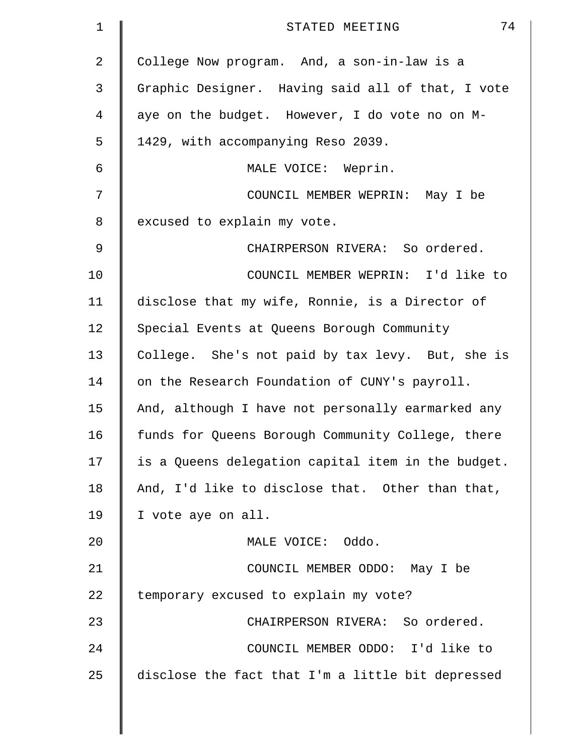| $\mathbf 1$ | 74<br>STATED MEETING                               |
|-------------|----------------------------------------------------|
| 2           | College Now program. And, a son-in-law is a        |
| 3           | Graphic Designer. Having said all of that, I vote  |
| 4           | aye on the budget. However, I do vote no on M-     |
| 5           | 1429, with accompanying Reso 2039.                 |
| 6           | MALE VOICE: Weprin.                                |
| 7           | COUNCIL MEMBER WEPRIN: May I be                    |
| 8           | excused to explain my vote.                        |
| $\mathsf 9$ | CHAIRPERSON RIVERA: So ordered.                    |
| 10          | COUNCIL MEMBER WEPRIN: I'd like to                 |
| 11          | disclose that my wife, Ronnie, is a Director of    |
| 12          | Special Events at Queens Borough Community         |
| 13          | College. She's not paid by tax levy. But, she is   |
| 14          | on the Research Foundation of CUNY's payroll.      |
| 15          | And, although I have not personally earmarked any  |
| 16          | funds for Queens Borough Community College, there  |
| 17          | is a Queens delegation capital item in the budget. |
| 18          | And, I'd like to disclose that. Other than that,   |
| 19          | I vote aye on all.                                 |
| 20          | MALE VOICE: Oddo.                                  |
| 21          | COUNCIL MEMBER ODDO: May I be                      |
| 22          | temporary excused to explain my vote?              |
| 23          | CHAIRPERSON RIVERA: So ordered.                    |
| 24          | COUNCIL MEMBER ODDO: I'd like to                   |
| 25          | disclose the fact that I'm a little bit depressed  |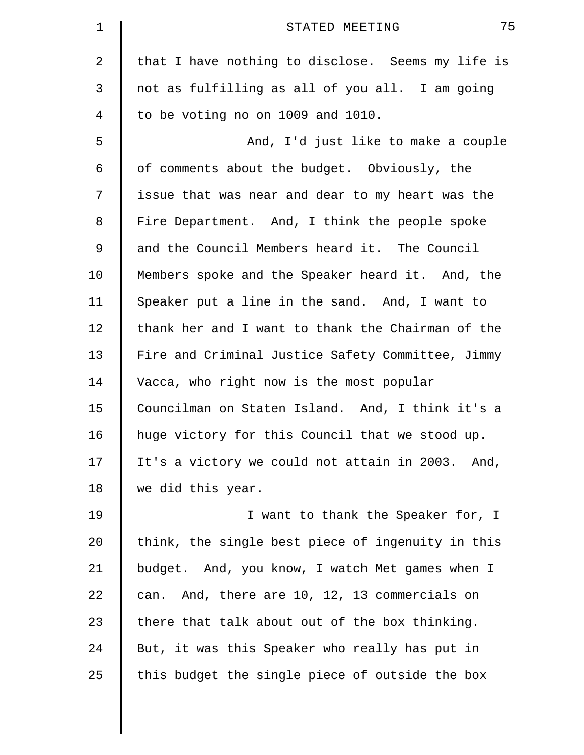| $\mathbf 1$ | 75<br>STATED MEETING                              |
|-------------|---------------------------------------------------|
| 2           | that I have nothing to disclose. Seems my life is |
| 3           | not as fulfilling as all of you all. I am going   |
| 4           | to be voting no on 1009 and 1010.                 |
| 5           | And, I'd just like to make a couple               |
| 6           | of comments about the budget. Obviously, the      |
| 7           | issue that was near and dear to my heart was the  |
| 8           | Fire Department. And, I think the people spoke    |
| 9           | and the Council Members heard it. The Council     |
| 10          | Members spoke and the Speaker heard it. And, the  |
| 11          | Speaker put a line in the sand. And, I want to    |
| 12          | thank her and I want to thank the Chairman of the |
| 13          | Fire and Criminal Justice Safety Committee, Jimmy |
| 14          | Vacca, who right now is the most popular          |
| 15          | Councilman on Staten Island. And, I think it's a  |
| 16          | huge victory for this Council that we stood up.   |
| 17          | It's a victory we could not attain in 2003. And,  |
| 18          | we did this year.                                 |
| 19          | I want to thank the Speaker for, I                |
| 20          | think, the single best piece of ingenuity in this |
| 21          | budget. And, you know, I watch Met games when I   |
| 22          | can. And, there are 10, 12, 13 commercials on     |
| 23          | there that talk about out of the box thinking.    |
| 24          | But, it was this Speaker who really has put in    |
| 25          | this budget the single piece of outside the box   |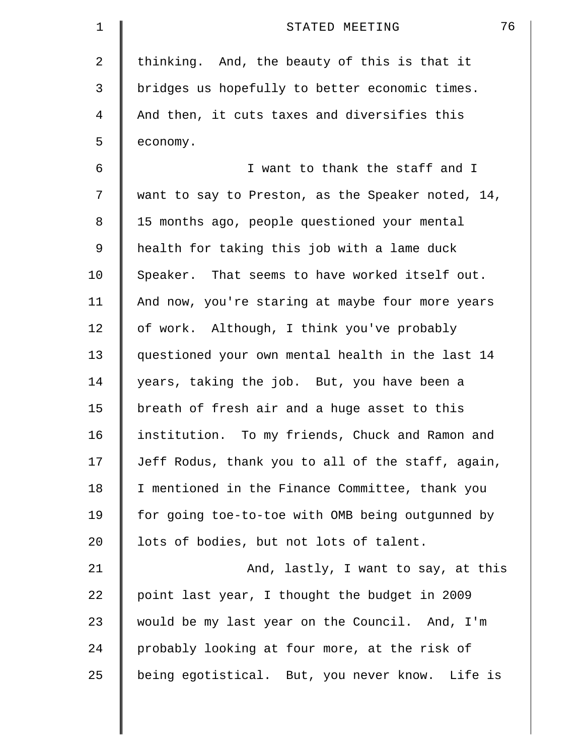| $\mathbf 1$ | 76<br>STATED MEETING                              |
|-------------|---------------------------------------------------|
| 2           | thinking. And, the beauty of this is that it      |
| 3           | bridges us hopefully to better economic times.    |
| 4           | And then, it cuts taxes and diversifies this      |
| 5           | economy.                                          |
| 6           | I want to thank the staff and I                   |
| 7           | want to say to Preston, as the Speaker noted, 14, |
| 8           | 15 months ago, people questioned your mental      |
| 9           | health for taking this job with a lame duck       |
| 10          | Speaker. That seems to have worked itself out.    |
| 11          | And now, you're staring at maybe four more years  |
| 12          | of work. Although, I think you've probably        |
| 13          | questioned your own mental health in the last 14  |
| 14          | years, taking the job. But, you have been a       |
| 15          | breath of fresh air and a huge asset to this      |
| 16          | institution. To my friends, Chuck and Ramon and   |
| 17          | Jeff Rodus, thank you to all of the staff, again, |
| 18          | I mentioned in the Finance Committee, thank you   |
| 19          | for going toe-to-toe with OMB being outgunned by  |
| 20          | lots of bodies, but not lots of talent.           |
| 21          | And, lastly, I want to say, at this               |
| 22          | point last year, I thought the budget in 2009     |
| 23          | would be my last year on the Council. And, I'm    |
| 24          | probably looking at four more, at the risk of     |
| 25          | being egotistical. But, you never know. Life is   |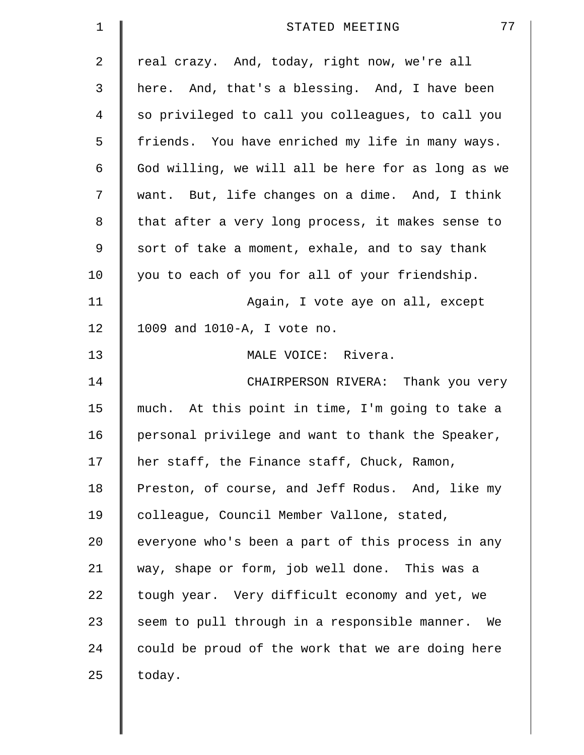| 1           | 77<br>STATED MEETING                               |
|-------------|----------------------------------------------------|
| 2           | real crazy. And, today, right now, we're all       |
| 3           | here. And, that's a blessing. And, I have been     |
| 4           | so privileged to call you colleagues, to call you  |
| 5           | friends. You have enriched my life in many ways.   |
| 6           | God willing, we will all be here for as long as we |
| 7           | want. But, life changes on a dime. And, I think    |
| 8           | that after a very long process, it makes sense to  |
| $\mathsf 9$ | sort of take a moment, exhale, and to say thank    |
| 10          | you to each of you for all of your friendship.     |
| 11          | Again, I vote aye on all, except                   |
| 12          | 1009 and 1010-A, I vote no.                        |
| 13          | MALE VOICE: Rivera.                                |
| 14          | CHAIRPERSON RIVERA: Thank you very                 |
| 15          | much. At this point in time, I'm going to take a   |
| 16          | personal privilege and want to thank the Speaker,  |
| 17          | her staff, the Finance staff, Chuck, Ramon,        |
| 18          | Preston, of course, and Jeff Rodus. And, like my   |
| 19          | colleague, Council Member Vallone, stated,         |
| 20          | everyone who's been a part of this process in any  |
| 21          | way, shape or form, job well done. This was a      |
| 22          | tough year. Very difficult economy and yet, we     |
| 23          | seem to pull through in a responsible manner. We   |
| 24          | could be proud of the work that we are doing here  |
| 25          | today.                                             |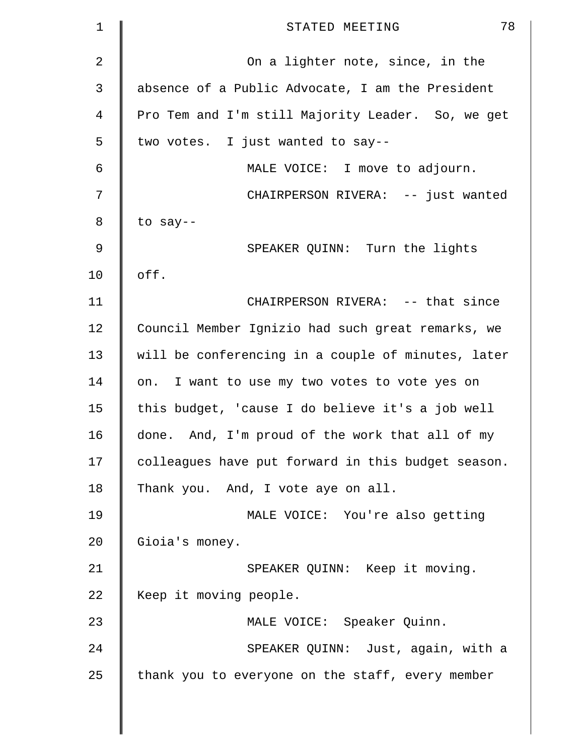| 1           | 78<br>STATED MEETING                               |
|-------------|----------------------------------------------------|
| 2           | On a lighter note, since, in the                   |
| 3           | absence of a Public Advocate, I am the President   |
| 4           | Pro Tem and I'm still Majority Leader. So, we get  |
| 5           | two votes. I just wanted to say--                  |
| 6           | MALE VOICE: I move to adjourn.                     |
| 7           | CHAIRPERSON RIVERA: -- just wanted                 |
| 8           | to say--                                           |
| $\mathsf 9$ | SPEAKER QUINN: Turn the lights                     |
| 10          | off.                                               |
| 11          | CHAIRPERSON RIVERA: -- that since                  |
| 12          | Council Member Ignizio had such great remarks, we  |
| 13          | will be conferencing in a couple of minutes, later |
| 14          | on. I want to use my two votes to vote yes on      |
| 15          | this budget, 'cause I do believe it's a job well   |
| 16          | done. And, I'm proud of the work that all of my    |
| 17          | colleagues have put forward in this budget season. |
| 18          | Thank you. And, I vote aye on all.                 |
| 19          | MALE VOICE: You're also getting                    |
| 20          | Gioia's money.                                     |
| 21          | SPEAKER QUINN: Keep it moving.                     |
| 22          | Keep it moving people.                             |
| 23          | MALE VOICE: Speaker Quinn.                         |
| 24          | SPEAKER QUINN: Just, again, with a                 |
| 25          | thank you to everyone on the staff, every member   |
|             |                                                    |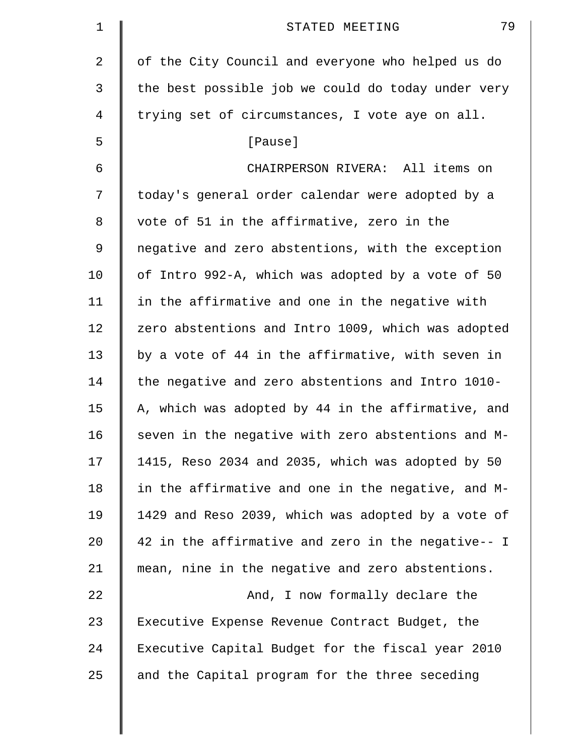| $\mathbf 1$ | 79<br>STATED MEETING                               |
|-------------|----------------------------------------------------|
| 2           | of the City Council and everyone who helped us do  |
| 3           | the best possible job we could do today under very |
| 4           | trying set of circumstances, I vote aye on all.    |
| 5           | [Pause]                                            |
| 6           | CHAIRPERSON RIVERA: All items on                   |
| 7           | today's general order calendar were adopted by a   |
| 8           | vote of 51 in the affirmative, zero in the         |
| 9           | negative and zero abstentions, with the exception  |
| 10          | of Intro 992-A, which was adopted by a vote of 50  |
| 11          | in the affirmative and one in the negative with    |
| 12          | zero abstentions and Intro 1009, which was adopted |
| 13          | by a vote of 44 in the affirmative, with seven in  |
| 14          | the negative and zero abstentions and Intro 1010-  |
| 15          | A, which was adopted by 44 in the affirmative, and |
| 16          | seven in the negative with zero abstentions and M- |
| 17          | 1415, Reso 2034 and 2035, which was adopted by 50  |
| 18          | in the affirmative and one in the negative, and M- |
| 19          | 1429 and Reso 2039, which was adopted by a vote of |
| 20          | 42 in the affirmative and zero in the negative-- I |
| 21          | mean, nine in the negative and zero abstentions.   |
| 22          | And, I now formally declare the                    |
| 23          | Executive Expense Revenue Contract Budget, the     |
| 24          | Executive Capital Budget for the fiscal year 2010  |
| 25          | and the Capital program for the three seceding     |
|             |                                                    |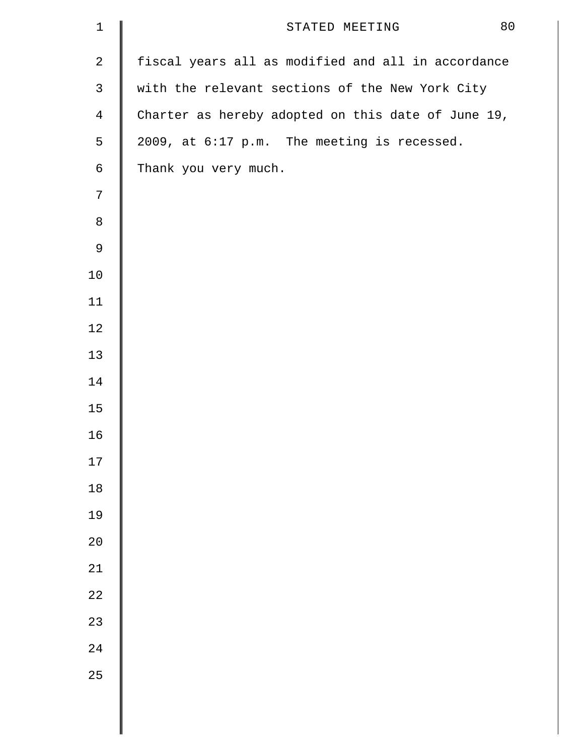| $1\,$            | 80<br>STATED MEETING                               |
|------------------|----------------------------------------------------|
| $\boldsymbol{2}$ | fiscal years all as modified and all in accordance |
| $\mathsf{3}$     | with the relevant sections of the New York City    |
| $\overline{4}$   | Charter as hereby adopted on this date of June 19, |
| 5                | 2009, at 6:17 p.m. The meeting is recessed.        |
| $\epsilon$       | Thank you very much.                               |
| $\boldsymbol{7}$ |                                                    |
| $\,8\,$          |                                                    |
| $\mathsf 9$      |                                                    |
| $10\,$           |                                                    |
| 11               |                                                    |
| 12               |                                                    |
| 13               |                                                    |
| 14               |                                                    |
| 15               |                                                    |
| 16               |                                                    |
| $17\,$           |                                                    |
| $18\,$           |                                                    |
| 19               |                                                    |
| $20$             |                                                    |
| 21               |                                                    |
| $2\sqrt{2}$      |                                                    |
| 23               |                                                    |
| 24               |                                                    |
| 25               |                                                    |
|                  |                                                    |
|                  |                                                    |